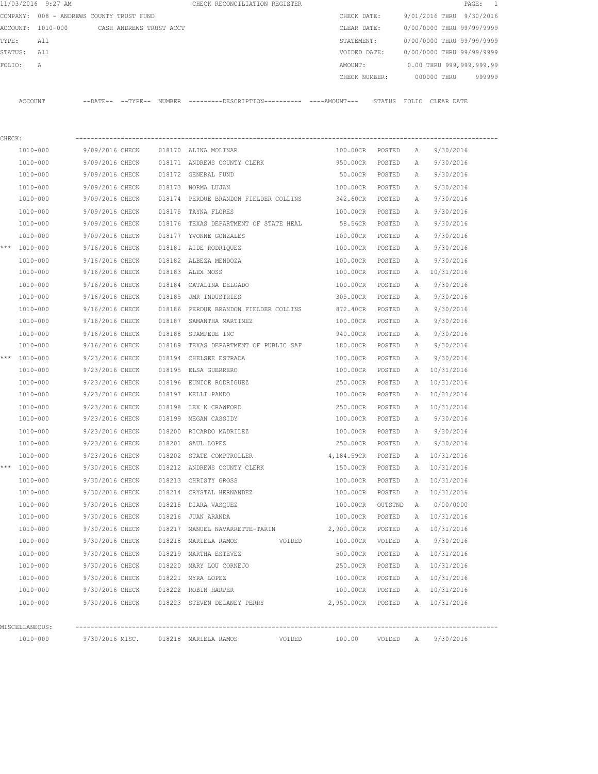|        | 11/03/2016 9:27 AM                       |                         |  | CHECK RECONCILIATION REGISTER                                                                 |        |                   |         |              | PAGE:                     | $\overline{1}$ |
|--------|------------------------------------------|-------------------------|--|-----------------------------------------------------------------------------------------------|--------|-------------------|---------|--------------|---------------------------|----------------|
|        | COMPANY: 008 - ANDREWS COUNTY TRUST FUND |                         |  |                                                                                               |        | CHECK DATE:       |         |              | 9/01/2016 THRU 9/30/2016  |                |
|        | ACCOUNT: 1010-000                        | CASH ANDREWS TRUST ACCT |  |                                                                                               |        | CLEAR DATE:       |         |              | 0/00/0000 THRU 99/99/9999 |                |
| TYPE:  | All                                      |                         |  |                                                                                               |        | STATEMENT:        |         |              | 0/00/0000 THRU 99/99/9999 |                |
|        | STATUS: All                              |                         |  |                                                                                               |        | VOIDED DATE:      |         |              | 0/00/0000 THRU 99/99/9999 |                |
| FOLIO: | A                                        |                         |  |                                                                                               |        | AMOUNT:           |         |              | 0.00 THRU 999,999,999.99  |                |
|        |                                          |                         |  |                                                                                               |        | CHECK NUMBER:     |         |              | 000000 THRU               | 999999         |
|        | ACCOUNT                                  |                         |  | --DATE-- --TYPE-- NUMBER ---------DESCRIPTION---------- ----AMOUNT--- STATUS FOLIO CLEAR DATE |        |                   |         |              |                           |                |
|        |                                          |                         |  |                                                                                               |        |                   |         |              |                           |                |
| CHECK: |                                          |                         |  |                                                                                               |        |                   |         |              |                           |                |
|        | 1010-000                                 | 9/09/2016 CHECK         |  | 018170 ALINA MOLINAR                                                                          |        | 100.00CR POSTED   |         | A            | 9/30/2016                 |                |
|        | 1010-000                                 | 9/09/2016 CHECK         |  | 018171 ANDREWS COUNTY CLERK                                                                   |        | 950.00CR          | POSTED  | Α            | 9/30/2016                 |                |
|        | 1010-000                                 | 9/09/2016 CHECK         |  | 018172 GENERAL FUND                                                                           |        | 50.00CR           | POSTED  | А            | 9/30/2016                 |                |
|        | 1010-000                                 | 9/09/2016 CHECK         |  | 018173 NORMA LUJAN                                                                            |        | 100.00CR          | POSTED  | Α            | 9/30/2016                 |                |
|        | 1010-000                                 | 9/09/2016 CHECK         |  | 018174 PERDUE BRANDON FIELDER COLLINS                                                         |        | 342.60CR          | POSTED  | А            | 9/30/2016                 |                |
|        | $1010 - 000$                             | 9/09/2016 CHECK         |  | 018175 TAYNA FLORES                                                                           |        | 100.00CR          | POSTED  | $\mathbb{A}$ | 9/30/2016                 |                |
|        | 1010-000                                 | 9/09/2016 CHECK         |  | 018176 TEXAS DEPARTMENT OF STATE HEAL                                                         |        | 58.56CR           | POSTED  | A            | 9/30/2016                 |                |
|        | 1010-000                                 | 9/09/2016 CHECK         |  | 018177 YVONNE GONZALES                                                                        |        | 100.00CR          | POSTED  | А            | 9/30/2016                 |                |
|        | *** 1010-000                             | 9/16/2016 CHECK         |  | 018181 AIDE RODRIQUEZ                                                                         |        | 100.00CR          | POSTED  | А            | 9/30/2016                 |                |
|        | 1010-000                                 | 9/16/2016 CHECK         |  | 018182 ALBEZA MENDOZA                                                                         |        | 100.00CR          | POSTED  | Α            | 9/30/2016                 |                |
|        | 1010-000                                 | 9/16/2016 CHECK         |  | 018183 ALEX MOSS                                                                              |        | 100.00CR          | POSTED  | A            | 10/31/2016                |                |
|        | 1010-000                                 | 9/16/2016 CHECK         |  | 018184 CATALINA DELGADO                                                                       |        | 100.00CR          | POSTED  | Α            | 9/30/2016                 |                |
|        | 1010-000                                 | 9/16/2016 CHECK         |  | 018185 JMR INDUSTRIES                                                                         |        | 305.00CR          | POSTED  | А            | 9/30/2016                 |                |
|        | 1010-000                                 | 9/16/2016 CHECK         |  | 018186 PERDUE BRANDON FIELDER COLLINS                                                         |        | 872.40CR          | POSTED  | Α            | 9/30/2016                 |                |
|        | 1010-000                                 | 9/16/2016 CHECK         |  | 018187 SAMANTHA MARTINEZ                                                                      |        | 100.00CR          | POSTED  | Α            | 9/30/2016                 |                |
|        | 1010-000                                 | 9/16/2016 CHECK         |  | 018188 STAMPEDE INC                                                                           |        | 940.00CR          | POSTED  | Α            | 9/30/2016                 |                |
|        | 1010-000                                 | 9/16/2016 CHECK         |  | 018189 TEXAS DEPARTMENT OF PUBLIC SAF                                                         |        | 180.00CR          | POSTED  | А            | 9/30/2016                 |                |
|        | *** 1010-000                             | 9/23/2016 CHECK         |  | 018194 CHELSEE ESTRADA                                                                        |        | 100.00CR          | POSTED  | A            | 9/30/2016                 |                |
|        | 1010-000                                 | 9/23/2016 CHECK         |  | 018195 ELSA GUERRERO                                                                          |        | 100.00CR          | POSTED  | Α            | 10/31/2016                |                |
|        | 1010-000                                 | 9/23/2016 CHECK         |  | 018196 EUNICE RODRIGUEZ                                                                       |        | 250.00CR          | POSTED  | Α            | 10/31/2016                |                |
|        | 1010-000                                 | 9/23/2016 CHECK         |  | 018197 KELLI PANDO                                                                            |        | 100.00CR          | POSTED  | A            | 10/31/2016                |                |
|        | 1010-000                                 | 9/23/2016 CHECK         |  | 018198 LEX K CRAWFORD                                                                         |        | 250.00CR          | POSTED  |              | A 10/31/2016              |                |
|        | 1010-000                                 | 9/23/2016 CHECK         |  | 018199 MEGAN CASSIDY                                                                          |        | 100.00CR          | POSTED  | A            | 9/30/2016                 |                |
|        | 1010-000                                 | 9/23/2016 CHECK         |  | 018200 RICARDO MADRILEZ                                                                       |        | 100.00CR          | POSTED  | $\mathbb{A}$ | 9/30/2016                 |                |
|        | 1010-000                                 | 9/23/2016 CHECK         |  | 018201 SAUL LOPEZ                                                                             |        | 250.00CR          | POSTED  | A            | 9/30/2016                 |                |
|        | 1010-000                                 | 9/23/2016 CHECK         |  | 018202 STATE COMPTROLLER                                                                      |        | 4,184.59CR        | POSTED  | Α            | 10/31/2016                |                |
|        | *** 1010-000                             | 9/30/2016 CHECK         |  | 018212 ANDREWS COUNTY CLERK                                                                   |        | 150.00CR          | POSTED  | Α            | 10/31/2016                |                |
|        | 1010-000                                 | 9/30/2016 CHECK         |  | 018213 CHRISTY GROSS                                                                          |        | 100.00CR          | POSTED  | Α            | 10/31/2016                |                |
|        | 1010-000                                 | 9/30/2016 CHECK         |  | 018214 CRYSTAL HERNANDEZ                                                                      |        | 100.00CR          | POSTED  | Α            | 10/31/2016                |                |
|        | 1010-000                                 | 9/30/2016 CHECK         |  | 018215 DIARA VASQUEZ                                                                          |        | 100.00CR          | OUTSTND | Α            | 0/00/0000                 |                |
|        | 1010-000                                 | 9/30/2016 CHECK         |  | 018216 JUAN ARANDA                                                                            |        | 100.00CR          | POSTED  | Α            | 10/31/2016                |                |
|        | 1010-000                                 | 9/30/2016 CHECK         |  | 018217 MANUEL NAVARRETTE-TARIN                                                                |        | 2,900.00CR        | POSTED  | Α            | 10/31/2016                |                |
|        | 1010-000                                 | 9/30/2016 CHECK         |  | 018218 MARIELA RAMOS                                                                          | VOIDED | 100.00CR          | VOIDED  | Α            | 9/30/2016                 |                |
|        | 1010-000                                 | 9/30/2016 CHECK         |  | 018219 MARTHA ESTEVEZ                                                                         |        | 500.00CR          | POSTED  |              | A 10/31/2016              |                |
|        | 1010-000                                 | 9/30/2016 CHECK         |  | 018220 MARY LOU CORNEJO                                                                       |        | 250.00CR          | POSTED  | Α            | 10/31/2016                |                |
|        | 1010-000                                 | 9/30/2016 CHECK         |  | 018221 MYRA LOPEZ                                                                             |        | 100.00CR          | POSTED  |              | A 10/31/2016              |                |
|        | 1010-000                                 | 9/30/2016 CHECK         |  | 018222 ROBIN HARPER                                                                           |        | 100.00CR          | POSTED  |              | A 10/31/2016              |                |
|        | 1010-000                                 |                         |  | 9/30/2016 CHECK 018223 STEVEN DELANEY PERRY                                                   |        | 2,950.00CR POSTED |         |              | A 10/31/2016              |                |
|        | MISCELLANEOUS:                           |                         |  |                                                                                               |        |                   |         |              |                           |                |
|        | 1010-000                                 |                         |  | 9/30/2016 MISC. 018218 MARIELA RAMOS VOIDED                                                   |        |                   |         |              | 100.00 VOIDED A 9/30/2016 |                |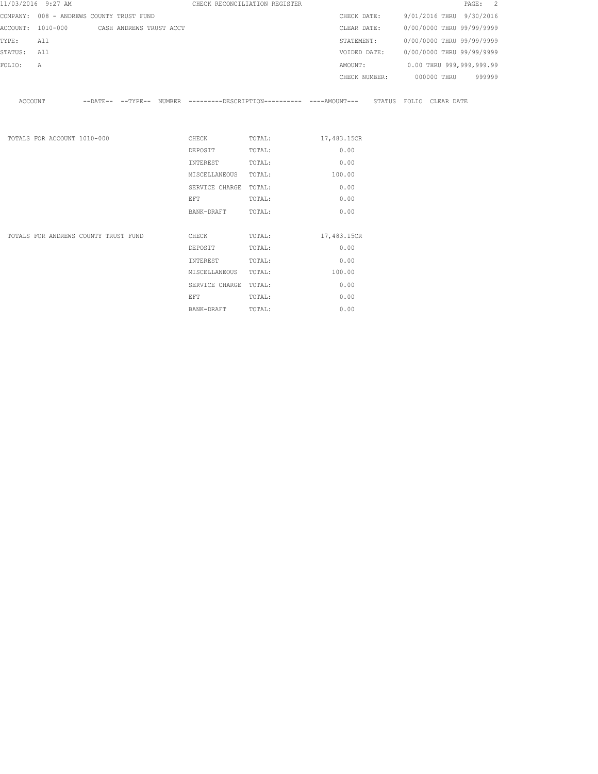|             | 11/03/2016 9:27 AM                        |  |                                                                                                                | CHECK RECONCILIATION REGISTER                                                                        |        |  | PAGE: 2                                |
|-------------|-------------------------------------------|--|----------------------------------------------------------------------------------------------------------------|------------------------------------------------------------------------------------------------------|--------|--|----------------------------------------|
|             | COMPANY: 008 - ANDREWS COUNTY TRUST FUND  |  |                                                                                                                |                                                                                                      |        |  | CHECK DATE: 9/01/2016 THRU 9/30/2016   |
|             | ACCOUNT: 1010-000 CASH ANDREWS TRUST ACCT |  |                                                                                                                |                                                                                                      |        |  | CLEAR DATE: 0/00/0000 THRU 99/99/9999  |
| TYPE:       | All                                       |  |                                                                                                                |                                                                                                      |        |  | STATEMENT: 0/00/0000 THRU 99/99/9999   |
| STATUS: All |                                           |  |                                                                                                                |                                                                                                      |        |  | VOIDED DATE: 0/00/0000 THRU 99/99/9999 |
| FOLIO:      | $\mathbb A$                               |  |                                                                                                                |                                                                                                      |        |  | AMOUNT: 0.00 THRU 999,999,999.99       |
|             |                                           |  |                                                                                                                |                                                                                                      |        |  | CHECK NUMBER: 000000 THRU 999999       |
|             |                                           |  |                                                                                                                | ACCOUNT -DATE-- --TYPE-- NUMBER ---------DESCRIPTION---------- ----AMOUNT--- STATUS FOLIO CLEAR DATE |        |  |                                        |
|             | TOTALS FOR ACCOUNT 1010-000               |  |                                                                                                                | CHECK TOTAL: 17,483.15CR                                                                             |        |  |                                        |
|             |                                           |  | DEPOSIT                                                                                                        | TOTAL:                                                                                               | 0.00   |  |                                        |
|             |                                           |  | INTEREST                                                                                                       | TOTAL:                                                                                               | 0.00   |  |                                        |
|             |                                           |  | MISCELLANEOUS TOTAL:                                                                                           |                                                                                                      | 100.00 |  |                                        |
|             |                                           |  | SERVICE CHARGE TOTAL:                                                                                          |                                                                                                      | 0.00   |  |                                        |
|             |                                           |  | EFT FOR THE STATE OF THE STATE OF THE STATE OF THE STATE OF THE STATE OF THE STATE OF THE STATE OF THE STATE O | TOTAL:                                                                                               | 0.00   |  |                                        |
|             |                                           |  | BANK-DRAFT                                                                                                     | TOTAL:                                                                                               | 0.00   |  |                                        |
|             |                                           |  |                                                                                                                |                                                                                                      |        |  |                                        |
|             | TOTALS FOR ANDREWS COUNTY TRUST FUND      |  | DEPOSIT                                                                                                        | CHECK TOTAL: 17,483.15CR<br>TOTAL:                                                                   | 0.00   |  |                                        |
|             |                                           |  |                                                                                                                |                                                                                                      | 0.00   |  |                                        |
|             |                                           |  | INTEREST                                                                                                       | TOTAL:                                                                                               | 100.00 |  |                                        |
|             |                                           |  | MISCELLANEOUS TOTAL:                                                                                           |                                                                                                      |        |  |                                        |
|             |                                           |  | SERVICE CHARGE TOTAL:                                                                                          |                                                                                                      | 0.00   |  |                                        |
|             |                                           |  | EFT FOR THE STATE OF THE STATE OF THE STATE OF THE STATE OF THE STATE OF THE STATE OF THE STATE OF THE STATE O | TOTAL:                                                                                               | 0.00   |  |                                        |
|             |                                           |  | BANK-DRAFT                                                                                                     | TOTAL:                                                                                               | 0.00   |  |                                        |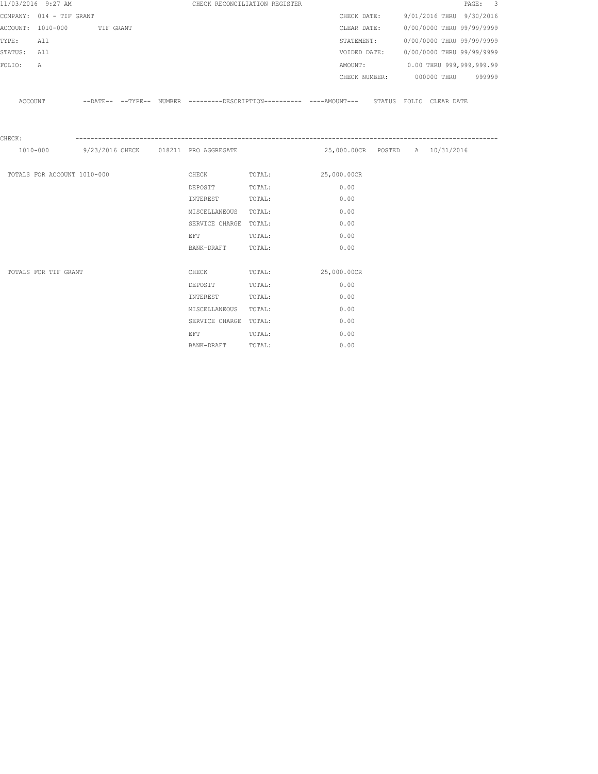|             | 11/03/2016 9:27 AM          |                             |  |                                                                                                                | CHECK RECONCILIATION REGISTER                                                                      |                                 |  |                                        | PAGE: 3 |
|-------------|-----------------------------|-----------------------------|--|----------------------------------------------------------------------------------------------------------------|----------------------------------------------------------------------------------------------------|---------------------------------|--|----------------------------------------|---------|
|             | COMPANY: 014 - TIF GRANT    |                             |  |                                                                                                                |                                                                                                    |                                 |  | CHECK DATE: 9/01/2016 THRU 9/30/2016   |         |
|             |                             | ACCOUNT: 1010-000 TIF GRANT |  |                                                                                                                |                                                                                                    | CLEAR DATE:                     |  | 0/00/0000 THRU 99/99/9999              |         |
| TYPE:       | All                         |                             |  |                                                                                                                |                                                                                                    | STATEMENT:                      |  | 0/00/0000 THRU 99/99/9999              |         |
| STATUS: All |                             |                             |  |                                                                                                                |                                                                                                    |                                 |  | VOIDED DATE: 0/00/0000 THRU 99/99/9999 |         |
| FOLIO:      | A                           |                             |  |                                                                                                                |                                                                                                    |                                 |  | AMOUNT: 0.00 THRU 999,999,999.99       |         |
|             |                             |                             |  |                                                                                                                |                                                                                                    |                                 |  | CHECK NUMBER: 000000 THRU 999999       |         |
|             |                             |                             |  |                                                                                                                |                                                                                                    |                                 |  |                                        |         |
|             |                             |                             |  |                                                                                                                | ACCOUNT -DATE-- --TYPE-- NUMBER --------DESCRIPTION--------- ----AMOUNT--- STATUS FOLIO CLEAR DATE |                                 |  |                                        |         |
|             |                             |                             |  |                                                                                                                |                                                                                                    |                                 |  |                                        |         |
|             |                             |                             |  |                                                                                                                |                                                                                                    |                                 |  |                                        |         |
| CHECK:      |                             |                             |  |                                                                                                                |                                                                                                    |                                 |  |                                        |         |
|             |                             |                             |  |                                                                                                                | 1010-000 9/23/2016 CHECK 018211 PRO AGGREGATE                                                      | 25,000.00CR POSTED A 10/31/2016 |  |                                        |         |
|             |                             |                             |  |                                                                                                                |                                                                                                    |                                 |  |                                        |         |
|             | TOTALS FOR ACCOUNT 1010-000 |                             |  |                                                                                                                | CHECK TOTAL: 25,000.00CR                                                                           |                                 |  |                                        |         |
|             |                             |                             |  | DEPOSIT                                                                                                        | TOTAL:                                                                                             | 0.00                            |  |                                        |         |
|             |                             |                             |  | INTEREST                                                                                                       | TOTAL:                                                                                             | 0.00                            |  |                                        |         |
|             |                             |                             |  | MISCELLANEOUS TOTAL:                                                                                           |                                                                                                    | 0.00                            |  |                                        |         |
|             |                             |                             |  | SERVICE CHARGE TOTAL:                                                                                          |                                                                                                    | 0.00                            |  |                                        |         |
|             |                             |                             |  | EFT FOR THE STATE OF THE STATE OF THE STATE OF THE STATE OF THE STATE OF THE STATE OF THE STATE OF THE STATE O | TOTAL:                                                                                             | 0.00                            |  |                                        |         |
|             |                             |                             |  | BANK-DRAFT TOTAL:                                                                                              |                                                                                                    | 0.00                            |  |                                        |         |
|             |                             |                             |  |                                                                                                                |                                                                                                    |                                 |  |                                        |         |
|             | TOTALS FOR TIF GRANT        |                             |  | CHECK                                                                                                          | TOTAL:                                                                                             | 25,000.00CR                     |  |                                        |         |
|             |                             |                             |  | DEPOSIT                                                                                                        | TOTAL:                                                                                             | 0.00                            |  |                                        |         |
|             |                             |                             |  | INTEREST                                                                                                       | TOTAL:                                                                                             | 0.00                            |  |                                        |         |
|             |                             |                             |  | MISCELLANEOUS TOTAL:                                                                                           |                                                                                                    | 0.00                            |  |                                        |         |
|             |                             |                             |  | SERVICE CHARGE TOTAL:                                                                                          |                                                                                                    | 0.00                            |  |                                        |         |
|             |                             |                             |  | <b>EFT</b>                                                                                                     | TOTAL:                                                                                             | 0.00                            |  |                                        |         |
|             |                             |                             |  | BANK-DRAFT                                                                                                     | TOTAL:                                                                                             | 0.00                            |  |                                        |         |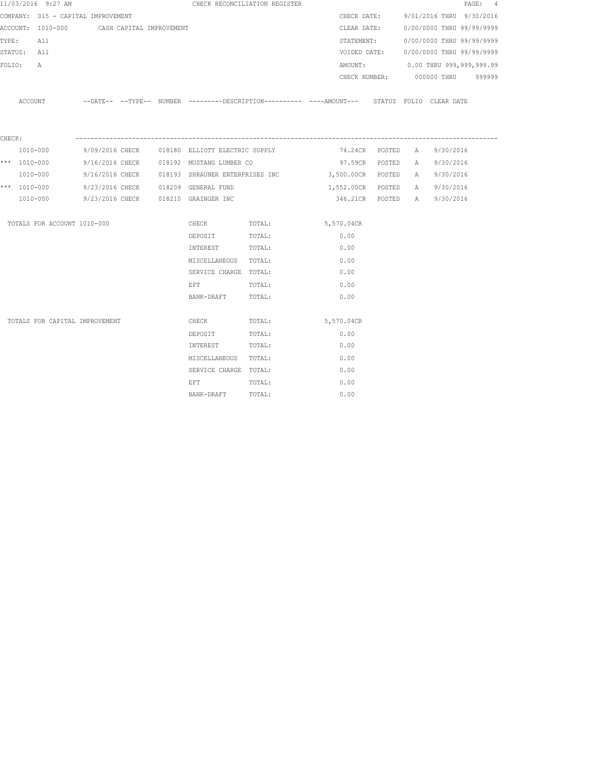|                 | 11/03/2016 9:27 AM                         |  |                                                | CHECK RECONCILIATION REGISTER |                                                                                             |  |                                        | PAGE: 4 |
|-----------------|--------------------------------------------|--|------------------------------------------------|-------------------------------|---------------------------------------------------------------------------------------------|--|----------------------------------------|---------|
|                 | COMPANY: 015 - CAPITAL IMPROVEMENT         |  |                                                |                               | CHECK DATE:                                                                                 |  | 9/01/2016 THRU 9/30/2016               |         |
|                 | ACCOUNT: 1010-000 CASH CAPITAL IMPROVEMENT |  |                                                |                               | CLEAR DATE:                                                                                 |  | 0/00/0000 THRU 99/99/9999              |         |
| TYPE:           | All                                        |  |                                                |                               |                                                                                             |  | STATEMENT: 0/00/0000 THRU 99/99/9999   |         |
|                 | STATUS: All                                |  |                                                |                               |                                                                                             |  | VOIDED DATE: 0/00/0000 THRU 99/99/9999 |         |
| FOLIO:          | A                                          |  |                                                |                               |                                                                                             |  | AMOUNT: 0.00 THRU 999,999,999.99       |         |
|                 |                                            |  |                                                |                               |                                                                                             |  | CHECK NUMBER: 000000 THRU 999999       |         |
|                 | ACCOUNT                                    |  |                                                |                               | --DATE-- --TYPE-- NUMBER --------DESCRIPTION---------- ---AMOUNT--- STATUS FOLIO CLEAR-DATE |  |                                        |         |
|                 |                                            |  |                                                |                               |                                                                                             |  |                                        |         |
| ${\tt CHECK}$ : |                                            |  |                                                |                               |                                                                                             |  |                                        |         |
|                 | 1010-000                                   |  | 9/09/2016 CHECK 018180 ELLIOTT ELECTRIC SUPPLY |                               |                                                                                             |  | 74.24CR POSTED A 9/30/2016             |         |
|                 | *** $1010 - 000$                           |  | 9/16/2016 CHECK 018192 MUSTANG LUMBER CO       |                               |                                                                                             |  | 97.59CR POSTED A 9/30/2016             |         |
|                 | 1010-000                                   |  |                                                |                               | 9/16/2016 CHECK 018193 SHRAUNER ENTERPRISES INC 3,500.00CR POSTED                           |  | A 9/30/2016                            |         |
|                 | *** 1010-000                               |  | 9/23/2016 CHECK 018209 GENERAL FUND            |                               | 1,552.00CR POSTED                                                                           |  | A 9/30/2016                            |         |
|                 | 1010-000                                   |  | 9/23/2016 CHECK 018210 GRAINGER INC            |                               |                                                                                             |  | 346.21CR POSTED A 9/30/2016            |         |
|                 | TOTALS FOR ACCOUNT 1010-000                |  |                                                | CHECK TOTAL: 5,570.04CR       |                                                                                             |  |                                        |         |
|                 |                                            |  | DEPOSIT                                        | TOTAL:                        | 0.00                                                                                        |  |                                        |         |
|                 |                                            |  | INTEREST                                       | TOTAL:                        | 0.00                                                                                        |  |                                        |         |
|                 |                                            |  | MISCELLANEOUS TOTAL:                           |                               | 0.00                                                                                        |  |                                        |         |
|                 |                                            |  | SERVICE CHARGE TOTAL:                          |                               | 0.00                                                                                        |  |                                        |         |
|                 |                                            |  | EFT                                            | TOTAL:                        | 0.00                                                                                        |  |                                        |         |
|                 |                                            |  | BANK-DRAFT TOTAL:                              |                               | 0.00                                                                                        |  |                                        |         |
|                 | TOTALS FOR CAPITAL IMPROVEMENT             |  | CHECK                                          | TOTAL:                        | 5,570.04CR                                                                                  |  |                                        |         |
|                 |                                            |  | DEPOSIT                                        | TOTAL:                        | 0.00                                                                                        |  |                                        |         |
|                 |                                            |  | INTEREST                                       | TOTAL:                        | 0.00                                                                                        |  |                                        |         |
|                 |                                            |  | MISCELLANEOUS TOTAL:                           |                               | 0.00                                                                                        |  |                                        |         |
|                 |                                            |  | SERVICE CHARGE TOTAL:                          |                               | 0.00                                                                                        |  |                                        |         |
|                 |                                            |  | EFT                                            | TOTAL:                        | 0.00                                                                                        |  |                                        |         |
|                 |                                            |  | BANK-DRAFT                                     | TOTAL:                        | 0.00                                                                                        |  |                                        |         |
|                 |                                            |  |                                                |                               |                                                                                             |  |                                        |         |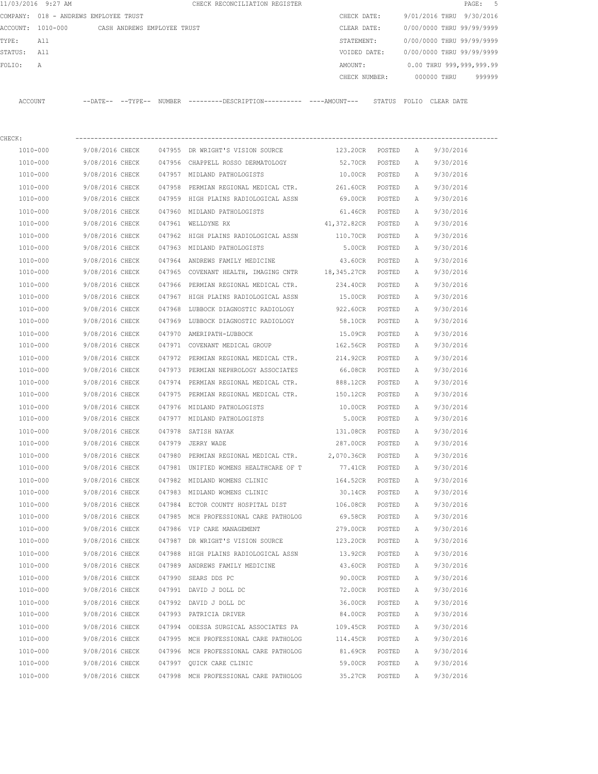|         | 11/03/2016 9:27 AM |                                       | CHECK RECONCILIATION REGISTER                |               |                           | PAGE: 5                  |  |
|---------|--------------------|---------------------------------------|----------------------------------------------|---------------|---------------------------|--------------------------|--|
|         |                    | COMPANY: 018 - ANDREWS EMPLOYEE TRUST |                                              | CHECK DATE:   | 9/01/2016 THRU 9/30/2016  |                          |  |
|         | ACCOUNT: 1010-000  | CASH ANDREWS EMPLOYEE TRUST           |                                              | CLEAR DATE:   | 0/00/0000 THRU 99/99/9999 |                          |  |
| TYPE:   | All                |                                       |                                              | STATEMENT:    | 0/00/0000 THRU 99/99/9999 |                          |  |
| STATUS: | All                |                                       |                                              | VOIDED DATE:  | 0/00/0000 THRU 99/99/9999 |                          |  |
| FOLTO:  | A                  |                                       |                                              | AMOUNT:       |                           | 0.00 THRU 999,999,999.99 |  |
|         |                    |                                       |                                              | CHECK NUMBER: | 000000 THRU               | 999999                   |  |
| ACCOUNT |                    | --DATE-- --TYPE-- NUMBER              | ---------DESCRIPTION---------- ----AMOUNT--- | STATUS        | FOLIO CLEAR DATE          |                          |  |
|         |                    |                                       |                                              |               |                           |                          |  |

| CHECK:   |                        |        |                                                         |                 |        |   |           |
|----------|------------------------|--------|---------------------------------------------------------|-----------------|--------|---|-----------|
| 1010-000 | 9/08/2016 CHECK        |        | 047955 DR WRIGHT'S VISION SOURCE                        | 123.20CR        | POSTED | A | 9/30/2016 |
| 1010-000 | 9/08/2016 CHECK        |        | 047956 CHAPPELL ROSSO DERMATOLOGY                       | 52.70CR         | POSTED | Α | 9/30/2016 |
| 1010-000 | 9/08/2016 CHECK        |        | 047957 MIDLAND PATHOLOGISTS                             | 10.00CR         | POSTED | А | 9/30/2016 |
| 1010-000 | 9/08/2016 CHECK        | 047958 | PERMIAN REGIONAL MEDICAL CTR.                           | 261.60CR        | POSTED | Α | 9/30/2016 |
| 1010-000 | 9/08/2016 CHECK        |        | 047959 HIGH PLAINS RADIOLOGICAL ASSN                    | 69.00CR         | POSTED | Α | 9/30/2016 |
| 1010-000 | 9/08/2016 CHECK        |        | 047960 MIDLAND PATHOLOGISTS                             | 61.46CR         | POSTED | А | 9/30/2016 |
| 1010-000 | 9/08/2016 CHECK        |        | 047961 WELLDYNE RX                                      | 41,372.82CR     | POSTED | А | 9/30/2016 |
| 1010-000 |                        |        | 9/08/2016 CHECK 047962 HIGH PLAINS RADIOLOGICAL ASSN    | 110.70CR        | POSTED | Α | 9/30/2016 |
| 1010-000 |                        |        | 9/08/2016 CHECK 047963 MIDLAND PATHOLOGISTS             | 5.00CR          | POSTED | Α | 9/30/2016 |
| 1010-000 | 9/08/2016 CHECK        |        | 047964 ANDREWS FAMILY MEDICINE                          | 43.60CR POSTED  |        | A | 9/30/2016 |
| 1010-000 | 9/08/2016 CHECK        |        | 047965 COVENANT HEALTH, IMAGING CNTR 18,345.27CR POSTED |                 |        | A | 9/30/2016 |
| 1010-000 | 9/08/2016 CHECK        |        | 047966 PERMIAN REGIONAL MEDICAL CTR.                    | 234.40CR POSTED |        | A | 9/30/2016 |
| 1010-000 | 9/08/2016 CHECK        |        | 047967 HIGH PLAINS RADIOLOGICAL ASSN                    | 15.00CR POSTED  |        | А | 9/30/2016 |
| 1010-000 | 9/08/2016 CHECK        | 047968 | LUBBOCK DIAGNOSTIC RADIOLOGY                            | 922.60CR        | POSTED | A | 9/30/2016 |
| 1010-000 | 9/08/2016 CHECK        |        | 047969 LUBBOCK DIAGNOSTIC RADIOLOGY                     | 58.10CR         | POSTED | Α | 9/30/2016 |
| 1010-000 | 9/08/2016 CHECK        |        | 047970 AMERIPATH-LUBBOCK                                | 15.09CR         | POSTED | Α | 9/30/2016 |
| 1010-000 | 9/08/2016 CHECK        |        | 047971 COVENANT MEDICAL GROUP                           | 162.56CR        | POSTED | Α | 9/30/2016 |
| 1010-000 | 9/08/2016 CHECK        |        | 047972 PERMIAN REGIONAL MEDICAL CTR.                    | 214.92CR        | POSTED | Α | 9/30/2016 |
| 1010-000 | 9/08/2016 CHECK        |        | 047973 PERMIAN NEPHROLOGY ASSOCIATES                    | 66.08CR         | POSTED | А | 9/30/2016 |
| 1010-000 | 9/08/2016 CHECK        |        | 047974 PERMIAN REGIONAL MEDICAL CTR.                    | 888.12CR        | POSTED | Α | 9/30/2016 |
| 1010-000 | 9/08/2016 CHECK        |        | 047975 PERMIAN REGIONAL MEDICAL CTR.                    | 150.12CR        | POSTED | Α | 9/30/2016 |
| 1010-000 | 9/08/2016 CHECK        |        | 047976 MIDLAND PATHOLOGISTS                             | 10.00CR         | POSTED | Α | 9/30/2016 |
| 1010-000 | 9/08/2016 CHECK        |        | 047977 MIDLAND PATHOLOGISTS                             | 5.00CR          | POSTED | А | 9/30/2016 |
| 1010-000 | 9/08/2016 CHECK        |        | 047978 SATISH NAYAK                                     | 131.08CR        | POSTED | А | 9/30/2016 |
| 1010-000 | 9/08/2016 CHECK        |        | 047979 JERRY WADE                                       | 287.00CR        | POSTED | А | 9/30/2016 |
| 1010-000 | 9/08/2016 CHECK        | 047980 | PERMIAN REGIONAL MEDICAL CTR. 2,070.36CR                |                 | POSTED | Α | 9/30/2016 |
| 1010-000 | 9/08/2016 CHECK        |        | 047981 UNIFIED WOMENS HEALTHCARE OF T                   | 77.41CR         | POSTED | A | 9/30/2016 |
| 1010-000 | 9/08/2016 CHECK        |        | 047982 MIDLAND WOMENS CLINIC                            | 164.52CR        | POSTED | Α | 9/30/2016 |
| 1010-000 | 9/08/2016 CHECK        |        | 047983 MIDLAND WOMENS CLINIC                            | 30.14CR         | POSTED | Α | 9/30/2016 |
| 1010-000 | 9/08/2016 CHECK        |        | 047984 ECTOR COUNTY HOSPITAL DIST                       | 106.08CR        | POSTED | А | 9/30/2016 |
| 1010-000 | 9/08/2016 CHECK        |        | 047985 MCH PROFESSIONAL CARE PATHOLOG                   | 69.58CR         | POSTED | Α | 9/30/2016 |
| 1010-000 | 9/08/2016 CHECK        |        | 047986 VIP CARE MANAGEMENT                              | 279.00CR        | POSTED | A | 9/30/2016 |
| 1010-000 |                        |        | 9/08/2016 CHECK 047987 DR WRIGHT'S VISION SOURCE        | 123.20CR        | POSTED | Α | 9/30/2016 |
| 1010-000 | 9/08/2016 CHECK 047988 |        | HIGH PLAINS RADIOLOGICAL ASSN                           | 13.92CR         | POSTED | Α | 9/30/2016 |
| 1010-000 | 9/08/2016 CHECK        |        | 047989 ANDREWS FAMILY MEDICINE                          | 43.60CR         | POSTED | Α | 9/30/2016 |
| 1010-000 | 9/08/2016 CHECK        |        | 047990 SEARS DDS PC                                     | 90.00CR         | POSTED | А | 9/30/2016 |
| 1010-000 | 9/08/2016 CHECK        |        | 047991 DAVID J DOLL DC                                  | 72.00CR         | POSTED | А | 9/30/2016 |
| 1010-000 | 9/08/2016 CHECK        |        | 047992 DAVID J DOLL DC                                  | 36.00CR         | POSTED | Α | 9/30/2016 |
| 1010-000 | 9/08/2016 CHECK        |        | 047993 PATRICIA DRIVER                                  | 84.00CR         | POSTED | Α | 9/30/2016 |
| 1010-000 | 9/08/2016 CHECK        |        | 047994 ODESSA SURGICAL ASSOCIATES PA                    | 109.45CR        | POSTED | Α | 9/30/2016 |
| 1010-000 | 9/08/2016 CHECK        |        | 047995 MCH PROFESSIONAL CARE PATHOLOG                   | 114.45CR        | POSTED | Α | 9/30/2016 |
| 1010-000 | 9/08/2016 CHECK        |        | 047996 MCH PROFESSIONAL CARE PATHOLOG                   | 81.69CR         | POSTED | А | 9/30/2016 |
| 1010-000 | 9/08/2016 CHECK        | 047997 | QUICK CARE CLINIC                                       | 59.00CR         | POSTED | Α | 9/30/2016 |
| 1010-000 | 9/08/2016 CHECK        |        | 047998 MCH PROFESSIONAL CARE PATHOLOG                   | 35.27CR         | POSTED | Α | 9/30/2016 |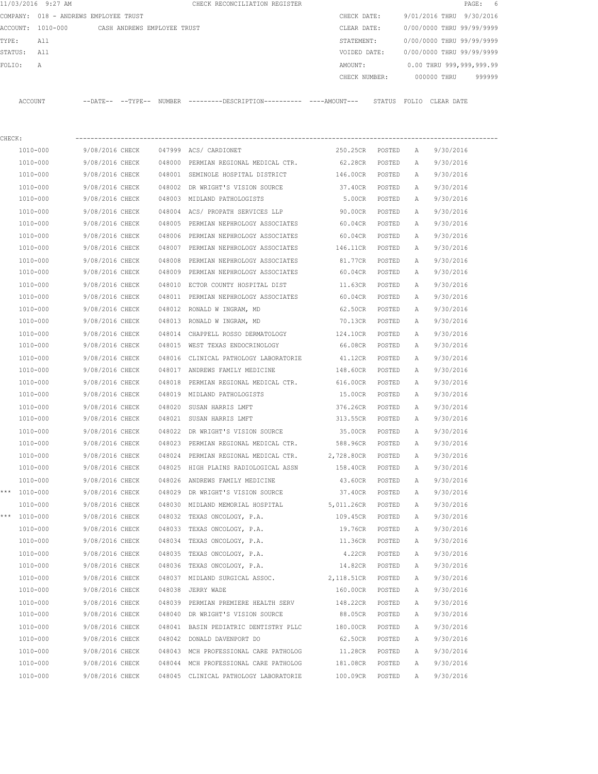|         | 11/03/2016 9:27 AM |                                       |        | CHECK RECONCILIATION REGISTER                 |  |               |        |                           |             | PAGE: 6 |        |
|---------|--------------------|---------------------------------------|--------|-----------------------------------------------|--|---------------|--------|---------------------------|-------------|---------|--------|
|         |                    | COMPANY: 018 - ANDREWS EMPLOYEE TRUST |        |                                               |  | CHECK DATE:   |        | 9/01/2016 THRU 9/30/2016  |             |         |        |
|         | ACCOUNT: 1010-000  | CASH ANDREWS EMPLOYEE TRUST           |        |                                               |  | CLEAR DATE:   |        | 0/00/0000 THRU 99/99/9999 |             |         |        |
| TYPE:   | All                |                                       |        |                                               |  | STATEMENT:    |        | 0/00/0000 THRU 99/99/9999 |             |         |        |
| STATUS: | All                |                                       |        |                                               |  | VOIDED DATE:  |        | 0/00/0000 THRU 99/99/9999 |             |         |        |
| FOLTO:  | $\overline{A}$     |                                       |        |                                               |  | AMOUNT:       |        | 0.00 THRU 999,999,999.99  |             |         |        |
|         |                    |                                       |        |                                               |  | CHECK NUMBER: |        |                           | 000000 THRU |         | 999999 |
|         |                    |                                       |        |                                               |  |               |        |                           |             |         |        |
| ACCOUNT |                    | $--$ DATE $- --$ TYPE $--$            | NUMBER | ---------DESCRIPTION----------- ----AMOUNT--- |  |               | STATUS | FOLTO                     | CLEAR DATE  |         |        |

| CHECK: |                  |                 |        |                                                                      |                   |        |              |           |
|--------|------------------|-----------------|--------|----------------------------------------------------------------------|-------------------|--------|--------------|-----------|
|        | 1010-000         | 9/08/2016 CHECK |        | 047999 ACS/ CARDIONET                                                | 250.25CR POSTED   |        | A            | 9/30/2016 |
|        | 1010-000         | 9/08/2016 CHECK |        | 048000 PERMIAN REGIONAL MEDICAL CTR.                                 | 62.28CR POSTED    |        | A            | 9/30/2016 |
|        | 1010-000         | 9/08/2016 CHECK |        | 048001 SEMINOLE HOSPITAL DISTRICT                                    | 146.00CR POSTED   |        | $\mathbb{A}$ | 9/30/2016 |
|        | 1010-000         | 9/08/2016 CHECK |        | 048002 DR WRIGHT'S VISION SOURCE                                     | 37.40CR POSTED    |        | A            | 9/30/2016 |
|        | 1010-000         | 9/08/2016 CHECK |        | 048003 MIDLAND PATHOLOGISTS                                          | 5.00CR POSTED     |        | A            | 9/30/2016 |
|        | 1010-000         | 9/08/2016 CHECK |        | 048004 ACS/ PROPATH SERVICES LLP                                     | 90.00CR POSTED    |        | A            | 9/30/2016 |
|        | 1010-000         | 9/08/2016 CHECK |        | 048005 PERMIAN NEPHROLOGY ASSOCIATES                                 | 60.04CR POSTED    |        | A            | 9/30/2016 |
|        | 1010-000         | 9/08/2016 CHECK |        | 048006 PERMIAN NEPHROLOGY ASSOCIATES                                 | 60.04CR POSTED    |        | Α            | 9/30/2016 |
|        | 1010-000         |                 |        | 9/08/2016 CHECK 048007 PERMIAN NEPHROLOGY ASSOCIATES 146.11CR POSTED |                   |        | A            | 9/30/2016 |
|        | 1010-000         |                 |        | 9/08/2016 CHECK 048008 PERMIAN NEPHROLOGY ASSOCIATES                 | 81.77CR POSTED    |        | Α            | 9/30/2016 |
|        | 1010-000         |                 |        | 9/08/2016 CHECK 048009 PERMIAN NEPHROLOGY ASSOCIATES                 | 60.04CR POSTED    |        | Α            | 9/30/2016 |
|        | 1010-000         |                 |        | 9/08/2016 CHECK 048010 ECTOR COUNTY HOSPITAL DIST                    | 11.63CR POSTED    |        | Α            | 9/30/2016 |
|        | 1010-000         | 9/08/2016 CHECK |        | 048011 PERMIAN NEPHROLOGY ASSOCIATES                                 | 60.04CR POSTED    |        | A            | 9/30/2016 |
|        | 1010-000         |                 |        | 9/08/2016 CHECK 048012 RONALD W INGRAM, MD                           | 62.50CR POSTED    |        | Α            | 9/30/2016 |
|        | 1010-000         |                 |        | 9/08/2016 CHECK 048013 RONALD W INGRAM, MD                           | 70.13CR POSTED    |        | A            | 9/30/2016 |
|        | 1010-000         |                 |        | 9/08/2016 CHECK 048014 CHAPPELL ROSSO DERMATOLOGY                    | 124.10CR POSTED   |        | A            | 9/30/2016 |
|        | 1010-000         | 9/08/2016 CHECK |        | 048015 WEST TEXAS ENDOCRINOLOGY                                      | 66.08CR POSTED    |        | A            | 9/30/2016 |
|        | 1010-000         | 9/08/2016 CHECK |        | 048016 CLINICAL PATHOLOGY LABORATORIE                                | 41.12CR POSTED    |        | Α            | 9/30/2016 |
|        | 1010-000         | 9/08/2016 CHECK |        | 048017 ANDREWS FAMILY MEDICINE                                       | 148.60CR POSTED   |        | Α            | 9/30/2016 |
|        | 1010-000         | 9/08/2016 CHECK | 048018 | PERMIAN REGIONAL MEDICAL CTR. 616.00CR POSTED                        |                   |        | Α            | 9/30/2016 |
|        | 1010-000         | 9/08/2016 CHECK |        | 048019 MIDLAND PATHOLOGISTS                                          | 15.00CR POSTED    |        | A            | 9/30/2016 |
|        | 1010-000         |                 |        | 9/08/2016 CHECK 048020 SUSAN HARRIS LMFT                             | 376.26CR          | POSTED | A            | 9/30/2016 |
|        | 1010-000         |                 |        | 9/08/2016 CHECK 048021 SUSAN HARRIS LMFT                             | 313.55CR          | POSTED | Α            | 9/30/2016 |
|        | 1010-000         |                 |        | 9/08/2016 CHECK 048022 DR WRIGHT'S VISION SOURCE                     | 35.00CR           | POSTED | A            | 9/30/2016 |
|        | 1010-000         |                 |        | 9/08/2016 CHECK 048023 PERMIAN REGIONAL MEDICAL CTR. 588.96CR POSTED |                   |        | A            | 9/30/2016 |
|        | 1010-000         | 9/08/2016 CHECK |        | 048024 PERMIAN REGIONAL MEDICAL CTR.                                 | 2,728.80CR POSTED |        | A            | 9/30/2016 |
|        | 1010-000         |                 |        | 9/08/2016 CHECK 048025 HIGH PLAINS RADIOLOGICAL ASSN                 | 158.40CR POSTED   |        | A            | 9/30/2016 |
|        | 1010-000         | 9/08/2016 CHECK |        | 048026 ANDREWS FAMILY MEDICINE                                       | 43.60CR POSTED    |        | A            | 9/30/2016 |
|        | *** 1010-000     |                 |        | 9/08/2016 CHECK 048029 DR WRIGHT'S VISION SOURCE                     | 37.40CR POSTED    |        | A            | 9/30/2016 |
|        | 1010-000         | 9/08/2016 CHECK |        | 048030 MIDLAND MEMORIAL HOSPITAL 5,011.26CR POSTED                   |                   |        | A            | 9/30/2016 |
|        | *** $1010 - 000$ |                 |        | 9/08/2016 CHECK 048032 TEXAS ONCOLOGY, P.A.                          | 109.45CR POSTED   |        | Α            | 9/30/2016 |
|        | 1010-000         | 9/08/2016 CHECK |        | 048033 TEXAS ONCOLOGY, P.A.                                          | 19.76CR POSTED    |        | A            | 9/30/2016 |
|        | 1010-000         |                 |        | $9/08/2016$ CHECK 048034 TEXAS ONCOLOGY, P.A.                        | 11.36CR POSTED    |        | A            | 9/30/2016 |
|        | 1010-000         | 9/08/2016 CHECK |        | 048035 TEXAS ONCOLOGY, P.A.                                          | 4.22CR            | POSTED | A            | 9/30/2016 |
|        | 1010-000         | 9/08/2016 CHECK |        | 048036 TEXAS ONCOLOGY, P.A.                                          | 14.82CR           | POSTED | A            | 9/30/2016 |
|        | 1010-000         | 9/08/2016 CHECK |        | 048037 MIDLAND SURGICAL ASSOC.                                       | 2,118.51CR        | POSTED | А            | 9/30/2016 |
|        | 1010-000         | 9/08/2016 CHECK | 048038 | JERRY WADE                                                           | 160.00CR          | POSTED | А            | 9/30/2016 |
|        | 1010-000         | 9/08/2016 CHECK |        | 048039 PERMIAN PREMIERE HEALTH SERV                                  | 148.22CR          | POSTED | Α            | 9/30/2016 |
|        | 1010-000         | 9/08/2016 CHECK |        | 048040 DR WRIGHT'S VISION SOURCE                                     | 88.05CR           | POSTED | Α            | 9/30/2016 |
|        | 1010-000         | 9/08/2016 CHECK |        | 048041 BASIN PEDIATRIC DENTISTRY PLLC                                | 180.00CR          | POSTED | Α            | 9/30/2016 |
|        | 1010-000         | 9/08/2016 CHECK |        | 048042 DONALD DAVENPORT DO                                           | 62.50CR           | POSTED | Α            | 9/30/2016 |
|        | 1010-000         | 9/08/2016 CHECK | 048043 | MCH PROFESSIONAL CARE PATHOLOG                                       | 11.28CR           | POSTED | Α            | 9/30/2016 |
|        | 1010-000         | 9/08/2016 CHECK | 048044 | MCH PROFESSIONAL CARE PATHOLOG                                       | 181.08CR          | POSTED | Α            | 9/30/2016 |
|        | 1010-000         | 9/08/2016 CHECK |        | 048045 CLINICAL PATHOLOGY LABORATORIE                                | 100.09CR          | POSTED | Α            | 9/30/2016 |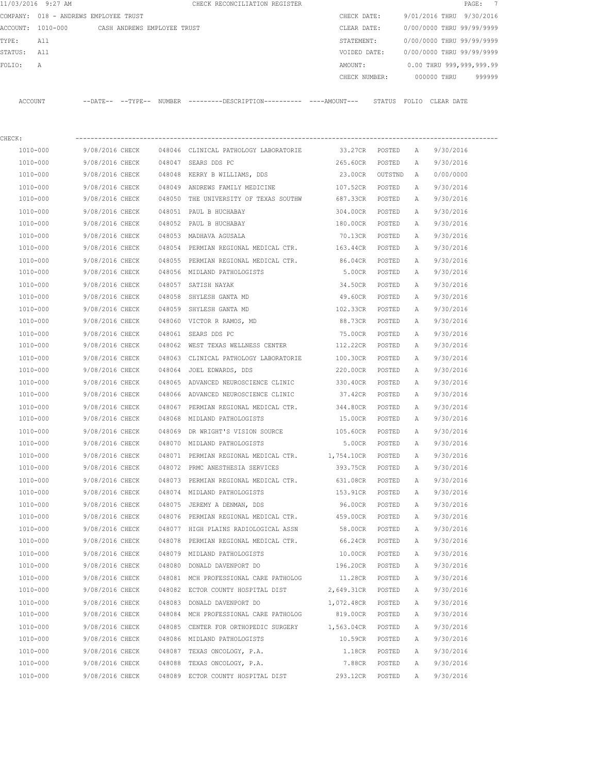|             | 11/03/2016 9:27 AM                            |                 |                 | CHECK RECONCILIATION REGISTER                                                               |                  |        |          | PAGE: 7                                                         |
|-------------|-----------------------------------------------|-----------------|-----------------|---------------------------------------------------------------------------------------------|------------------|--------|----------|-----------------------------------------------------------------|
|             | COMPANY: 018 - ANDREWS EMPLOYEE TRUST         |                 |                 |                                                                                             | CHECK DATE:      |        |          | 9/01/2016 THRU 9/30/2016                                        |
|             | ACCOUNT: 1010-000 CASH ANDREWS EMPLOYEE TRUST |                 |                 |                                                                                             | CLEAR DATE:      |        |          | 0/00/0000 THRU 99/99/9999                                       |
| TYPE:       | All                                           |                 |                 |                                                                                             | STATEMENT:       |        |          | 0/00/0000 THRU 99/99/9999                                       |
| STATUS: All |                                               |                 |                 |                                                                                             | VOIDED DATE:     |        |          | 0/00/0000 THRU 99/99/9999                                       |
| FOLIO:      | Α                                             |                 |                 |                                                                                             | AMOUNT:          |        |          | 0.00 THRU 999,999,999.99<br>CHECK NUMBER: 000000 THRU<br>999999 |
|             |                                               |                 |                 |                                                                                             |                  |        |          |                                                                 |
|             | ACCOUNT                                       |                 |                 | --DATE-- --TYPE-- NUMBER --------DESCRIPTION--------- ----AMOUNT--- STATUS FOLIO CLEAR-DATE |                  |        |          |                                                                 |
| CHECK:      |                                               |                 |                 |                                                                                             |                  |        |          |                                                                 |
|             | 1010-000                                      |                 |                 | 9/08/2016 CHECK 048046 CLINICAL PATHOLOGY LABORATORIE                                       | 33.27CR POSTED A |        |          | 9/30/2016                                                       |
|             | 1010-000                                      | 9/08/2016 CHECK |                 | 048047 SEARS DDS PC                                                                         | 265.60CR POSTED  |        | <b>A</b> | 9/30/2016                                                       |
|             | 1010-000                                      | 9/08/2016 CHECK |                 | 048048 KERRY B WILLIAMS, DDS                                                                | 23.00CR OUTSTND  |        | A        | 0/00/0000                                                       |
|             | 1010-000                                      | 9/08/2016 CHECK |                 | 048049 ANDREWS FAMILY MEDICINE                                                              | 107.52CR         | POSTED | Α        | 9/30/2016                                                       |
|             | 1010-000                                      | 9/08/2016 CHECK |                 | 048050 THE UNIVERSITY OF TEXAS SOUTHW 687.33CR                                              |                  | POSTED | A        | 9/30/2016                                                       |
|             | 1010-000                                      | 9/08/2016 CHECK |                 | 048051 PAUL B HUCHABAY                                                                      | 304.00CR         | POSTED | A        | 9/30/2016                                                       |
|             | 1010-000                                      | 9/08/2016 CHECK |                 | 048052 PAUL B HUCHABAY                                                                      | 180.00CR         | POSTED | A        | 9/30/2016                                                       |
|             | 1010-000                                      | 9/08/2016 CHECK |                 | 048053 MADHAVA AGUSALA                                                                      | 70.13CR          | POSTED | A        | 9/30/2016                                                       |
|             | 1010-000                                      |                 | 9/08/2016 CHECK | 048054 PERMIAN REGIONAL MEDICAL CTR. 163.44CR                                               |                  | POSTED | A        | 9/30/2016                                                       |
|             | 1010-000                                      | 9/08/2016 CHECK |                 | 048055 PERMIAN REGIONAL MEDICAL CTR.                                                        | 86.04CR          | POSTED | A        | 9/30/2016                                                       |
|             | 1010-000                                      | 9/08/2016 CHECK |                 | 048056 MIDLAND PATHOLOGISTS                                                                 | 5.00CR           | POSTED | A        | 9/30/2016                                                       |
|             | 1010-000                                      | 9/08/2016 CHECK |                 | 048057 SATISH NAYAK                                                                         | 34.50CR POSTED   |        | Α        | 9/30/2016                                                       |
|             | 1010-000                                      | 9/08/2016 CHECK |                 | 048058 SHYLESH GANTA MD                                                                     | 49.60CR POSTED   |        | A        | 9/30/2016                                                       |
|             | 1010-000                                      | 9/08/2016 CHECK |                 | 048059 SHYLESH GANTA MD                                                                     | 102.33CR POSTED  |        | A        | 9/30/2016                                                       |
|             | 1010-000                                      | 9/08/2016 CHECK |                 | 048060 VICTOR R RAMOS, MD                                                                   | 88.73CR POSTED   |        | A        | 9/30/2016                                                       |
|             | 1010-000                                      | 9/08/2016 CHECK |                 | 048061 SEARS DDS PC                                                                         | 75.00CR          | POSTED | Α        | 9/30/2016                                                       |
|             | 1010-000                                      | 9/08/2016 CHECK |                 | 048062 WEST TEXAS WELLNESS CENTER                                                           | 112.22CR         | POSTED | A        | 9/30/2016                                                       |
|             | 1010-000                                      | 9/08/2016 CHECK |                 | 048063 CLINICAL PATHOLOGY LABORATORIE                                                       | 100.30CR         | POSTED | A        | 9/30/2016                                                       |
|             | 1010-000                                      | 9/08/2016 CHECK |                 | 048064 JOEL EDWARDS, DDS                                                                    | 220.00CR         | POSTED | A        | 9/30/2016                                                       |
|             | 1010-000                                      | 9/08/2016 CHECK |                 | 048065 ADVANCED NEUROSCIENCE CLINIC                                                         | 330.40CR         | POSTED | A        | 9/30/2016                                                       |
|             | 1010-000                                      |                 | 9/08/2016 CHECK | 048066 ADVANCED NEUROSCIENCE CLINIC                                                         | 37.42CR          | POSTED | A        | 9/30/2016                                                       |
|             |                                               | 9/08/2016 CHECK |                 |                                                                                             |                  |        |          |                                                                 |
|             | 1010-000                                      |                 |                 | 048067 PERMIAN REGIONAL MEDICAL CTR.                                                        | 344.80CR         | POSTED | A        | 9/30/2016                                                       |
|             | 1010-000                                      |                 |                 | 9/08/2016 CHECK 048068 MIDLAND PATHOLOGISTS                                                 | 15.00CR          | POSTED | A        | 9/30/2016                                                       |
|             | 1010-000                                      | 9/08/2016 CHECK |                 | 048069 DR WRIGHT'S VISION SOURCE                                                            | 105.60CR         | POSTED | A        | 9/30/2016                                                       |
|             | 1010-000                                      | 9/08/2016 CHECK |                 | 048070 MIDLAND PATHOLOGISTS                                                                 | 5.00CR           | POSTED | Α        | 9/30/2016                                                       |
|             | 1010-000                                      | 9/08/2016 CHECK |                 | 048071 PERMIAN REGIONAL MEDICAL CTR.                                                        | 1,754.10CR       | POSTED | Α        | 9/30/2016                                                       |
|             | 1010-000                                      | 9/08/2016 CHECK |                 | 048072 PRMC ANESTHESIA SERVICES                                                             | 393.75CR         | POSTED | Α        | 9/30/2016                                                       |
|             | 1010-000                                      | 9/08/2016 CHECK |                 | 048073 PERMIAN REGIONAL MEDICAL CTR.                                                        | 631.08CR         | POSTED | Α        | 9/30/2016                                                       |
|             | 1010-000                                      | 9/08/2016 CHECK |                 | 048074 MIDLAND PATHOLOGISTS                                                                 | 153.91CR         | POSTED | Α        | 9/30/2016                                                       |
|             | 1010-000                                      | 9/08/2016 CHECK |                 | 048075 JEREMY A DENMAN, DDS                                                                 | 96.00CR          | POSTED | Α        | 9/30/2016                                                       |
|             | 1010-000                                      | 9/08/2016 CHECK |                 | 048076 PERMIAN REGIONAL MEDICAL CTR. 459.00CR                                               |                  | POSTED | Α        | 9/30/2016                                                       |
|             | 1010-000                                      | 9/08/2016 CHECK |                 | 048077 HIGH PLAINS RADIOLOGICAL ASSN                                                        | 58.00CR          | POSTED | Α        | 9/30/2016                                                       |
|             | 1010-000                                      | 9/08/2016 CHECK |                 | 048078 PERMIAN REGIONAL MEDICAL CTR.                                                        | 66.24CR          | POSTED | Α        | 9/30/2016                                                       |
|             | 1010-000                                      | 9/08/2016 CHECK |                 | 048079 MIDLAND PATHOLOGISTS                                                                 | 10.00CR          | POSTED | Α        | 9/30/2016                                                       |
|             | 1010-000                                      | 9/08/2016 CHECK |                 | 048080 DONALD DAVENPORT DO                                                                  | 196.20CR         | POSTED | Α        | 9/30/2016                                                       |
|             | 1010-000                                      | 9/08/2016 CHECK |                 | 048081 MCH PROFESSIONAL CARE PATHOLOG                                                       | 11.28CR          | POSTED | Α        | 9/30/2016                                                       |
|             | 1010-000                                      | 9/08/2016 CHECK |                 | 048082 ECTOR COUNTY HOSPITAL DIST                                                           | 2,649.31CR       | POSTED | Α        | 9/30/2016                                                       |
|             | 1010-000                                      | 9/08/2016 CHECK |                 | 048083 DONALD DAVENPORT DO                                                                  | 1,072.48CR       | POSTED | Α        | 9/30/2016                                                       |
|             | 1010-000                                      | 9/08/2016 CHECK |                 | 048084 MCH PROFESSIONAL CARE PATHOLOG                                                       | 819.00CR         | POSTED | Α        | 9/30/2016                                                       |
|             | 1010-000                                      | 9/08/2016 CHECK |                 | 048085 CENTER FOR ORTHOPEDIC SURGERY 1,563.04CR                                             |                  | POSTED | Α        | 9/30/2016                                                       |
|             | 1010-000                                      | 9/08/2016 CHECK |                 | 048086 MIDLAND PATHOLOGISTS                                                                 | 10.59CR          | POSTED | Α        | 9/30/2016                                                       |
|             | 1010-000                                      | 9/08/2016 CHECK |                 | 048087 TEXAS ONCOLOGY, P.A.                                                                 | 1.18CR           | POSTED | Α        | 9/30/2016                                                       |
|             | 1010-000                                      | 9/08/2016 CHECK |                 | 048088 TEXAS ONCOLOGY, P.A.                                                                 | 7.88CR           | POSTED | Α        | 9/30/2016                                                       |
|             | 1010-000                                      | 9/08/2016 CHECK |                 | 048089 ECTOR COUNTY HOSPITAL DIST                                                           | 293.12CR         | POSTED | Α        | 9/30/2016                                                       |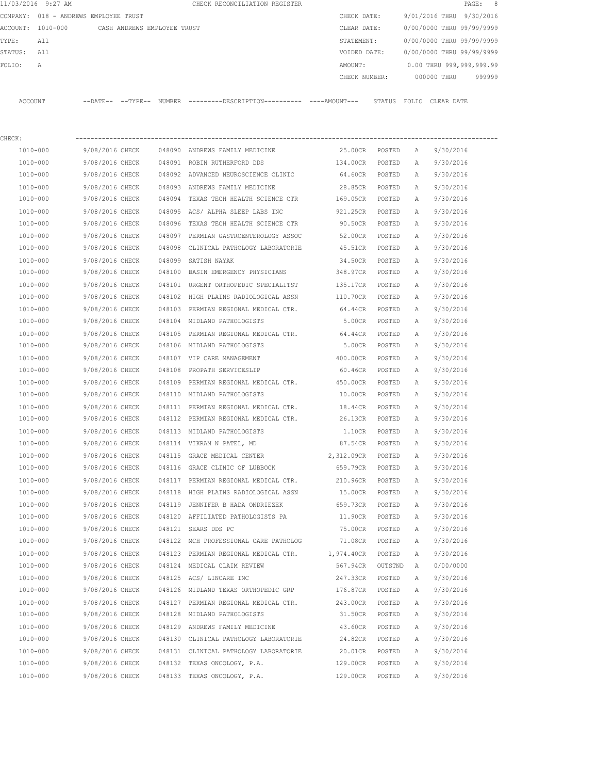|                | 11/03/2016 9:27 AM                    |                             |        | CHECK RECONCILIATION REGISTER  |          |               |                  |              |                           | PAGE: | $_{\rm 8}$ |
|----------------|---------------------------------------|-----------------------------|--------|--------------------------------|----------|---------------|------------------|--------------|---------------------------|-------|------------|
|                | COMPANY: 018 - ANDREWS EMPLOYEE TRUST |                             |        |                                |          | CHECK DATE:   |                  |              | 9/01/2016 THRU 9/30/2016  |       |            |
| ACCOUNT:       | 1010-000                              | CASH ANDREWS EMPLOYEE TRUST |        |                                |          | CLEAR DATE:   |                  |              | 0/00/0000 THRU 99/99/9999 |       |            |
| TYPE:          | All                                   |                             |        |                                |          | STATEMENT:    |                  |              | 0/00/0000 THRU 99/99/9999 |       |            |
| STATUS:        | All                                   |                             |        |                                |          | VOIDED DATE:  |                  |              | 0/00/0000 THRU 99/99/9999 |       |            |
| FOLIO:         | Α                                     |                             |        |                                |          | AMOUNT:       |                  |              | 0.00 THRU 999,999,999.99  |       |            |
|                |                                       |                             |        |                                |          | CHECK NUMBER: |                  |              | 000000 THRU               |       | 999999     |
| <b>ACCOUNT</b> |                                       | --DATE-- --TYPE--           | NUMBER |                                |          |               | STATUS           | FOLTO        | CLEAR DATE                |       |            |
| CHECK:         |                                       |                             |        |                                |          |               |                  |              |                           |       |            |
|                | 1010-000                              | 9/08/2016 CHECK             | 048090 | ANDREWS FAMILY MEDICINE        |          | 25.00CR       | POSTED           | $\mathbb{A}$ | 9/30/2016                 |       |            |
|                | 1010-000                              | 9/08/2016 CHECK             | 048091 | ROBIN RUTHERFORD DDS           | 134.00CR |               | POSTED           | $\mathbb{A}$ | 9/30/2016                 |       |            |
|                | 1010-000                              | 9/08/2016 CHECK             | 048092 | ADVANCED NEUROSCIENCE CLINIC   | 64.60CR  |               | POSTED           | $\mathbb{A}$ | 9/30/2016                 |       |            |
|                | 1010 000                              | 0/00/0016 OUROV             |        | 040000 BMDDEWO EBMITY MEDICINE |          | 00 OEOD -     | $D\cap C \cap D$ |              | 0/20/201                  |       |            |

| 1010-000             | 9/08/2016 CHECK                    | 048092 ADVANCED NEUROSCIENCE CLINIC                  | 64.60CR             | POSTED           | А      | 9/30/2016              |
|----------------------|------------------------------------|------------------------------------------------------|---------------------|------------------|--------|------------------------|
|                      |                                    | 048093 ANDREWS FAMILY MEDICINE                       |                     |                  |        |                        |
| 1010-000<br>1010-000 | 9/08/2016 CHECK<br>9/08/2016 CHECK | 048094 TEXAS TECH HEALTH SCIENCE CTR                 | 28.85CR<br>169.05CR | POSTED<br>POSTED | Α<br>Α | 9/30/2016<br>9/30/2016 |
|                      |                                    |                                                      |                     |                  |        |                        |
| 1010-000             |                                    | 9/08/2016 CHECK 048095 ACS/ ALPHA SLEEP LABS INC     | 921.25CR            | POSTED           | Α      | 9/30/2016              |
| 1010-000             | 9/08/2016 CHECK                    | 048096 TEXAS TECH HEALTH SCIENCE CTR                 | 90.50CR             | POSTED           | Α      | 9/30/2016              |
| 1010-000             | 9/08/2016 CHECK                    | 048097 PERMIAN GASTROENTEROLOGY ASSOC                | 52.00CR             | POSTED           | Α      | 9/30/2016              |
| 1010-000             | 9/08/2016 CHECK                    | 048098 CLINICAL PATHOLOGY LABORATORIE                | 45.51CR             | POSTED           | Α      | 9/30/2016              |
| 1010-000             | 9/08/2016 CHECK                    | 048099 SATISH NAYAK                                  | 34.50CR             | POSTED           | A      | 9/30/2016              |
| 1010-000             | 9/08/2016 CHECK                    | 048100 BASIN EMERGENCY PHYSICIANS                    | 348.97CR            | POSTED           | Α      | 9/30/2016              |
| 1010-000             | 9/08/2016 CHECK                    | 048101 URGENT ORTHOPEDIC SPECIALITST                 | 135.17CR            | POSTED           | A      | 9/30/2016              |
| 1010-000             | 9/08/2016 CHECK                    | 048102 HIGH PLAINS RADIOLOGICAL ASSN                 | 110.70CR            | POSTED           | A      | 9/30/2016              |
| 1010-000             | 9/08/2016 CHECK                    | 048103 PERMIAN REGIONAL MEDICAL CTR.                 | 64.44CR             | POSTED           | Α      | 9/30/2016              |
| 1010-000             | 9/08/2016 CHECK                    | 048104 MIDLAND PATHOLOGISTS                          | 5.00CR              | POSTED           | Α      | 9/30/2016              |
| 1010-000             | 9/08/2016 CHECK                    | 048105 PERMIAN REGIONAL MEDICAL CTR. 64.44CR         |                     | POSTED           | Α      | 9/30/2016              |
| 1010-000             |                                    | 9/08/2016 CHECK 048106 MIDLAND PATHOLOGISTS          | 5.00CR              | POSTED           | Α      | 9/30/2016              |
| 1010-000             | 9/08/2016 CHECK                    | 048107 VIP CARE MANAGEMENT                           | 400.00CR            | POSTED           | Α      | 9/30/2016              |
| 1010-000             | 9/08/2016 CHECK                    | 048108 PROPATH SERVICESLIP                           | 60.46CR             | POSTED           | Α      | 9/30/2016              |
| 1010-000             | 9/08/2016 CHECK                    | 048109 PERMIAN REGIONAL MEDICAL CTR. 450.00CR        |                     | POSTED           | Α      | 9/30/2016              |
| 1010-000             | 9/08/2016 CHECK                    | 048110 MIDLAND PATHOLOGISTS                          | 10.00CR             | POSTED           | Α      | 9/30/2016              |
| 1010-000             | 9/08/2016 CHECK                    | 048111 PERMIAN REGIONAL MEDICAL CTR.                 | 18.44CR             | POSTED           | Α      | 9/30/2016              |
| 1010-000             | 9/08/2016 CHECK                    | 048112 PERMIAN REGIONAL MEDICAL CTR.                 | 26.13CR             | POSTED           | Α      | 9/30/2016              |
| 1010-000             | 9/08/2016 CHECK                    | 048113 MIDLAND PATHOLOGISTS                          | 1.10CR              | POSTED           | Α      | 9/30/2016              |
| 1010-000             | 9/08/2016 CHECK                    | 048114 VIKRAM N PATEL, MD                            | 87.54CR             | POSTED           | A      | 9/30/2016              |
| 1010-000             | 9/08/2016 CHECK                    | 048115 GRACE MEDICAL CENTER                          | 2,312.09CR          | POSTED           | Α      | 9/30/2016              |
| 1010-000             | 9/08/2016 CHECK                    | 048116 GRACE CLINIC OF LUBBOCK                       | 659.79CR            | POSTED           | Α      | 9/30/2016              |
| 1010-000             | 9/08/2016 CHECK                    | 048117 PERMIAN REGIONAL MEDICAL CTR.                 | 210.96CR            | POSTED           | Α      | 9/30/2016              |
| 1010-000             |                                    | 9/08/2016 CHECK 048118 HIGH PLAINS RADIOLOGICAL ASSN | 15.00CR             | POSTED           | А      | 9/30/2016              |
| 1010-000             | 9/08/2016 CHECK                    | 048119 JENNIFER B HADA ONDRIEZEK                     | 659.73CR            | POSTED           | Α      | 9/30/2016              |
| 1010-000             | 9/08/2016 CHECK                    | 048120 AFFILIATED PATHOLOGISTS PA                    | 11.90CR             | POSTED           | Α      | 9/30/2016              |
| 1010-000             | 9/08/2016 CHECK                    | 048121 SEARS DDS PC                                  | 75.00CR             | POSTED           | Α      | 9/30/2016              |
| 1010-000             | 9/08/2016 CHECK                    | 048122 MCH PROFESSIONAL CARE PATHOLOG                | 71.08CR             | POSTED           | Α      | 9/30/2016              |
| 1010-000             | 9/08/2016 CHECK                    | 048123 PERMIAN REGIONAL MEDICAL CTR.                 | 1,974.40CR          | POSTED           | Α      | 9/30/2016              |
| 1010-000             | 9/08/2016 CHECK                    | 048124 MEDICAL CLAIM REVIEW                          | 567.94CR OUTSTND    |                  | A      | 0/00/0000              |
| 1010-000             | 9/08/2016 CHECK                    | 048125 ACS/ LINCARE INC                              | 247.33CR            | POSTED           | A      | 9/30/2016              |
| 1010-000             | 9/08/2016 CHECK                    | 048126 MIDLAND TEXAS ORTHOPEDIC GRP                  | 176.87CR            | POSTED           | A      | 9/30/2016              |
| 1010-000             | 9/08/2016 CHECK                    | 048127 PERMIAN REGIONAL MEDICAL CTR.                 | 243.00CR            | POSTED           | Α      | 9/30/2016              |
| 1010-000             | 9/08/2016 CHECK                    | 048128 MIDLAND PATHOLOGISTS                          | 31.50CR             | POSTED           | Α      | 9/30/2016              |
| 1010-000             | 9/08/2016 CHECK                    | 048129 ANDREWS FAMILY MEDICINE                       | 43.60CR             | POSTED           | Α      | 9/30/2016              |
| 1010-000             | 9/08/2016 CHECK                    | 048130 CLINICAL PATHOLOGY LABORATORIE                | 24.82CR             | POSTED           | Α      | 9/30/2016              |
|                      |                                    |                                                      | 20.01CR             |                  |        | 9/30/2016              |
| 1010-000             | 9/08/2016 CHECK                    | 048131 CLINICAL PATHOLOGY LABORATORIE                | 129.00CR            | POSTED           | Α      |                        |
| 1010-000             | 9/08/2016 CHECK                    | 048132 TEXAS ONCOLOGY, P.A.                          |                     | POSTED           | Α      | 9/30/2016              |
| 1010-000             | 9/08/2016 CHECK                    | 048133 TEXAS ONCOLOGY, P.A.                          | 129.00CR            | POSTED           | Α      | 9/30/2016              |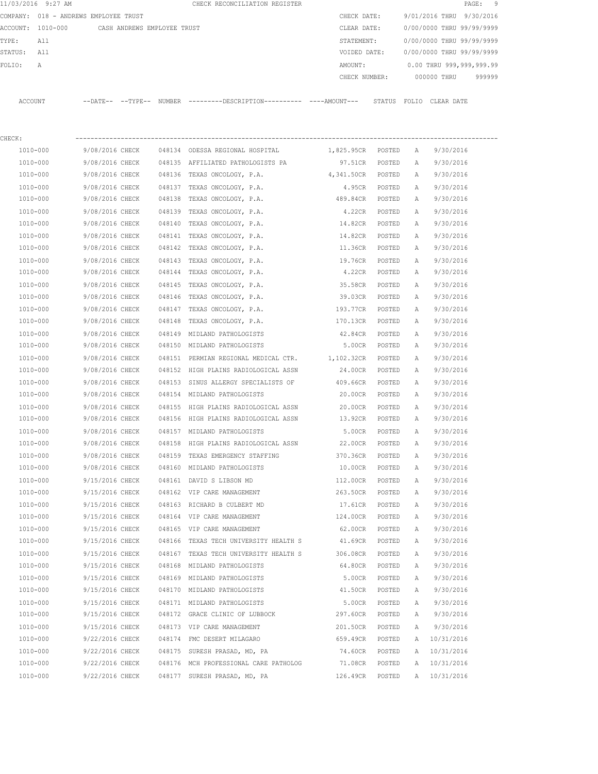|         | 11/03/2016 9:27 AM                    |                 |                             |        | CHECK RECONCILIATION REGISTER                                                                |                   |        |              |                           | 9<br>$\mathtt{PAGE}$ : |
|---------|---------------------------------------|-----------------|-----------------------------|--------|----------------------------------------------------------------------------------------------|-------------------|--------|--------------|---------------------------|------------------------|
|         | COMPANY: 018 - ANDREWS EMPLOYEE TRUST |                 |                             |        |                                                                                              | CHECK DATE:       |        |              | 9/01/2016 THRU 9/30/2016  |                        |
|         | ACCOUNT: 1010-000                     |                 | CASH ANDREWS EMPLOYEE TRUST |        |                                                                                              | CLEAR DATE:       |        |              | 0/00/0000 THRU 99/99/9999 |                        |
| TYPE:   | All                                   |                 |                             |        |                                                                                              | STATEMENT:        |        |              | 0/00/0000 THRU 99/99/9999 |                        |
| STATUS: | All                                   |                 |                             |        |                                                                                              | VOIDED DATE:      |        |              | 0/00/0000 THRU 99/99/9999 |                        |
| FOLIO:  | Α                                     |                 |                             |        |                                                                                              | AMOUNT:           |        |              | 0.00 THRU 999,999,999.99  |                        |
|         |                                       |                 |                             |        |                                                                                              | CHECK NUMBER:     |        |              | 000000 THRU               | 999999                 |
|         | ACCOUNT                               |                 |                             |        | --DATE-- --TYPE-- NUMBER --------DESCRIPTION---------- ----AMOUNT--- STATUS FOLIO CLEAR-DATE |                   |        |              |                           |                        |
| CHECK:  |                                       |                 |                             |        |                                                                                              |                   |        |              |                           |                        |
|         | 1010-000                              | 9/08/2016 CHECK |                             |        | 048134 ODESSA REGIONAL HOSPITAL                                                              | 1,825.95CR POSTED |        | A            | 9/30/2016                 |                        |
|         | 1010-000                              | 9/08/2016 CHECK |                             |        | 048135 AFFILIATED PATHOLOGISTS PA                                                            | 97.51CR POSTED    |        | Α            | 9/30/2016                 |                        |
|         | 1010-000                              | 9/08/2016 CHECK |                             |        | 048136 TEXAS ONCOLOGY, P.A.                                                                  | 4,341.50CR POSTED |        | $\mathbb{A}$ | 9/30/2016                 |                        |
|         | 1010-000                              | 9/08/2016 CHECK |                             |        | 048137 TEXAS ONCOLOGY, P.A.                                                                  | 4.95CR POSTED     |        | A            | 9/30/2016                 |                        |
|         | 1010-000                              | 9/08/2016 CHECK |                             |        | 048138 TEXAS ONCOLOGY, P.A.                                                                  | 489.84CR POSTED   |        | A            | 9/30/2016                 |                        |
|         | 1010-000                              | 9/08/2016 CHECK |                             | 048139 | TEXAS ONCOLOGY, P.A.                                                                         | 4.22CR            | POSTED | A            | 9/30/2016                 |                        |
|         | 1010-000                              | 9/08/2016 CHECK |                             | 048140 | TEXAS ONCOLOGY, P.A.                                                                         | 14.82CR           | POSTED | A            | 9/30/2016                 |                        |
|         | 1010-000                              | 9/08/2016 CHECK |                             |        | 048141 TEXAS ONCOLOGY, P.A.                                                                  | 14.82CR           | POSTED | A            | 9/30/2016                 |                        |
|         | 1010-000                              | 9/08/2016 CHECK |                             |        | 048142 TEXAS ONCOLOGY, P.A.                                                                  | 11.36CR           | POSTED | A            | 9/30/2016                 |                        |
|         | 1010-000                              | 9/08/2016 CHECK |                             | 048143 | TEXAS ONCOLOGY, P.A.                                                                         | 19.76CR           | POSTED | A            | 9/30/2016                 |                        |
|         | 1010-000                              | 9/08/2016 CHECK |                             |        | 048144 TEXAS ONCOLOGY, P.A.                                                                  | 4.22CR            | POSTED | Α            | 9/30/2016                 |                        |
|         | 1010-000                              | 9/08/2016 CHECK |                             | 048145 | TEXAS ONCOLOGY, P.A.                                                                         | 35.58CR           | POSTED | Α            | 9/30/2016                 |                        |
|         | 1010-000                              | 9/08/2016 CHECK |                             | 048146 | TEXAS ONCOLOGY, P.A.                                                                         | 39.03CR           | POSTED | Α            | 9/30/2016                 |                        |
|         | 1010-000                              | 9/08/2016 CHECK |                             | 048147 | TEXAS ONCOLOGY, P.A.                                                                         | 193.77CR          | POSTED | Α            | 9/30/2016                 |                        |
|         | 1010-000                              | 9/08/2016 CHECK |                             | 048148 | TEXAS ONCOLOGY, P.A.                                                                         | 170.13CR          | POSTED | A            | 9/30/2016                 |                        |
|         | 1010-000                              | 9/08/2016 CHECK |                             |        | 048149 MIDLAND PATHOLOGISTS                                                                  | 42.84CR           | POSTED | A            | 9/30/2016                 |                        |
|         | 1010-000                              | 9/08/2016 CHECK |                             |        | 048150 MIDLAND PATHOLOGISTS                                                                  | 5.00CR            | POSTED | A            | 9/30/2016                 |                        |
|         | 1010-000                              | 9/08/2016 CHECK |                             | 048151 | PERMIAN REGIONAL MEDICAL CTR. 1,102.32CR                                                     |                   | POSTED | A            | 9/30/2016                 |                        |
|         | 1010-000                              | 9/08/2016 CHECK |                             | 048152 | HIGH PLAINS RADIOLOGICAL ASSN                                                                | 24.00CR           | POSTED | A            | 9/30/2016                 |                        |
|         | 1010-000                              | 9/08/2016 CHECK |                             |        | 048153 SINUS ALLERGY SPECIALISTS OF                                                          | 409.66CR          | POSTED | A            | 9/30/2016                 |                        |
|         | 1010-000                              | 9/08/2016 CHECK |                             |        | 048154 MIDLAND PATHOLOGISTS                                                                  | 20.00CR           | POSTED | A            | 9/30/2016                 |                        |
|         | 1010-000                              | 9/08/2016 CHECK |                             |        | 048155 HIGH PLAINS RADIOLOGICAL ASSN 20.00CR                                                 |                   | POSTED | Α            | 9/30/2016                 |                        |
|         | 1010-000                              |                 | 9/08/2016 CHECK             |        | 048156 HIGH PLAINS RADIOLOGICAL ASSN 13.92CR                                                 |                   | POSTED | Α            | 9/30/2016                 |                        |
|         | 1010-000                              | 9/08/2016 CHECK |                             |        | 048157 MIDLAND PATHOLOGISTS                                                                  | 5.00CR            | POSTED | $\mathbb{A}$ | 9/30/2016                 |                        |
|         | 1010-000                              | 9/08/2016 CHECK |                             |        | 048158 HIGH PLAINS RADIOLOGICAL ASSN                                                         | 22.00CR           | POSTED | А            | 9/30/2016                 |                        |
|         | 1010-000                              | 9/08/2016 CHECK |                             |        | 048159 TEXAS EMERGENCY STAFFING                                                              | 370.36CR          | POSTED | Α            | 9/30/2016                 |                        |
|         | 1010-000                              | 9/08/2016 CHECK |                             |        | 048160 MIDLAND PATHOLOGISTS                                                                  | 10.00CR           | POSTED | Α            | 9/30/2016                 |                        |
|         | 1010-000                              | 9/15/2016 CHECK |                             |        | 048161 DAVID S LIBSON MD                                                                     | 112.00CR          | POSTED | Α            | 9/30/2016                 |                        |
|         | 1010-000                              | 9/15/2016 CHECK |                             |        | 048162 VIP CARE MANAGEMENT                                                                   | 263.50CR          | POSTED | Α            | 9/30/2016                 |                        |
|         | $1010 - 000$                          | 9/15/2016 CHECK |                             |        | 048163 RICHARD B CULBERT MD                                                                  | 17.61CR           | POSTED | Α            | 9/30/2016                 |                        |
|         | 1010-000                              | 9/15/2016 CHECK |                             |        | 048164 VIP CARE MANAGEMENT                                                                   | 124.00CR          | POSTED | Α            | 9/30/2016                 |                        |
|         | 1010-000                              | 9/15/2016 CHECK |                             |        | 048165 VIP CARE MANAGEMENT                                                                   | 62.00CR           | POSTED | Α            | 9/30/2016                 |                        |
|         | 1010-000                              | 9/15/2016 CHECK |                             |        | 048166 TEXAS TECH UNIVERSITY HEALTH S                                                        | 41.69CR           | POSTED | Α            | 9/30/2016                 |                        |
|         | 1010-000                              | 9/15/2016 CHECK |                             |        | 048167 TEXAS TECH UNIVERSITY HEALTH S                                                        | 306.08CR          | POSTED | Α            | 9/30/2016                 |                        |
|         | 1010-000                              | 9/15/2016 CHECK |                             |        | 048168 MIDLAND PATHOLOGISTS                                                                  | 64.80CR           | POSTED | Α            | 9/30/2016                 |                        |
|         | 1010-000                              | 9/15/2016 CHECK |                             |        | 048169 MIDLAND PATHOLOGISTS                                                                  | 5.00CR            | POSTED | Α            | 9/30/2016                 |                        |
|         | 1010-000                              | 9/15/2016 CHECK |                             |        | 048170 MIDLAND PATHOLOGISTS                                                                  | 41.50CR           | POSTED | Α            | 9/30/2016                 |                        |
|         | 1010-000                              | 9/15/2016 CHECK |                             |        | 048171 MIDLAND PATHOLOGISTS                                                                  | 5.00CR            | POSTED | Α            | 9/30/2016                 |                        |
|         | 1010-000                              | 9/15/2016 CHECK |                             |        | 048172 GRACE CLINIC OF LUBBOCK                                                               | 297.60CR          | POSTED | Α            | 9/30/2016                 |                        |
|         | 1010-000                              | 9/15/2016 CHECK |                             |        | 048173 VIP CARE MANAGEMENT                                                                   | 201.50CR          | POSTED | Α            | 9/30/2016                 |                        |
|         | 1010-000                              | 9/22/2016 CHECK |                             |        | 048174 FMC DESERT MILAGARO                                                                   | 659.49CR          | POSTED | A            | 10/31/2016                |                        |
|         | 1010-000                              | 9/22/2016 CHECK |                             |        | 048175 SURESH PRASAD, MD, PA                                                                 | 74.60CR           | POSTED | Α            | 10/31/2016                |                        |
|         | 1010-000                              | 9/22/2016 CHECK |                             |        | 048176 MCH PROFESSIONAL CARE PATHOLOG                                                        | 71.08CR           | POSTED | Α            | 10/31/2016                |                        |
|         | 1010-000                              | 9/22/2016 CHECK |                             |        | 048177 SURESH PRASAD, MD, PA                                                                 | 126.49CR          | POSTED |              | A 10/31/2016              |                        |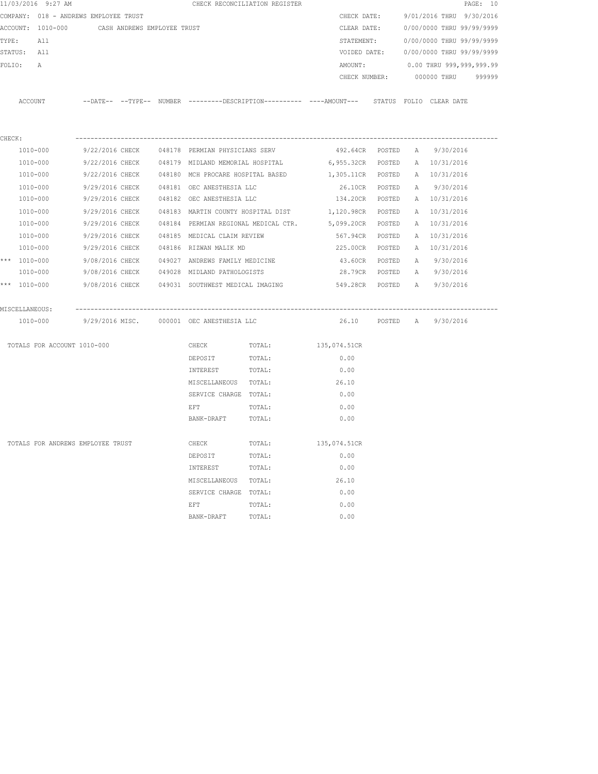|        | 11/03/2016 9:27 AM                    |                 |                             |                                                  | CHECK RECONCILIATION REGISTER        |                                                                                            |          |   |                           | PAGE: 10 |
|--------|---------------------------------------|-----------------|-----------------------------|--------------------------------------------------|--------------------------------------|--------------------------------------------------------------------------------------------|----------|---|---------------------------|----------|
|        | COMPANY: 018 - ANDREWS EMPLOYEE TRUST |                 |                             |                                                  |                                      | CHECK DATE:                                                                                |          |   | 9/01/2016 THRU 9/30/2016  |          |
|        | ACCOUNT: 1010-000                     |                 | CASH ANDREWS EMPLOYEE TRUST |                                                  |                                      | CLEAR DATE:                                                                                |          |   | 0/00/0000 THRU 99/99/9999 |          |
|        | TYPE:<br>All                          |                 |                             |                                                  |                                      | STATEMENT:                                                                                 |          |   | 0/00/0000 THRU 99/99/9999 |          |
|        | STATUS: All                           |                 |                             |                                                  |                                      | VOIDED DATE:                                                                               |          |   | 0/00/0000 THRU 99/99/9999 |          |
|        | FOLIO:<br>А                           |                 |                             |                                                  |                                      | AMOUNT:                                                                                    |          |   | 0.00 THRU 999,999,999.99  |          |
|        |                                       |                 |                             |                                                  |                                      | CHECK NUMBER:                                                                              |          |   | 000000 THRU               | 999999   |
|        |                                       |                 |                             |                                                  |                                      |                                                                                            |          |   |                           |          |
|        | ACCOUNT                               |                 |                             |                                                  |                                      | --DATE-- --TYPE-- NUMBER --------DESCRIPTION---------- ---AMOUNT--- STATUS FOLIO CLEARDATE |          |   |                           |          |
|        |                                       |                 |                             |                                                  |                                      |                                                                                            |          |   |                           |          |
|        |                                       |                 |                             |                                                  |                                      |                                                                                            |          |   |                           |          |
| CHECK: |                                       |                 |                             |                                                  |                                      |                                                                                            |          |   |                           |          |
|        | 1010-000                              |                 |                             | 9/22/2016 CHECK 048178 PERMIAN PHYSICIANS SERV   |                                      | 492.64CR POSTED                                                                            |          | A | 9/30/2016                 |          |
|        | 1010-000                              |                 |                             | 9/22/2016 CHECK 048179 MIDLAND MEMORIAL HOSPITAL |                                      | 6,955.32CR                                                                                 | POSTED   |   | A 10/31/2016              |          |
|        | 1010-000                              | 9/22/2016 CHECK |                             | 048180 MCH PROCARE HOSPITAL BASED                |                                      | 1,305.11CR                                                                                 | POSTED   |   | A 10/31/2016              |          |
|        | 1010-000                              | 9/29/2016 CHECK |                             | 048181 OEC ANESTHESIA LLC                        |                                      | 26.10CR                                                                                    | POSTED   | A | 9/30/2016                 |          |
|        | 1010-000                              | 9/29/2016 CHECK |                             | 048182 OEC ANESTHESIA LLC                        |                                      | 134.20CR                                                                                   | POSTED   |   | A 10/31/2016              |          |
|        | 1010-000                              | 9/29/2016 CHECK |                             | 048183 MARTIN COUNTY HOSPITAL DIST               |                                      | 1,120.98CR                                                                                 | POSTED   |   | A 10/31/2016              |          |
|        | 1010-000                              | 9/29/2016 CHECK |                             |                                                  | 048184 PERMIAN REGIONAL MEDICAL CTR. | 5,099.20CR                                                                                 | POSTED   |   | A 10/31/2016              |          |
|        | 1010-000                              | 9/29/2016 CHECK |                             | 048185 MEDICAL CLAIM REVIEW                      |                                      | 567.94CR                                                                                   | POSTED   |   | A 10/31/2016              |          |
|        | 1010-000                              | 9/29/2016 CHECK |                             | 048186 RIZWAN MALIK MD                           |                                      | 225.00CR                                                                                   | POSTED   |   | A 10/31/2016              |          |
|        | *** 1010-000                          | 9/08/2016 CHECK |                             | 049027 ANDREWS FAMILY MEDICINE                   |                                      | 43.60CR                                                                                    | POSTED   | A | 9/30/2016                 |          |
|        | 1010-000                              |                 | 9/08/2016 CHECK             | 049028 MIDLAND PATHOLOGISTS                      |                                      | 28.79CR                                                                                    | POSTED   |   | A 9/30/2016               |          |
|        | *** $1010 - 000$                      |                 |                             |                                                  |                                      | 9/08/2016 CHECK 049031 SOUTHWEST MEDICAL IMAGING 549.28CR                                  | POSTED   | A | 9/30/2016                 |          |
|        |                                       |                 |                             |                                                  |                                      |                                                                                            |          |   |                           |          |
|        | MISCELLANEOUS:                        |                 |                             |                                                  |                                      |                                                                                            |          |   |                           |          |
|        | 1010-000                              |                 |                             | 9/29/2016 MISC. 000001 OEC ANESTHESIA LLC        |                                      | 26.10                                                                                      | POSTED A |   | 9/30/2016                 |          |
|        |                                       |                 |                             |                                                  |                                      |                                                                                            |          |   |                           |          |
|        | TOTALS FOR ACCOUNT 1010-000           |                 |                             | CHECK                                            | TOTAL:                               | 135,074.51CR                                                                               |          |   |                           |          |
|        |                                       |                 |                             | DEPOSIT                                          | TOTAL:                               | 0.00                                                                                       |          |   |                           |          |
|        |                                       |                 |                             | INTEREST                                         | TOTAL:                               | 0.00                                                                                       |          |   |                           |          |
|        |                                       |                 |                             | MISCELLANEOUS TOTAL:                             |                                      | 26.10                                                                                      |          |   |                           |          |
|        |                                       |                 |                             | SERVICE CHARGE TOTAL:                            |                                      | 0.00                                                                                       |          |   |                           |          |
|        |                                       |                 |                             | EFT                                              | TOTAL:                               | 0.00                                                                                       |          |   |                           |          |
|        |                                       |                 |                             | BANK-DRAFT                                       | TOTAL:                               | 0.00                                                                                       |          |   |                           |          |
|        | TOTALS FOR ANDREWS EMPLOYEE TRUST     |                 |                             | CHECK                                            | TOTAL:                               | 135,074.51CR                                                                               |          |   |                           |          |
|        |                                       |                 |                             | DEPOSIT                                          | TOTAL:                               | 0.00                                                                                       |          |   |                           |          |
|        |                                       |                 |                             | INTEREST                                         | TOTAL:                               | 0.00                                                                                       |          |   |                           |          |
|        |                                       |                 |                             | MISCELLANEOUS                                    | TOTAL:                               | 26.10                                                                                      |          |   |                           |          |
|        |                                       |                 |                             | SERVICE CHARGE                                   | TOTAL:                               | 0.00                                                                                       |          |   |                           |          |
|        |                                       |                 |                             | EFT                                              | TOTAL:                               | 0.00                                                                                       |          |   |                           |          |
|        |                                       |                 |                             | BANK-DRAFT                                       | TOTAL:                               | 0.00                                                                                       |          |   |                           |          |
|        |                                       |                 |                             |                                                  |                                      |                                                                                            |          |   |                           |          |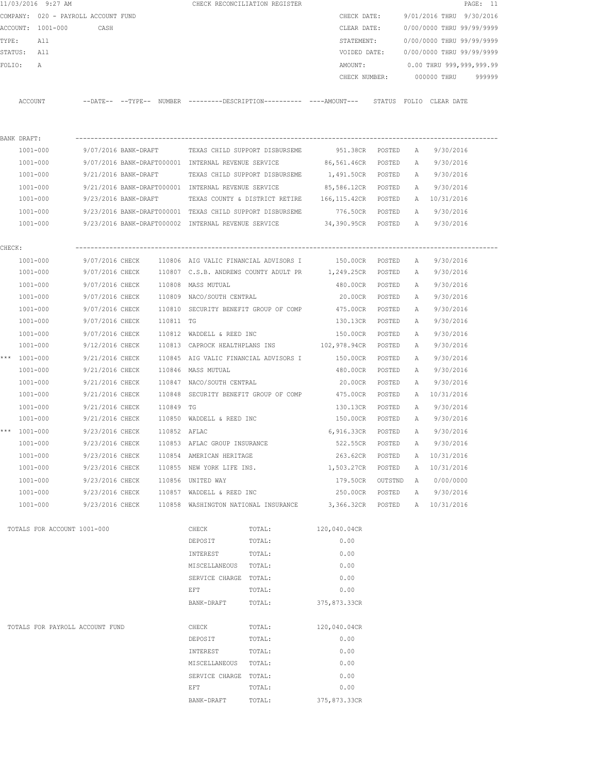|        |                          | 11/03/2016 9:27 AM                  |                                    |              |                                                     | CHECK RECONCILIATION REGISTER                             |                                                                                              |         |              |                           | PAGE: 11 |
|--------|--------------------------|-------------------------------------|------------------------------------|--------------|-----------------------------------------------------|-----------------------------------------------------------|----------------------------------------------------------------------------------------------|---------|--------------|---------------------------|----------|
|        |                          | COMPANY: 020 - PAYROLL ACCOUNT FUND |                                    |              |                                                     |                                                           | CHECK DATE:                                                                                  |         |              | 9/01/2016 THRU 9/30/2016  |          |
|        |                          | ACCOUNT: 1001-000                   | CASH                               |              |                                                     |                                                           | CLEAR DATE:                                                                                  |         |              | 0/00/0000 THRU 99/99/9999 |          |
| TYPE:  |                          | All                                 |                                    |              |                                                     |                                                           | STATEMENT:                                                                                   |         |              | 0/00/0000 THRU 99/99/9999 |          |
|        | STATUS: All              |                                     |                                    |              |                                                     |                                                           | VOIDED DATE:                                                                                 |         |              | 0/00/0000 THRU 99/99/9999 |          |
| FOLIO: |                          | A                                   |                                    |              |                                                     |                                                           | AMOUNT:                                                                                      |         |              | 0.00 THRU 999,999,999.99  |          |
|        |                          |                                     |                                    |              |                                                     |                                                           | CHECK NUMBER:                                                                                |         |              | 000000 THRU               | 999999   |
|        |                          |                                     |                                    |              |                                                     |                                                           | --DATE-- --TYPE-- NUMBER --------DESCRIPTION---------- ----AMOUNT--- STATUS FOLIO CLEAR DATE |         |              |                           |          |
|        | ACCOUNT                  |                                     |                                    |              |                                                     |                                                           |                                                                                              |         |              |                           |          |
|        |                          |                                     |                                    |              |                                                     |                                                           |                                                                                              |         |              |                           |          |
|        | BANK DRAFT:              |                                     |                                    |              |                                                     |                                                           |                                                                                              |         |              |                           |          |
|        | 1001-000                 |                                     | 9/07/2016 BANK-DRAFT               |              |                                                     | TEXAS CHILD SUPPORT DISBURSEME                            | 951.38CR POSTED                                                                              |         | A            | 9/30/2016                 |          |
|        | 1001-000                 |                                     |                                    |              | 9/07/2016 BANK-DRAFT000001 INTERNAL REVENUE SERVICE |                                                           | 86,561.46CR                                                                                  | POSTED  | A            | 9/30/2016                 |          |
|        | 1001-000                 |                                     | 9/21/2016 BANK-DRAFT               |              |                                                     | TEXAS CHILD SUPPORT DISBURSEME                            | 1,491.50CR POSTED                                                                            |         | A            | 9/30/2016                 |          |
|        | 1001-000                 |                                     |                                    |              | 9/21/2016 BANK-DRAFT000001 INTERNAL REVENUE SERVICE |                                                           | 85,586.12CR POSTED                                                                           |         | A            | 9/30/2016                 |          |
|        | 1001-000                 |                                     |                                    |              |                                                     |                                                           | 9/23/2016 BANK-DRAFT TEXAS COUNTY & DISTRICT RETIRE 166,115.42CR POSTED                      |         |              | A 10/31/2016              |          |
|        | 1001-000<br>$1001 - 000$ |                                     |                                    |              |                                                     | 9/23/2016 BANK-DRAFT000001 TEXAS CHILD SUPPORT DISBURSEME | 776.50CR POSTED                                                                              |         | A            | 9/30/2016                 |          |
|        |                          |                                     |                                    |              |                                                     | 9/23/2016 BANK-DRAFT000002 INTERNAL REVENUE SERVICE       | 34,390.95CR POSTED                                                                           |         |              | A 9/30/2016               |          |
| CHECK: |                          |                                     |                                    |              |                                                     |                                                           |                                                                                              |         |              |                           |          |
|        | 1001-000                 |                                     | 9/07/2016 CHECK                    |              |                                                     |                                                           | 110806 AIG VALIC FINANCIAL ADVISORS I 150.00CR                                               | POSTED  | A            | 9/30/2016                 |          |
|        | 1001-000                 |                                     |                                    |              |                                                     |                                                           | 9/07/2016 CHECK 110807 C.S.B. ANDREWS COUNTY ADULT PR 1,249.25CR POSTED                      |         | A            | 9/30/2016                 |          |
|        | 1001-000                 |                                     | 9/07/2016 CHECK                    |              | 110808 MASS MUTUAL                                  |                                                           | 480.00CR                                                                                     | POSTED  | $\mathbb{A}$ | 9/30/2016                 |          |
|        | 1001-000                 |                                     |                                    |              | 9/07/2016 CHECK 110809 NACO/SOUTH CENTRAL           |                                                           | 20.00CR                                                                                      | POSTED  | A            | 9/30/2016                 |          |
|        | 1001-000                 |                                     | 9/07/2016 CHECK                    |              |                                                     | 110810 SECURITY BENEFIT GROUP OF COMP                     | 475.00CR                                                                                     | POSTED  | A            | 9/30/2016                 |          |
|        | 1001-000                 |                                     | 9/07/2016 CHECK                    | 110811 TG    |                                                     |                                                           | 130.13CR                                                                                     | POSTED  | A            | 9/30/2016                 |          |
|        | 1001-000                 |                                     | 9/07/2016 CHECK                    |              | 110812 WADDELL & REED INC                           |                                                           | 150.00CR                                                                                     | POSTED  | A            | 9/30/2016                 |          |
|        | 1001-000                 |                                     | 9/12/2016 CHECK                    |              | 110813 CAPROCK HEALTHPLANS INS                      |                                                           | 102,978.94CR                                                                                 | POSTED  | A            | 9/30/2016                 |          |
|        | *** 1001-000             |                                     | 9/21/2016 CHECK                    |              |                                                     | 110845 AIG VALIC FINANCIAL ADVISORS I                     | 150.00CR                                                                                     | POSTED  | A            | 9/30/2016                 |          |
|        | 1001-000                 |                                     | 9/21/2016 CHECK                    |              | 110846 MASS MUTUAL                                  |                                                           | 480.00CR                                                                                     | POSTED  | A            | 9/30/2016                 |          |
|        | 1001-000                 |                                     | 9/21/2016 CHECK                    |              | 110847 NACO/SOUTH CENTRAL                           |                                                           | 20.00CR                                                                                      | POSTED  | A            | 9/30/2016                 |          |
|        | 1001-000                 |                                     | 9/21/2016 CHECK                    |              |                                                     | 110848 SECURITY BENEFIT GROUP OF COMP                     | 475.00CR                                                                                     | POSTED  | A            | 10/31/2016                |          |
|        | $1001 - 000$             |                                     | 9/21/2016 CHECK                    | 110849 TG    |                                                     |                                                           | 130.13CR                                                                                     | POSTED  | A            | 9/30/2016                 |          |
|        | 1001-000                 |                                     | 9/21/2016 CHECK                    |              | 110850 WADDELL & REED INC                           |                                                           | 150.00CR POSTED                                                                              |         | A            | 9/30/2016                 |          |
|        | *** 1001-000             |                                     | 9/23/2016 CHECK                    | 110852 AFLAC |                                                     |                                                           | 6,916.33CR POSTED                                                                            |         | A            | 9/30/2016                 |          |
|        | 1001-000                 |                                     | 9/23/2016 CHECK                    |              | 110853 AFLAC GROUP INSURANCE                        |                                                           | 522.55CR                                                                                     | POSTED  | Α            | 9/30/2016                 |          |
|        |                          | $1001 - 000$                        | 9/23/2016 CHECK                    |              | 110854 AMERICAN HERITAGE                            |                                                           | 263.62CR                                                                                     | POSTED  | Α            | 10/31/2016                |          |
|        |                          | $1001 - 000$                        | 9/23/2016 CHECK                    |              | 110855 NEW YORK LIFE INS.                           |                                                           | 1,503.27CR                                                                                   | POSTED  | A            | 10/31/2016                |          |
|        | $1001 - 000$             | 1001-000                            | 9/23/2016 CHECK<br>9/23/2016 CHECK |              | 110856 UNITED WAY<br>110857 WADDELL & REED INC      |                                                           | 179.50CR<br>250.00CR                                                                         | OUTSTND | A<br>A       | 0/00/0000<br>9/30/2016    |          |
|        |                          | 1001-000                            |                                    |              |                                                     |                                                           | 9/23/2016 CHECK 110858 WASHINGTON NATIONAL INSURANCE 3,366.32CR POSTED                       | POSTED  |              | A 10/31/2016              |          |
|        |                          |                                     |                                    |              |                                                     |                                                           |                                                                                              |         |              |                           |          |
|        |                          | TOTALS FOR ACCOUNT 1001-000         |                                    |              | CHECK                                               | TOTAL:                                                    | 120,040.04CR                                                                                 |         |              |                           |          |
|        |                          |                                     |                                    |              | DEPOSIT                                             | TOTAL:                                                    | 0.00                                                                                         |         |              |                           |          |
|        |                          |                                     |                                    |              | INTEREST                                            | TOTAL:                                                    | 0.00                                                                                         |         |              |                           |          |
|        |                          |                                     |                                    |              | MISCELLANEOUS TOTAL:                                |                                                           | 0.00                                                                                         |         |              |                           |          |
|        |                          |                                     |                                    |              | SERVICE CHARGE TOTAL:                               |                                                           | 0.00                                                                                         |         |              |                           |          |
|        |                          |                                     |                                    |              | EFT                                                 | TOTAL:                                                    | 0.00                                                                                         |         |              |                           |          |
|        |                          |                                     |                                    |              | BANK-DRAFT                                          | TOTAL:                                                    | 375,873.33CR                                                                                 |         |              |                           |          |
|        |                          | TOTALS FOR PAYROLL ACCOUNT FUND     |                                    |              | CHECK                                               | TOTAL:                                                    | 120,040.04CR                                                                                 |         |              |                           |          |
|        |                          |                                     |                                    |              | DEPOSIT                                             | TOTAL:                                                    | 0.00                                                                                         |         |              |                           |          |
|        |                          |                                     |                                    |              | INTEREST                                            | TOTAL:                                                    | 0.00                                                                                         |         |              |                           |          |
|        |                          |                                     |                                    |              | MISCELLANEOUS TOTAL:                                |                                                           | 0.00                                                                                         |         |              |                           |          |
|        |                          |                                     |                                    |              | SERVICE CHARGE TOTAL:                               |                                                           | 0.00                                                                                         |         |              |                           |          |
|        |                          |                                     |                                    |              | EFT                                                 | TOTAL:                                                    | 0.00                                                                                         |         |              |                           |          |
|        |                          |                                     |                                    |              | BANK-DRAFT                                          | TOTAL:                                                    | 375,873.33CR                                                                                 |         |              |                           |          |
|        |                          |                                     |                                    |              |                                                     |                                                           |                                                                                              |         |              |                           |          |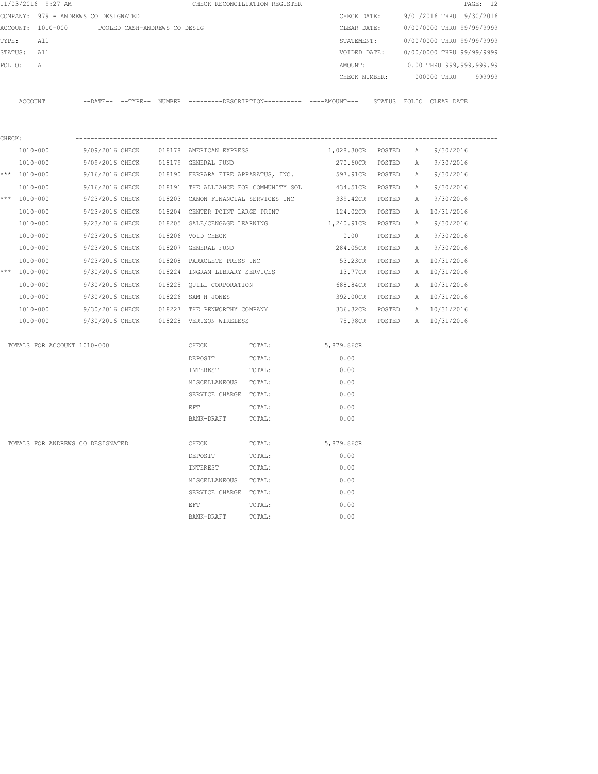|                  | 11/03/2016 9:27 AM                   |                              |  |                                       | CHECK RECONCILIATION REGISTER |                                                                                              |        |   |                           | PAGE: 12 |
|------------------|--------------------------------------|------------------------------|--|---------------------------------------|-------------------------------|----------------------------------------------------------------------------------------------|--------|---|---------------------------|----------|
|                  | COMPANY: 979 - ANDREWS CO DESIGNATED |                              |  |                                       |                               | CHECK DATE:                                                                                  |        |   | 9/01/2016 THRU 9/30/2016  |          |
|                  | ACCOUNT: 1010-000                    | POOLED CASH-ANDREWS CO DESIG |  |                                       |                               | CLEAR DATE:                                                                                  |        |   | 0/00/0000 THRU 99/99/9999 |          |
| TYPE:            | All                                  |                              |  |                                       |                               | STATEMENT:                                                                                   |        |   | 0/00/0000 THRU 99/99/9999 |          |
| STATUS:          | All                                  |                              |  |                                       |                               | VOIDED DATE:                                                                                 |        |   | 0/00/0000 THRU 99/99/9999 |          |
| FOLIO:           | Α                                    |                              |  |                                       |                               | AMOUNT:                                                                                      |        |   | 0.00 THRU 999,999,999.99  |          |
|                  |                                      |                              |  |                                       |                               | CHECK NUMBER:                                                                                |        |   | 000000 THRU               | 999999   |
|                  | ACCOUNT                              |                              |  |                                       |                               | --DATE-- --TYPE-- NUMBER ---------DESCRIPTION--------- ----AMOUNT--- STATUS FOLIO CLEAR-DATE |        |   |                           |          |
|                  |                                      |                              |  |                                       |                               |                                                                                              |        |   |                           |          |
| CHECK:           |                                      |                              |  |                                       |                               |                                                                                              |        |   |                           |          |
|                  | 1010-000                             | 9/09/2016 CHECK              |  | 018178 AMERICAN EXPRESS               |                               | 1,028.30CR POSTED                                                                            |        | A | 9/30/2016                 |          |
|                  | 1010-000                             | 9/09/2016 CHECK              |  | 018179 GENERAL FUND                   |                               | 270.60CR POSTED                                                                              |        | A | 9/30/2016                 |          |
| *** 1010-000     |                                      | 9/16/2016 CHECK              |  | 018190 FERRARA FIRE APPARATUS, INC.   |                               | 597.91CR POSTED                                                                              |        |   | A 9/30/2016               |          |
|                  | 1010-000                             | 9/16/2016 CHECK              |  | 018191 THE ALLIANCE FOR COMMUNITY SOL |                               | 434.51CR                                                                                     | POSTED | A | 9/30/2016                 |          |
| *** $1010 - 000$ |                                      | 9/23/2016 CHECK              |  | 018203 CANON FINANCIAL SERVICES INC   |                               | 339.42CR                                                                                     | POSTED | A | 9/30/2016                 |          |
|                  | 1010-000                             | 9/23/2016 CHECK              |  | 018204 CENTER POINT LARGE PRINT       |                               | 124.02CR                                                                                     | POSTED |   | A 10/31/2016              |          |
|                  | 1010-000                             | 9/23/2016 CHECK              |  |                                       |                               | 018205 GALE/CENGAGE LEARNING 1,240.91CR POSTED                                               |        | A | 9/30/2016                 |          |
|                  | 1010-000                             | 9/23/2016 CHECK              |  | 018206 VOID CHECK                     |                               | 0.00                                                                                         | POSTED | A | 9/30/2016                 |          |
|                  | 1010-000                             | 9/23/2016 CHECK              |  | 018207 GENERAL FUND                   |                               | 284.05CR                                                                                     | POSTED | A | 9/30/2016                 |          |
|                  | 1010-000                             | 9/23/2016 CHECK              |  | 018208 PARACLETE PRESS INC            |                               | 53.23CR                                                                                      | POSTED | A | 10/31/2016                |          |
| *** 1010-000     |                                      | 9/30/2016 CHECK              |  | 018224 INGRAM LIBRARY SERVICES        |                               | 13.77CR                                                                                      | POSTED | A | 10/31/2016                |          |
|                  | 1010-000                             | 9/30/2016 CHECK              |  | 018225 QUILL CORPORATION              |                               | 688.84CR                                                                                     | POSTED | A | 10/31/2016                |          |
|                  | 1010-000                             | 9/30/2016 CHECK              |  | 018226 SAM H JONES                    |                               | 392.00CR                                                                                     | POSTED |   | A 10/31/2016              |          |
|                  | 1010-000                             | 9/30/2016 CHECK              |  | 018227 THE PENWORTHY COMPANY          |                               | 336.32CR                                                                                     | POSTED |   | A 10/31/2016              |          |
|                  | 1010-000                             | 9/30/2016 CHECK              |  | 018228 VERIZON WIRELESS               |                               | 75.98CR                                                                                      | POSTED |   | A 10/31/2016              |          |
|                  | TOTALS FOR ACCOUNT 1010-000          |                              |  | CHECK                                 | TOTAL:                        | 5,879.86CR                                                                                   |        |   |                           |          |
|                  |                                      |                              |  | DEPOSIT                               | TOTAL:                        | 0.00                                                                                         |        |   |                           |          |
|                  |                                      |                              |  | INTEREST                              | TOTAL:                        | 0.00                                                                                         |        |   |                           |          |
|                  |                                      |                              |  | MISCELLANEOUS                         | TOTAL:                        | 0.00                                                                                         |        |   |                           |          |
|                  |                                      |                              |  | SERVICE CHARGE TOTAL:                 |                               | 0.00                                                                                         |        |   |                           |          |
|                  |                                      |                              |  | EFT                                   | TOTAL:                        | 0.00                                                                                         |        |   |                           |          |
|                  |                                      |                              |  | BANK-DRAFT                            | TOTAL:                        | 0.00                                                                                         |        |   |                           |          |
|                  | TOTALS FOR ANDREWS CO DESIGNATED     |                              |  | CHECK                                 | TOTAL:                        | 5,879.86CR                                                                                   |        |   |                           |          |
|                  |                                      |                              |  | DEPOSIT                               | TOTAL:                        | 0.00                                                                                         |        |   |                           |          |
|                  |                                      |                              |  | INTEREST                              | TOTAL:                        | 0.00                                                                                         |        |   |                           |          |
|                  |                                      |                              |  | MISCELLANEOUS                         | TOTAL:                        | 0.00                                                                                         |        |   |                           |          |
|                  |                                      |                              |  | SERVICE CHARGE                        | TOTAL:                        | 0.00                                                                                         |        |   |                           |          |
|                  |                                      |                              |  | EFT                                   | TOTAL:                        | 0.00                                                                                         |        |   |                           |          |
|                  |                                      |                              |  | BANK-DRAFT                            | TOTAL:                        | 0.00                                                                                         |        |   |                           |          |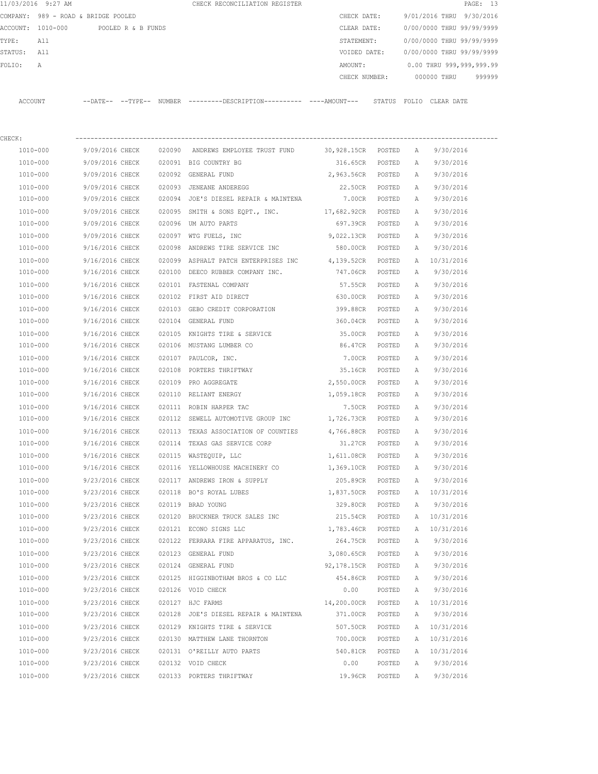|         | 11/03/2016 9:27 AM                  |                            |                    |        | CHECK RECONCILIATION REGISTER |               |        |                           |             | PAGE: 13                 |        |
|---------|-------------------------------------|----------------------------|--------------------|--------|-------------------------------|---------------|--------|---------------------------|-------------|--------------------------|--------|
|         | COMPANY: 989 - ROAD & BRIDGE POOLED |                            |                    |        |                               | CHECK DATE:   |        | 9/01/2016 THRU 9/30/2016  |             |                          |        |
|         | ACCOUNT: 1010-000                   |                            | POOLED R & B FUNDS |        |                               | CLEAR DATE:   |        | 0/00/0000 THRU 99/99/9999 |             |                          |        |
| TYPE:   | All                                 |                            |                    |        |                               | STATEMENT:    |        | 0/00/0000 THRU 99/99/9999 |             |                          |        |
| STATUS: | All                                 |                            |                    |        |                               | VOIDED DATE:  |        | 0/00/0000 THRU 99/99/9999 |             |                          |        |
| FOLTO:  | A                                   |                            |                    |        |                               | AMOUNT:       |        |                           |             | 0.00 THRU 999,999,999.99 |        |
|         |                                     |                            |                    |        |                               | CHECK NUMBER: |        |                           | 000000 THRU |                          | 999999 |
|         |                                     |                            |                    |        |                               |               |        |                           |             |                          |        |
| ACCOUNT |                                     | $--$ DATE $- --$ TYPE $--$ |                    | NUMBER |                               |               | STATUS | FOLTO                     | CLEAR DATE  |                          |        |

| CHECK:   |                                       |                                                                         |                   |               |              |              |
|----------|---------------------------------------|-------------------------------------------------------------------------|-------------------|---------------|--------------|--------------|
| 1010-000 |                                       | 9/09/2016 CHECK 020090 ANDREWS EMPLOYEE TRUST FUND 30,928.15CR POSTED A |                   |               |              | 9/30/2016    |
| 1010-000 | 9/09/2016 CHECK 020091 BIG COUNTRY BG |                                                                         | 316.65CR POSTED   |               | A            | 9/30/2016    |
| 1010-000 | 9/09/2016 CHECK 020092 GENERAL FUND   |                                                                         | 2,963.56CR POSTED |               | A            | 9/30/2016    |
| 1010-000 |                                       | 9/09/2016 CHECK 020093 JENEANE ANDEREGG                                 | 22.50CR POSTED    |               | A            | 9/30/2016    |
| 1010-000 |                                       | 9/09/2016 CHECK 020094 JOE'S DIESEL REPAIR & MAINTENA                   | 7.00CR POSTED     |               | A            | 9/30/2016    |
| 1010-000 |                                       | 9/09/2016 CHECK 020095 SMITH & SONS EQPT., INC. 17,682.92CR POSTED      |                   |               | A            | 9/30/2016    |
| 1010-000 | 9/09/2016 CHECK                       | 020096 UM AUTO PARTS                                                    | 697.39CR POSTED   |               | A            | 9/30/2016    |
| 1010-000 | 9/09/2016 CHECK                       | 020097 WTG FUELS, INC                                                   | 9,022.13CR POSTED |               | A            | 9/30/2016    |
| 1010-000 | 9/16/2016 CHECK                       | 020098 ANDREWS TIRE SERVICE INC                                         | 580.00CR POSTED   |               | A            | 9/30/2016    |
| 1010-000 | 9/16/2016 CHECK                       | 020099 ASPHALT PATCH ENTERPRISES INC 4,139.52CR POSTED                  |                   |               |              | A 10/31/2016 |
| 1010-000 |                                       | 9/16/2016 CHECK 020100 DEECO RUBBER COMPANY INC.                        | 747.06CR POSTED   |               | A            | 9/30/2016    |
| 1010-000 | 9/16/2016 CHECK                       | 020101 FASTENAL COMPANY                                                 | 57.55CR           | POSTED        | Α            | 9/30/2016    |
| 1010-000 |                                       | 9/16/2016 CHECK 020102 FIRST AID DIRECT                                 | 630.00CR          | POSTED        | A            | 9/30/2016    |
| 1010-000 | 9/16/2016 CHECK                       | 020103 GEBO CREDIT CORPORATION                                          | 399.88CR POSTED   |               | A            | 9/30/2016    |
| 1010-000 | 9/16/2016 CHECK                       | 020104 GENERAL FUND                                                     | 360.04CR POSTED   |               | А            | 9/30/2016    |
| 1010-000 | 9/16/2016 CHECK                       | 020105 KNIGHTS TIRE & SERVICE                                           | 35.00CR POSTED    |               | A            | 9/30/2016    |
| 1010-000 | 9/16/2016 CHECK                       | 020106 MUSTANG LUMBER CO                                                | 86.47CR POSTED    |               | A            | 9/30/2016    |
| 1010-000 | 9/16/2016 CHECK                       | 020107 PAULCOR, INC.                                                    | 7.00CR POSTED     |               | Α            | 9/30/2016    |
| 1010-000 | 9/16/2016 CHECK                       | 020108 PORTERS THRIFTWAY                                                | 35.16CR POSTED    |               | A            | 9/30/2016    |
| 1010-000 | 9/16/2016 CHECK                       | 020109 PRO AGGREGATE                                                    | 2,550.00CR POSTED |               | Α            | 9/30/2016    |
| 1010-000 | 9/16/2016 CHECK                       | 020110 RELIANT ENERGY                                                   | 1,059.18CR POSTED |               | A            | 9/30/2016    |
| 1010-000 | 9/16/2016 CHECK                       | 020111 ROBIN HARPER TAC                                                 |                   | 7.50CR POSTED | Α            | 9/30/2016    |
| 1010-000 | 9/16/2016 CHECK                       | 020112 SEWELL AUTOMOTIVE GROUP INC $1,726.73CR$ POSTED                  |                   |               | $\mathbb{A}$ | 9/30/2016    |
| 1010-000 | 9/16/2016 CHECK                       | 020113 TEXAS ASSOCIATION OF COUNTIES 4,766.88CR POSTED                  |                   |               | A            | 9/30/2016    |
| 1010-000 | 9/16/2016 CHECK                       | 020114 TEXAS GAS SERVICE CORP                                           | 31.27CR POSTED    |               | A            | 9/30/2016    |
| 1010-000 | 9/16/2016 CHECK                       | 020115 WASTEQUIP, LLC                                                   | 1,611.08CR POSTED |               | A            | 9/30/2016    |
| 1010-000 | 9/16/2016 CHECK                       | 020116 YELLOWHOUSE MACHINERY CO                                         | 1,369.10CR POSTED |               | A            | 9/30/2016    |
| 1010-000 | 9/23/2016 CHECK                       | 020117 ANDREWS IRON & SUPPLY                                            | 205.89CR POSTED   |               | A            | 9/30/2016    |
| 1010-000 | 9/23/2016 CHECK                       | 020118 BO'S ROYAL LUBES                                                 | 1,837.50CR POSTED |               |              | A 10/31/2016 |
| 1010-000 | 9/23/2016 CHECK                       | 020119 BRAD YOUNG                                                       | 329.80CR POSTED   |               | A            | 9/30/2016    |
| 1010-000 | 9/23/2016 CHECK                       | 020120 BRUCKNER TRUCK SALES INC                                         | 215.54CR POSTED   |               |              | A 10/31/2016 |
| 1010-000 | 9/23/2016 CHECK                       | 020121 ECONO SIGNS LLC                                                  | 1,783.46CR POSTED |               |              | A 10/31/2016 |
| 1010-000 | 9/23/2016 CHECK                       | 020122 FERRARA FIRE APPARATUS, INC.                                     | 264.75CR POSTED   |               |              | A 9/30/2016  |
| 1010-000 | 9/23/2016 CHECK                       | 020123 GENERAL FUND                                                     | 3,080.65CR POSTED |               | A            | 9/30/2016    |
| 1010-000 | 9/23/2016 CHECK                       | 020124 GENERAL FUND                                                     | 92,178.15CR       | POSTED        | A            | 9/30/2016    |
| 1010-000 | 9/23/2016 CHECK                       | 020125 HIGGINBOTHAM BROS & CO LLC                                       | 454.86CR          | POSTED        | A            | 9/30/2016    |
| 1010-000 | 9/23/2016 CHECK                       | 020126 VOID CHECK                                                       | 0.00              | POSTED        | Α            | 9/30/2016    |
| 1010-000 | 9/23/2016 CHECK                       | 020127 HJC FARMS                                                        | 14,200.00CR       | POSTED        | A            | 10/31/2016   |
| 1010-000 | 9/23/2016 CHECK                       | 020128 JOE'S DIESEL REPAIR & MAINTENA                                   | 371.00CR          | POSTED        | Α            | 9/30/2016    |
| 1010-000 | 9/23/2016 CHECK                       | 020129 KNIGHTS TIRE & SERVICE                                           | 507.50CR          | POSTED        |              | A 10/31/2016 |
| 1010-000 | 9/23/2016 CHECK                       | 020130 MATTHEW LANE THORNTON                                            | 700.00CR          | POSTED        | Α            | 10/31/2016   |
| 1010-000 | 9/23/2016 CHECK                       | 020131 O'REILLY AUTO PARTS                                              | 540.81CR          | POSTED        | Α            | 10/31/2016   |
| 1010-000 | 9/23/2016 CHECK                       | 020132 VOID CHECK                                                       | 0.00              | POSTED        | Α            | 9/30/2016    |
| 1010-000 | 9/23/2016 CHECK                       | 020133 PORTERS THRIFTWAY                                                | 19.96CR           | POSTED        | A            | 9/30/2016    |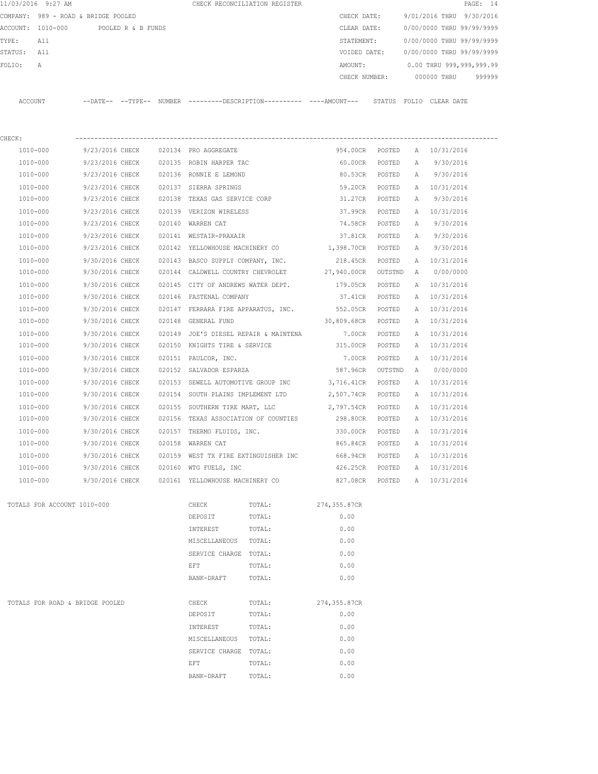|          | 11/03/2016 9:27 AM                  |          |                    |        | CHECK RECONCILIATION REGISTER |               |                           |             | PAGE: 14 |        |
|----------|-------------------------------------|----------|--------------------|--------|-------------------------------|---------------|---------------------------|-------------|----------|--------|
|          | COMPANY: 989 - ROAD & BRIDGE POOLED |          |                    |        |                               | CHECK DATE:   | 9/01/2016 THRU 9/30/2016  |             |          |        |
| ACCOUNT: | 1010-000                            |          | POOLED R & B FUNDS |        |                               | CLEAR DATE:   | 0/00/0000 THRU 99/99/9999 |             |          |        |
| TYPE:    | All                                 |          |                    |        |                               | STATEMENT:    | 0/00/0000 THRU 99/99/9999 |             |          |        |
| STATUS:  | All                                 |          |                    |        |                               | VOIDED DATE:  | 0/00/0000 THRU 99/99/9999 |             |          |        |
| FOLIO:   | А                                   |          |                    |        |                               | AMOUNT:       | 0.00 THRU 999,999,999.99  |             |          |        |
|          |                                     |          |                    |        |                               | CHECK NUMBER: |                           | 000000 THRU |          | 999999 |
|          |                                     |          |                    |        |                               |               |                           |             |          |        |
| ACCOUNT  |                                     | --DATE-- | --TYPE--           | NUMBER |                               | STATUS        | FOLTO                     | CLEAR DATE  |          |        |

| CHECK:                      |                 |        |                         |                                                 |                 |         |              |              |
|-----------------------------|-----------------|--------|-------------------------|-------------------------------------------------|-----------------|---------|--------------|--------------|
| 1010-000                    | 9/23/2016 CHECK |        | 020134 PRO AGGREGATE    |                                                 | 954.00CR        | POSTED  |              | A 10/31/2016 |
| 1010-000                    | 9/23/2016 CHECK |        |                         | 020135 ROBIN HARPER TAC                         | 60.00CR         | POSTED  | $\mathbb{A}$ | 9/30/2016    |
| 1010-000                    | 9/23/2016 CHECK |        | 020136 RONNIE E LEMOND  |                                                 | 80.53CR         | POSTED  | A            | 9/30/2016    |
| 1010-000                    | 9/23/2016 CHECK |        | 020137 SIERRA SPRINGS   |                                                 | 59.20CR         | POSTED  |              | A 10/31/2016 |
| 1010-000                    | 9/23/2016 CHECK |        |                         | 020138 TEXAS GAS SERVICE CORP                   | 31.27CR         | POSTED  | A            | 9/30/2016    |
| 1010-000                    | 9/23/2016 CHECK |        | 020139 VERIZON WIRELESS |                                                 | 37.99CR         | POSTED  | A            | 10/31/2016   |
| 1010-000                    | 9/23/2016 CHECK |        | 020140 WARREN CAT       |                                                 | 74.58CR         | POSTED  | Α            | 9/30/2016    |
| 1010-000                    | 9/23/2016 CHECK |        | 020141 WESTAIR-PRAXAIR  |                                                 | 37.81CR         | POSTED  | A            | 9/30/2016    |
| 1010-000                    | 9/23/2016 CHECK |        |                         | 020142 YELLOWHOUSE MACHINERY CO 1,398.70CR      |                 | POSTED  | A            | 9/30/2016    |
| 1010-000                    | 9/30/2016 CHECK |        |                         | 020143 BASCO SUPPLY COMPANY, INC. 218.45CR      |                 | POSTED  | A            | 10/31/2016   |
| 1010-000                    | 9/30/2016 CHECK |        |                         | 020144 CALDWELL COUNTRY CHEVROLET 27,940.00CR   |                 | OUTSTND | A            | 0/00/0000    |
| 1010-000                    | 9/30/2016 CHECK |        |                         | 020145 CITY OF ANDREWS WATER DEPT.              | 179.05CR        | POSTED  | $\mathbb{A}$ | 10/31/2016   |
| 1010-000                    | 9/30/2016 CHECK |        | 020146 FASTENAL COMPANY |                                                 | 37.41CR         | POSTED  | $\mathbb{A}$ | 10/31/2016   |
| 1010-000                    | 9/30/2016 CHECK |        |                         | 020147 FERRARA FIRE APPARATUS, INC. 552.05CR    |                 | POSTED  | Α            | 10/31/2016   |
| 1010-000                    | 9/30/2016 CHECK | 020148 | GENERAL FUND            |                                                 | 30,809.68CR     | POSTED  | Α            | 10/31/2016   |
| 1010-000                    | 9/30/2016 CHECK |        |                         | 020149 JOE'S DIESEL REPAIR & MAINTENA 7.00CR    |                 | POSTED  | A            | 10/31/2016   |
| 1010-000                    | 9/30/2016 CHECK |        |                         | 020150 KNIGHTS TIRE & SERVICE                   | 315.00CR        | POSTED  |              | A 10/31/2016 |
| 1010-000                    | 9/30/2016 CHECK |        |                         | 020151 PAULCOR, INC.                            | 7.00CR          | POSTED  | $\mathbb{A}$ | 10/31/2016   |
| 1010-000                    | 9/30/2016 CHECK |        |                         | 020152 SALVADOR ESPARZA 587.96CR                |                 | OUTSTND | A            | 0/00/0000    |
| 1010-000                    | 9/30/2016 CHECK |        |                         | 020153 SEWELL AUTOMOTIVE GROUP INC              | 3,716.41CR      | POSTED  | A            | 10/31/2016   |
| 1010-000                    | 9/30/2016 CHECK | 020154 |                         | SOUTH PLAINS IMPLEMENT LTD                      | 2,507.74CR      | POSTED  | A            | 10/31/2016   |
| 1010-000                    | 9/30/2016 CHECK |        |                         | 020155 SOUTHERN TIRE MART, LLC 2,797.54CR       |                 | POSTED  | $\mathbb{A}$ | 10/31/2016   |
| 1010-000                    | 9/30/2016 CHECK | 020156 |                         | TEXAS ASSOCIATION OF COUNTIES 298.80CR          |                 | POSTED  | A            | 10/31/2016   |
| 1010-000                    | 9/30/2016 CHECK |        |                         | 020157 THERMO FLUIDS, INC. 330.00CR             |                 | POSTED  | Α            | 10/31/2016   |
| 1010-000                    | 9/30/2016 CHECK |        | 020158 WARREN CAT       |                                                 | 865.84CR        | POSTED  | A            | 10/31/2016   |
| 1010-000                    | 9/30/2016 CHECK |        |                         | 020159 WEST TX FIRE EXTINGUISHER INC            | 668.94CR        | POSTED  |              | A 10/31/2016 |
| 1010-000                    | 9/30/2016 CHECK |        |                         | 020160 WTG FUELS, INC                           | 426.25CR POSTED |         |              | A 10/31/2016 |
| 1010-000                    | 9/30/2016 CHECK |        |                         | 020161 YELLOWHOUSE MACHINERY CO 827.08CR POSTED |                 |         |              | A 10/31/2016 |
| TOTALS FOR ACCOUNT 1010-000 |                 |        | CHECK                   | TOTAL:                                          | 274,355.87CR    |         |              |              |
|                             |                 |        | DEPOSIT                 | TOTAL:                                          | 0.00            |         |              |              |
|                             |                 |        | INTEREST                |                                                 |                 |         |              |              |

|                                 | MISCELLANEOUS  | TOTAL: | 0.00         |
|---------------------------------|----------------|--------|--------------|
|                                 | SERVICE CHARGE | TOTAL: | 0.00         |
|                                 | EFT            | TOTAL: | 0.00         |
|                                 | BANK-DRAFT     | TOTAL: | 0.00         |
|                                 |                |        |              |
| TOTALS FOR ROAD & BRIDGE POOLED | CHECK          | TOTAL: | 274,355.87CR |
|                                 | DEPOSIT        | TOTAL: | 0.00         |
|                                 | INTEREST       | TOTAL: | 0.00         |
|                                 | MISCELLANEOUS  | TOTAL: | 0.00         |
|                                 | SERVICE CHARGE | TOTAL: | 0.00         |
|                                 | EFT            | TOTAL: | 0.00         |
|                                 | BANK-DRAFT     | TOTAL: | 0.00         |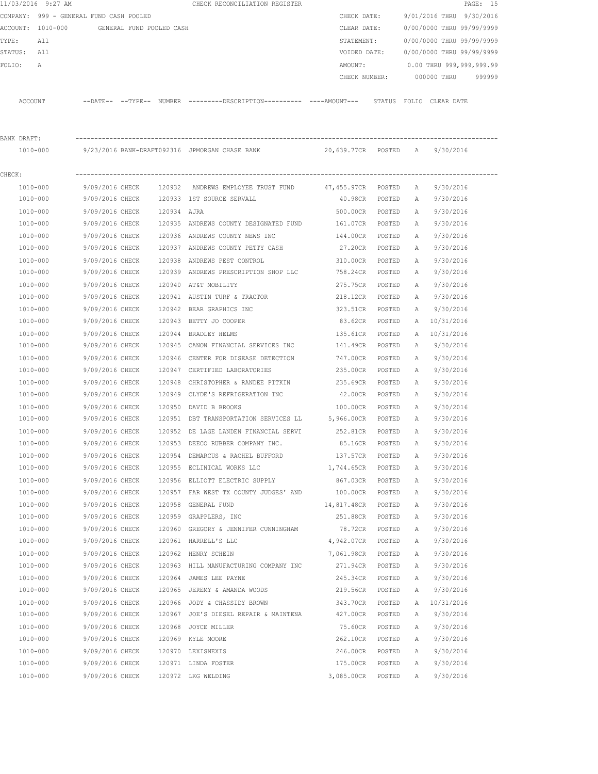|             | 11/03/2016 9:27 AM                         |                 |             | CHECK RECONCILIATION REGISTER                                                                 |                 |        |              |                           | PAGE: 15 |
|-------------|--------------------------------------------|-----------------|-------------|-----------------------------------------------------------------------------------------------|-----------------|--------|--------------|---------------------------|----------|
|             | COMPANY: 999 - GENERAL FUND CASH POOLED    |                 |             |                                                                                               | CHECK DATE:     |        |              | 9/01/2016 THRU 9/30/2016  |          |
|             | ACCOUNT: 1010-000 GENERAL FUND POOLED CASH |                 |             |                                                                                               | CLEAR DATE:     |        |              | 0/00/0000 THRU 99/99/9999 |          |
| TYPE:       | All                                        |                 |             |                                                                                               | STATEMENT:      |        |              | 0/00/0000 THRU 99/99/9999 |          |
| STATUS: All |                                            |                 |             |                                                                                               | VOIDED DATE:    |        |              | 0/00/0000 THRU 99/99/9999 |          |
| FOLIO:      | A                                          |                 |             |                                                                                               | AMOUNT:         |        |              | 0.00 THRU 999,999,999.99  |          |
|             |                                            |                 |             |                                                                                               | CHECK NUMBER:   |        |              | 000000 THRU               | 999999   |
|             | ACCOUNT                                    |                 |             | --DATE-- --TYPE-- NUMBER ---------DESCRIPTION---------- ----AMOUNT--- STATUS FOLIO CLEAR-DATE |                 |        |              |                           |          |
|             |                                            |                 |             |                                                                                               |                 |        |              |                           |          |
| BANK DRAFT: |                                            |                 |             |                                                                                               |                 |        |              |                           |          |
|             |                                            |                 |             | 1010-000 9/23/2016 BANK-DRAFT092316 JPMORGAN CHASE BANK 20,639.77CR POSTED A 9/30/2016        |                 |        |              |                           |          |
| CHECK:      |                                            |                 |             |                                                                                               |                 |        |              |                           |          |
|             | 1010-000                                   | 9/09/2016 CHECK |             | 120932 ANDREWS EMPLOYEE TRUST FUND 47,455.97CR POSTED                                         |                 |        | A            | 9/30/2016                 |          |
|             | 1010-000                                   | 9/09/2016 CHECK |             | 120933 IST SOURCE SERVALL                                                                     | 40.98CR         | POSTED | A            | 9/30/2016                 |          |
|             | 1010-000                                   | 9/09/2016 CHECK | 120934 AJRA |                                                                                               | 500.00CR        | POSTED | A            | 9/30/2016                 |          |
|             | 1010-000                                   | 9/09/2016 CHECK |             | 120935 ANDREWS COUNTY DESIGNATED FUND                                                         | 161.07CR POSTED |        | A            | 9/30/2016                 |          |
|             | 1010-000                                   | 9/09/2016 CHECK |             | 120936 ANDREWS COUNTY NEWS INC                                                                | 144.00CR        | POSTED | А            | 9/30/2016                 |          |
|             | 1010-000                                   | 9/09/2016 CHECK |             | 120937 ANDREWS COUNTY PETTY CASH                                                              | 27.20CR         | POSTED | А            | 9/30/2016                 |          |
|             | 1010-000                                   | 9/09/2016 CHECK |             | 120938 ANDREWS PEST CONTROL                                                                   | 310.00CR        | POSTED | Α            | 9/30/2016                 |          |
|             | 1010-000                                   | 9/09/2016 CHECK |             | 120939 ANDREWS PRESCRIPTION SHOP LLC                                                          | 758.24CR        | POSTED | А            | 9/30/2016                 |          |
|             | 1010-000                                   | 9/09/2016 CHECK |             | 120940 AT&T MOBILITY                                                                          | 275.75CR        | POSTED | Α            | 9/30/2016                 |          |
|             | 1010-000                                   | 9/09/2016 CHECK |             | 120941 AUSTIN TURF & TRACTOR                                                                  | 218.12CR        | POSTED | A            | 9/30/2016                 |          |
|             | 1010-000                                   | 9/09/2016 CHECK |             | 120942 BEAR GRAPHICS INC                                                                      | 323.51CR        | POSTED | Α            | 9/30/2016                 |          |
|             | 1010-000                                   | 9/09/2016 CHECK |             | 120943 BETTY JO COOPER                                                                        | 83.62CR         | POSTED | A            | 10/31/2016                |          |
|             | 1010-000                                   | 9/09/2016 CHECK |             | 120944 BRADLEY HELMS                                                                          | 135.61CR        | POSTED | A            | 10/31/2016                |          |
|             | 1010-000                                   | 9/09/2016 CHECK |             | 120945 CANON FINANCIAL SERVICES INC                                                           | 141.49CR        | POSTED | Α            | 9/30/2016                 |          |
|             | 1010-000                                   | 9/09/2016 CHECK |             | 120946 CENTER FOR DISEASE DETECTION                                                           | 747.00CR        | POSTED | $\mathbb{A}$ | 9/30/2016                 |          |
|             | 1010-000                                   | 9/09/2016 CHECK |             | 120947 CERTIFIED LABORATORIES                                                                 | 235.00CR        | POSTED | A            | 9/30/2016                 |          |
|             | 1010-000                                   | 9/09/2016 CHECK |             | 120948 CHRISTOPHER & RANDEE PITKIN                                                            | 235.69CR        | POSTED | А            | 9/30/2016                 |          |
|             | 1010-000                                   | 9/09/2016 CHECK |             | 120949 CLYDE'S REFRIGERATION INC                                                              | 42.00CR         | POSTED | А            | 9/30/2016                 |          |
|             | 1010-000                                   | 9/09/2016 CHECK | 120950      | DAVID B BROOKS                                                                                | 100.00CR        | POSTED | А            | 9/30/2016                 |          |
|             | 1010-000                                   | 9/09/2016 CHECK |             | 120951 DBT TRANSPORTATION SERVICES LL 5,966.00CR                                              |                 | POSTED | A            | 9/30/2016                 |          |
|             | 1010-000                                   | 9/09/2016 CHECK |             | 120952 DE LAGE LANDEN FINANCIAL SERVI 252.81CR                                                |                 | POSTED | A            | 9/30/2016                 |          |
|             | 1010-000                                   | 9/09/2016 CHECK |             | 120953 DEECO RUBBER COMPANY INC.                                                              | 85.16CR         | POSTED | Α            | 9/30/2016                 |          |
|             | $1010 - 000$                               | 9/09/2016 CHECK |             | 120954 DEMARCUS & RACHEL BUFFORD                                                              | 137.57CR        | POSTED | Α            | 9/30/2016                 |          |
|             | 1010-000                                   | 9/09/2016 CHECK |             | 120955 ECLINICAL WORKS LLC                                                                    | 1,744.65CR      | POSTED | Α            | 9/30/2016                 |          |
|             | 1010-000                                   | 9/09/2016 CHECK |             | 120956 ELLIOTT ELECTRIC SUPPLY                                                                | 867.03CR        | POSTED | Α            | 9/30/2016                 |          |
|             | 1010-000                                   | 9/09/2016 CHECK |             | 120957 FAR WEST TX COUNTY JUDGES' AND                                                         | 100.00CR        | POSTED | Α            | 9/30/2016                 |          |
|             | 1010-000                                   | 9/09/2016 CHECK |             | 120958 GENERAL FUND                                                                           | 14,817.48CR     | POSTED | Α            | 9/30/2016                 |          |
|             | 1010-000                                   | 9/09/2016 CHECK |             | 120959 GRAPPLERS, INC                                                                         | 251.88CR        | POSTED | Α            | 9/30/2016                 |          |
|             | 1010-000                                   | 9/09/2016 CHECK |             | 120960 GREGORY & JENNIFER CUNNINGHAM                                                          | 78.72CR         | POSTED | Α            | 9/30/2016                 |          |
|             | 1010-000                                   | 9/09/2016 CHECK |             | 120961 HARRELL'S LLC                                                                          | 4,942.07CR      | POSTED | Α            | 9/30/2016                 |          |
|             | 1010-000                                   | 9/09/2016 CHECK |             | 120962 HENRY SCHEIN                                                                           | 7,061.98CR      | POSTED | Α            | 9/30/2016                 |          |
|             | 1010-000                                   | 9/09/2016 CHECK |             | 120963 HILL MANUFACTURING COMPANY INC 271.94CR                                                |                 | POSTED | Α            | 9/30/2016                 |          |
|             | 1010-000                                   | 9/09/2016 CHECK |             | 120964 JAMES LEE PAYNE                                                                        | 245.34CR        | POSTED | Α            | 9/30/2016                 |          |
|             | 1010-000                                   | 9/09/2016 CHECK |             | 120965 JEREMY & AMANDA WOODS                                                                  | 219.56CR        | POSTED | Α            | 9/30/2016                 |          |
|             | 1010-000                                   | 9/09/2016 CHECK |             | 120966 JODY & CHASSIDY BROWN                                                                  | 343.70CR        | POSTED | Α            | 10/31/2016                |          |
|             | 1010-000                                   | 9/09/2016 CHECK |             | 120967 JOE'S DIESEL REPAIR & MAINTENA                                                         | 427.00CR        | POSTED | Α            | 9/30/2016                 |          |
|             | 1010-000                                   | 9/09/2016 CHECK |             | 120968 JOYCE MILLER                                                                           | 75.60CR         | POSTED | Α            | 9/30/2016                 |          |
|             | 1010-000                                   | 9/09/2016 CHECK |             | 120969 KYLE MOORE                                                                             | 262.10CR        | POSTED | Α            | 9/30/2016                 |          |
|             | 1010-000                                   | 9/09/2016 CHECK |             | 120970 LEXISNEXIS                                                                             | 246.00CR        | POSTED | Α            | 9/30/2016                 |          |
|             | 1010-000                                   | 9/09/2016 CHECK |             | 120971 LINDA FOSTER                                                                           | 175.00CR        | POSTED | Α            | 9/30/2016                 |          |
|             | 1010-000                                   | 9/09/2016 CHECK |             | 120972 LKG WELDING                                                                            | 3,085.00CR      | POSTED | Α            | 9/30/2016                 |          |
|             |                                            |                 |             |                                                                                               |                 |        |              |                           |          |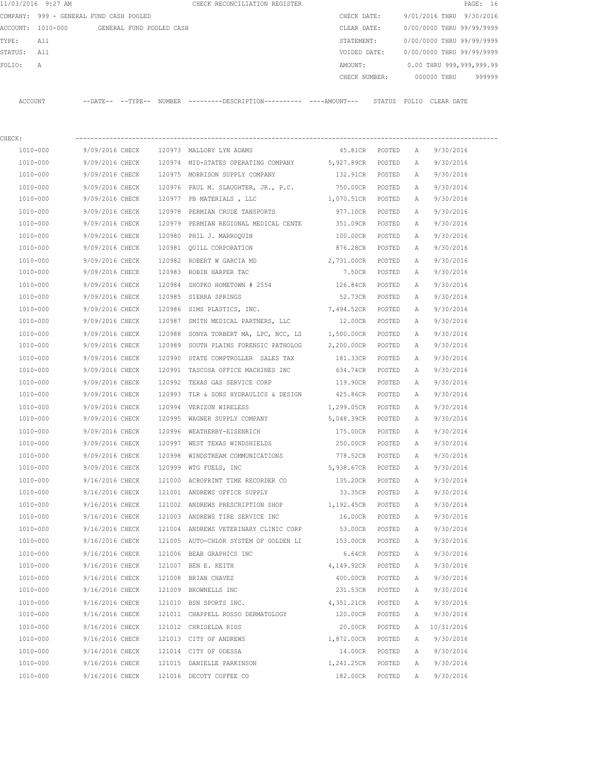|         | 11/03/2016 9:27 AM                      |                            |                          |        | CHECK RECONCILIATION REGISTER |  |               |        |                           |            | PAGE: 16 |        |
|---------|-----------------------------------------|----------------------------|--------------------------|--------|-------------------------------|--|---------------|--------|---------------------------|------------|----------|--------|
|         | COMPANY: 999 - GENERAL FUND CASH POOLED |                            |                          |        |                               |  | CHECK DATE:   |        | 9/01/2016 THRU 9/30/2016  |            |          |        |
|         | ACCOUNT: 1010-000                       |                            | GENERAL FUND POOLED CASH |        |                               |  | CLEAR DATE:   |        | 0/00/0000 THRU 99/99/9999 |            |          |        |
| TYPE:   | All                                     |                            |                          |        |                               |  | STATEMENT:    |        | 0/00/0000 THRU 99/99/9999 |            |          |        |
| STATUS: | All                                     |                            |                          |        |                               |  | VOIDED DATE:  |        | 0/00/0000 THRU 99/99/9999 |            |          |        |
| FOLTO:  | A                                       |                            |                          |        |                               |  | AMOUNT:       |        | 0.00 THRU 999,999,999.99  |            |          |        |
|         |                                         |                            |                          |        |                               |  | CHECK NUMBER: |        | 000000 THRU               |            |          | 999999 |
|         |                                         |                            |                          |        |                               |  |               |        |                           |            |          |        |
| ACCOUNT |                                         | $--$ DATE $- --$ TYPE $--$ |                          | NUMBER |                               |  |               | STATUS | FOLTO                     | CLEAR DATE |          |        |

| CHECK:   |                                       |                                                                |                   |                |              |            |
|----------|---------------------------------------|----------------------------------------------------------------|-------------------|----------------|--------------|------------|
| 1010-000 | 9/09/2016 CHECK                       | 120973 MALLORY LYN ADAMS                                       |                   | 45.81CR POSTED | A            | 9/30/2016  |
| 1010-000 |                                       | 9/09/2016 CHECK 120974 MID-STATES OPERATING COMPANY 5,927.89CR |                   | POSTED         | A            | 9/30/2016  |
| 1010-000 |                                       | 9/09/2016 CHECK 120975 MORRISON SUPPLY COMPANY                 | 132.91CR          | POSTED         | A            | 9/30/2016  |
| 1010-000 | 9/09/2016 CHECK                       | 120976 PAUL M. SLAUGHTER, JR., P.C.                            | 750.00CR POSTED   |                | Α            | 9/30/2016  |
| 1010-000 | 9/09/2016 CHECK                       | 120977 PB MATERIALS, LLC                                       | 1,070.51CR POSTED |                | A            | 9/30/2016  |
| 1010-000 | 9/09/2016 CHECK                       | 120978 PERMIAN CRUDE TANSPORTS                                 | 977.10CR POSTED   |                | A            | 9/30/2016  |
| 1010-000 |                                       | 9/09/2016 CHECK 120979 PERMIAN REGIONAL MEDICAL CENTE          | 351.09CR POSTED   |                | A            | 9/30/2016  |
| 1010-000 | 9/09/2016 CHECK                       | 120980 PHIL J. MARROQUIN                                       | 100.00CR POSTED   |                | Α            | 9/30/2016  |
| 1010-000 |                                       | 9/09/2016 CHECK 120981 QUILL CORPORATION                       | 876.28CR POSTED   |                | A            | 9/30/2016  |
| 1010-000 | 9/09/2016 CHECK                       | 120982 ROBERT W GARCIA MD                                      | 2,731.00CR POSTED |                | Α            | 9/30/2016  |
| 1010-000 |                                       | 9/09/2016 CHECK 120983 ROBIN HARPER TAC                        | 7.50CR POSTED     |                | A            | 9/30/2016  |
| 1010-000 |                                       | 9/09/2016 CHECK 120984 SHOPKO HOMETOWN # 2554 126.84CR POSTED  |                   |                | A            | 9/30/2016  |
| 1010-000 | 9/09/2016 CHECK 120985 SIERRA SPRINGS |                                                                | 52.73CR POSTED    |                | Α            | 9/30/2016  |
| 1010-000 | 9/09/2016 CHECK                       | 120986 SIMS PLASTICS, INC.                                     | 7,494.52CR POSTED |                | Α            | 9/30/2016  |
| 1010-000 | 9/09/2016 CHECK                       | 120987 SMITH MEDICAL PARTNERS, LLC                             | 12.00CR POSTED    |                | А            | 9/30/2016  |
| 1010-000 | 9/09/2016 CHECK                       | 120988 SONYA TORBERT MA, LPC, NCC, LS                          | 1,500.00CR POSTED |                | Α            | 9/30/2016  |
| 1010-000 | 9/09/2016 CHECK                       | 120989 SOUTH PLAINS FORENSIC PATHOLOG                          | 2,200.00CR POSTED |                | $\mathbb{A}$ | 9/30/2016  |
| 1010-000 | 9/09/2016 CHECK                       | 120990 STATE COMPTROLLER SALES TAX                             | 181.33CR POSTED   |                | Α            | 9/30/2016  |
| 1010-000 | 9/09/2016 CHECK                       | 120991 TASCOSA OFFICE MACHINES INC                             | 634.74CR POSTED   |                | A            | 9/30/2016  |
| 1010-000 | 9/09/2016 CHECK                       | 120992 TEXAS GAS SERVICE CORP                                  | 119.90CR POSTED   |                | A            | 9/30/2016  |
| 1010-000 | 9/09/2016 CHECK                       | 120993 TLR & SONS HYDRAULICS & DESIGN                          | 425.86CR POSTED   |                | A            | 9/30/2016  |
| 1010-000 | 9/09/2016 CHECK                       | 120994 VERIZON WIRELESS                                        | 1,299.05CR POSTED |                | A            | 9/30/2016  |
| 1010-000 |                                       | 9/09/2016 CHECK 120995 WAGNER SUPPLY COMPANY 5,048.39CR POSTED |                   |                | A            | 9/30/2016  |
| 1010-000 | 9/09/2016 CHECK                       | 120996 WEATHERBY-EISENRICH                                     | 175.00CR          | POSTED         | Α            | 9/30/2016  |
| 1010-000 |                                       | 9/09/2016 CHECK 120997 WEST TEXAS WINDSHIELDS                  | 250.00CR          | POSTED         | A            | 9/30/2016  |
| 1010-000 |                                       | 9/09/2016 CHECK 120998 WINDSTREAM COMMUNICATIONS               | 778.52CR          | POSTED         | A            | 9/30/2016  |
| 1010-000 | 9/09/2016 CHECK 120999 WTG FUELS, INC |                                                                | 5,938.67CR POSTED |                | A            | 9/30/2016  |
| 1010-000 | 9/16/2016 CHECK                       | 121000 ACROPRINT TIME RECORDER CO                              | 135.20CR POSTED   |                | A            | 9/30/2016  |
| 1010-000 | 9/16/2016 CHECK                       | 121001 ANDREWS OFFICE SUPPLY                                   | 33.35CR POSTED    |                | A            | 9/30/2016  |
| 1010-000 | 9/16/2016 CHECK                       | 121002 ANDREWS PRESCRIPTION SHOP                               | 1,192.45CR POSTED |                | A            | 9/30/2016  |
| 1010-000 | 9/16/2016 CHECK                       | 121003 ANDREWS TIRE SERVICE INC                                | 16.00CR POSTED    |                | A            | 9/30/2016  |
| 1010-000 | 9/16/2016 CHECK                       | 121004 ANDREWS VETERINARY CLINIC CORP                          | 53.00CR POSTED    |                | A            | 9/30/2016  |
| 1010-000 | 9/16/2016 CHECK                       | 121005 AUTO-CHLOR SYSTEM OF GOLDEN LI 153.00CR POSTED          |                   |                | A            | 9/30/2016  |
| 1010-000 | 9/16/2016 CHECK                       | 121006 BEAR GRAPHICS INC                                       | 6.64CR            | POSTED         | $\mathbb{A}$ | 9/30/2016  |
| 1010-000 | 9/16/2016 CHECK                       | 121007 BEN E. KEITH                                            | 4,149.92CR        | POSTED         | $\mathbb{A}$ | 9/30/2016  |
| 1010-000 | 9/16/2016 CHECK                       | 121008 BRIAN CHAVEZ                                            | 400.00CR          | POSTED         | Α            | 9/30/2016  |
| 1010-000 | 9/16/2016 CHECK                       | 121009 BROWNELLS INC                                           | 231.53CR          | POSTED         | Α            | 9/30/2016  |
| 1010-000 | 9/16/2016 CHECK                       | 121010 BSN SPORTS INC.                                         | 4,351.21CR        | POSTED         | Α            | 9/30/2016  |
| 1010-000 | 9/16/2016 CHECK                       | 121011 CHAPPELL ROSSO DERMATOLOGY                              | 120.00CR          | POSTED         | А            | 9/30/2016  |
| 1010-000 | 9/16/2016 CHECK                       | 121012 CHRISELDA RIOS                                          | 20.00CR           | POSTED         | Α            | 10/31/2016 |
| 1010-000 | 9/16/2016 CHECK                       | 121013 CITY OF ANDREWS                                         | 1,872.00CR        | POSTED         | Α            | 9/30/2016  |
| 1010-000 | 9/16/2016 CHECK                       | 121014 CITY OF ODESSA                                          | 14.00CR           | POSTED         | Α            | 9/30/2016  |
| 1010-000 | 9/16/2016 CHECK                       | 121015 DANIELLE PARKINSON                                      | 1,241.25CR        | POSTED         | Α            | 9/30/2016  |
| 1010-000 | 9/16/2016 CHECK                       | 121016 DECOTY COFFEE CO                                        | 182.00CR          | POSTED         | Α            | 9/30/2016  |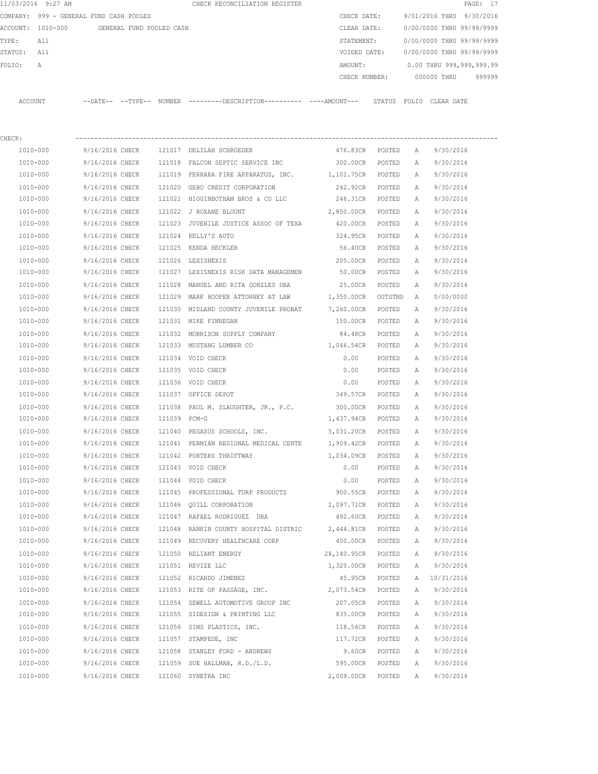|         | 11/03/2016 9:27 AM                      |                 |                          | CHECK RECONCILIATION REGISTER                                                                 |              |               |              |                           | PAGE: 17 |
|---------|-----------------------------------------|-----------------|--------------------------|-----------------------------------------------------------------------------------------------|--------------|---------------|--------------|---------------------------|----------|
|         | COMPANY: 999 - GENERAL FUND CASH POOLED |                 |                          |                                                                                               | CHECK DATE:  |               |              | 9/01/2016 THRU 9/30/2016  |          |
|         | ACCOUNT: 1010-000                       |                 | GENERAL FUND POOLED CASH |                                                                                               | CLEAR DATE:  |               |              | 0/00/0000 THRU 99/99/9999 |          |
| TYPE:   | All                                     |                 |                          |                                                                                               | STATEMENT:   |               |              | 0/00/0000 THRU 99/99/9999 |          |
| STATUS: | All                                     |                 |                          |                                                                                               | VOIDED DATE: |               |              | 0/00/0000 THRU 99/99/9999 |          |
| FOLIO:  | Α                                       |                 |                          |                                                                                               | AMOUNT:      |               |              | 0.00 THRU 999,999,999.99  |          |
|         |                                         |                 |                          |                                                                                               |              | CHECK NUMBER: |              | 000000 THRU               | 999999   |
|         |                                         |                 |                          |                                                                                               |              |               |              |                           |          |
| ACCOUNT |                                         |                 |                          | --DATE-- --TYPE-- NUMBER ---------DESCRIPTION---------- ----AMOUNT--- STATUS FOLIO CLEAR-DATE |              |               |              |                           |          |
|         |                                         |                 |                          |                                                                                               |              |               |              |                           |          |
|         |                                         |                 |                          |                                                                                               |              |               |              |                           |          |
| CHECK:  |                                         |                 |                          |                                                                                               |              |               |              |                           |          |
|         | 1010-000                                | 9/16/2016 CHECK | 121017                   | DELILAH SCHROEDER                                                                             | 476.83CR     | POSTED        | A            | 9/30/2016                 |          |
|         | 1010-000                                | 9/16/2016 CHECK | 121018                   | FALCON SEPTIC SERVICE INC 300.00CR                                                            |              | POSTED        | A            | 9/30/2016                 |          |
|         | 1010-000                                | 9/16/2016 CHECK |                          | 121019 FERRARA FIRE APPARATUS, INC. 1,101.75CR                                                |              | POSTED        | $\mathbb{A}$ | 9/30/2016                 |          |
|         | 1010-000                                | 9/16/2016 CHECK | 121020                   | GEBO CREDIT CORPORATION                                                                       | 242.92CR     | POSTED        | Α            | 9/30/2016                 |          |
|         | 1010-000                                | 9/16/2016 CHECK | 121021                   | HIGGINBOTHAM BROS & CO LLC 246.31CR                                                           |              | POSTED        | Α            | 9/30/2016                 |          |
|         | 1010-000                                | 9/16/2016 CHECK | 121022                   | J ROXANE BLOUNT                                                                               | 2,850.00CR   | POSTED        | Α            | 9/30/2016                 |          |
|         | 1010-000                                | 9/16/2016 CHECK | 121023                   | JUVENILE JUSTICE ASSOC OF TEXA                                                                | 420.00CR     | POSTED        | Α            | 9/30/2016                 |          |
|         | $1010 - 000$                            | 9/16/2016 CHECK | 121024                   | KELLY'S AUTO                                                                                  | 324.95CR     | POSTED        | A            | 9/30/2016                 |          |
|         | 1010-000                                | 9/16/2016 CHECK | 121025                   | KENDA HECKLER                                                                                 | 56.40CR      | POSTED        | Α            | 9/30/2016                 |          |
|         | $1010 - 000$                            | 9/16/2016 CHECK | 121026                   | LEXISNEXIS                                                                                    | 205.00CR     | POSTED        | $\mathbb{A}$ | 9/30/2016                 |          |
|         | 1010-000                                | 9/16/2016 CHECK |                          | 121027 LEXISNEXIS RISK DATA MANAGEMEN                                                         | 50.00CR      | POSTED        | Α            | 9/30/2016                 |          |
|         |                                         |                 |                          |                                                                                               |              |               |              |                           |          |

| 1010-000     | 9/16/2016 CHECK |              | 121025 KENDA HECKLER                       | 56.40CR     | POSTED  | Α            | 9/30/2016  |
|--------------|-----------------|--------------|--------------------------------------------|-------------|---------|--------------|------------|
| 1010-000     | 9/16/2016 CHECK |              | 121026 LEXISNEXIS                          | 205.00CR    | POSTED  | Α            | 9/30/2016  |
| 1010-000     | 9/16/2016 CHECK |              | 121027 LEXISNEXIS RISK DATA MANAGEMEN      | 50.00CR     | POSTED  | $\mathbb{A}$ | 9/30/2016  |
| 1010-000     | 9/16/2016 CHECK |              | 121028 MANUEL AND RITA GONZLES DBA         | 25.00CR     | POSTED  | $\mathbb{A}$ | 9/30/2016  |
| $1010 - 000$ | 9/16/2016 CHECK |              | 121029 MARK HOOPER ATTORNEY AT LAW         | 1,350.00CR  | OUTSTND | Α            | 0/00/0000  |
| 1010-000     | 9/16/2016 CHECK |              | 121030 MIDLAND COUNTY JUVENILE PROBAT      | 7,260.00CR  | POSTED  | Α            | 9/30/2016  |
| 1010-000     | 9/16/2016 CHECK |              | 121031 MIKE FINNEGAN                       | 150.00CR    | POSTED  | $\mathbb{A}$ | 9/30/2016  |
| 1010-000     | 9/16/2016 CHECK |              | 121032 MORRISON SUPPLY COMPANY             | 84.48CR     | POSTED  | $\mathbb{A}$ | 9/30/2016  |
| 1010-000     | 9/16/2016 CHECK |              | 121033 MUSTANG LUMBER CO                   | 1,046.54CR  | POSTED  | $\mathbb{A}$ | 9/30/2016  |
| 1010-000     | 9/16/2016 CHECK |              | 121034 VOID CHECK                          | 0.00        | POSTED  | Α            | 9/30/2016  |
| 1010-000     | 9/16/2016 CHECK |              | 121035 VOID CHECK                          | 0.00        | POSTED  | Α            | 9/30/2016  |
| 1010-000     | 9/16/2016 CHECK |              | 121036 VOID CHECK                          | 0.00        | POSTED  | Α            | 9/30/2016  |
| 1010-000     | 9/16/2016 CHECK |              | 121037 OFFICE DEPOT                        | 349.57CR    | POSTED  | Α            | 9/30/2016  |
| 1010-000     | 9/16/2016 CHECK |              | 121038 PAUL M. SLAUGHTER, JR., P.C.        | 300.00CR    | POSTED  | Α            | 9/30/2016  |
| 1010-000     | 9/16/2016 CHECK | 121039 PCM-G |                                            | 1,437.94CR  | POSTED  | Α            | 9/30/2016  |
| 1010-000     | 9/16/2016 CHECK |              | 121040 PEGASUS SCHOOLS, INC.               | 5,031.20CR  | POSTED  | Α            | 9/30/2016  |
| 1010-000     | 9/16/2016 CHECK |              | 121041 PERMIAN REGIONAL MEDICAL CENTE      | 1,909.42CR  | POSTED  | Α            | 9/30/2016  |
| $1010 - 000$ | 9/16/2016 CHECK |              | 121042 PORTERS THRIFTWAY                   | 1,034.09CR  | POSTED  | Α            | 9/30/2016  |
| 1010-000     | 9/16/2016 CHECK |              | 121043 VOID CHECK                          | 0.00        | POSTED  | Α            | 9/30/2016  |
| 1010-000     | 9/16/2016 CHECK |              | 121044 VOID CHECK                          | 0.00        | POSTED  | Α            | 9/30/2016  |
| 1010-000     | 9/16/2016 CHECK |              | 121045 PROFESSIONAL TURF PRODUCTS 900.55CR |             | POSTED  | $\mathbb{A}$ | 9/30/2016  |
| 1010-000     | 9/16/2016 CHECK |              | 121046 OUILL CORPORATION                   | 2,097.71CR  | POSTED  | Α            | 9/30/2016  |
| 1010-000     | 9/16/2016 CHECK |              | 121047 RAFAEL RODRIGUEZ DBA                | 492.60CR    | POSTED  | Α            | 9/30/2016  |
| 1010-000     | 9/16/2016 CHECK |              | 121048 RANKIN COUNTY HOSPITAL DISTRIC      | 2,444.81CR  | POSTED  | Α            | 9/30/2016  |
| 1010-000     | 9/16/2016 CHECK |              | 121049 RECOVERY HEALTHCARE CORP            | 400.00CR    | POSTED  | Α            | 9/30/2016  |
| 1010-000     | 9/16/2016 CHECK |              | 121050 RELIANT ENERGY                      | 28,140.95CR | POSTED  | Α            | 9/30/2016  |
| 1010-000     | 9/16/2016 CHECK |              | 121051 REVIZE LLC                          | 1,320.00CR  | POSTED  | Α            | 9/30/2016  |
| 1010-000     | 9/16/2016 CHECK |              | 121052 RICARDO JIMENEZ                     | 45.95CR     | POSTED  | Α            | 10/31/2016 |
| 1010-000     | 9/16/2016 CHECK |              | 121053 RITE OF PASSAGE, INC.               | 2,073.54CR  | POSTED  | Α            | 9/30/2016  |
| 1010-000     | 9/16/2016 CHECK |              | 121054 SEWELL AUTOMOTIVE GROUP INC         | 207.05CR    | POSTED  | Α            | 9/30/2016  |
| 1010-000     | 9/16/2016 CHECK |              | 121055 SIDESIGN & PRINTING LLC             | 835.00CR    | POSTED  | Α            | 9/30/2016  |
| $1010 - 000$ | 9/16/2016 CHECK |              | 121056 SIMS PLASTICS, INC.                 | 118.56CR    | POSTED  | Α            | 9/30/2016  |
| 1010-000     | 9/16/2016 CHECK |              | 121057 STAMPEDE, INC                       | 117.72CR    | POSTED  | Α            | 9/30/2016  |
| 1010-000     | 9/16/2016 CHECK |              | 121058 STANLEY FORD - ANDREWS              | 9.60CR      | POSTED  | $\mathbb A$  | 9/30/2016  |
| 1010-000     | 9/16/2016 CHECK |              | 121059 SUE HALLMAN, R.D./L.D.              | 595.00CR    | POSTED  | $\mathbb{A}$ | 9/30/2016  |
| 1010-000     | 9/16/2016 CHECK |              | 121060 SYNETRA INC                         | 2,009.00CR  | POSTED  | A            | 9/30/2016  |
|              |                 |              |                                            |             |         |              |            |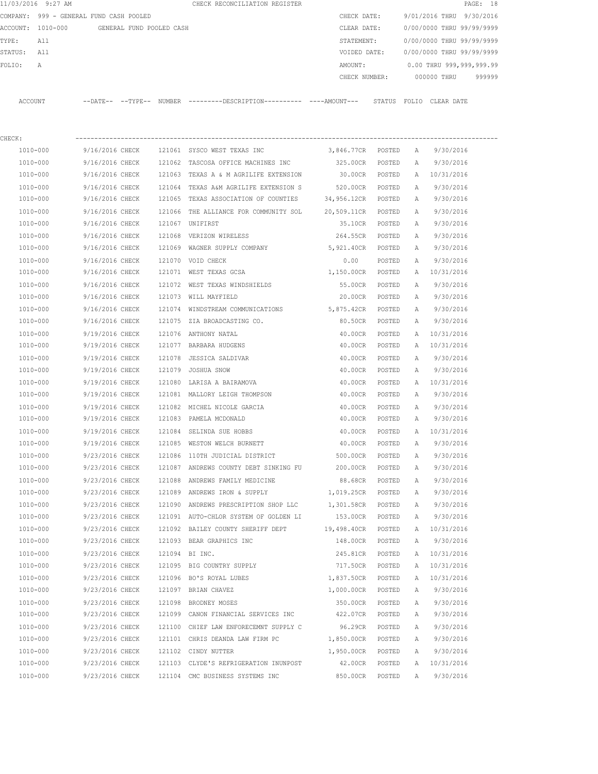|          | 11/03/2016 9:27 AM                      |                        |                          | CHECK RECONCILIATION REGISTER                      |  |               |        |                           |             | PAGE: 18                 |        |
|----------|-----------------------------------------|------------------------|--------------------------|----------------------------------------------------|--|---------------|--------|---------------------------|-------------|--------------------------|--------|
|          | COMPANY: 999 - GENERAL FUND CASH POOLED |                        |                          |                                                    |  | CHECK DATE:   |        | 9/01/2016 THRU 9/30/2016  |             |                          |        |
| ACCOUNT: | 1010-000                                |                        | GENERAL FUND POOLED CASH |                                                    |  | CLEAR DATE:   |        | 0/00/0000 THRU 99/99/9999 |             |                          |        |
| TYPE:    | All                                     |                        |                          |                                                    |  | STATEMENT:    |        | 0/00/0000 THRU 99/99/9999 |             |                          |        |
| STATUS:  | All                                     |                        |                          |                                                    |  | VOIDED DATE:  |        | 0/00/0000 THRU 99/99/9999 |             |                          |        |
| FOLIO:   | Α                                       |                        |                          |                                                    |  | AMOUNT:       |        |                           |             | 0.00 THRU 999,999,999.99 |        |
|          |                                         |                        |                          |                                                    |  | CHECK NUMBER: |        |                           | 000000 THRU |                          | 999999 |
| ACCOUNT  |                                         | $---DATF------TYPF---$ |                          | NUMBER ---------DESCRIPTION---------- ---AMOUNT--- |  |               | STATUS | FOLIO CLEAR DATE          |             |                          |        |

| CHECK:   |                                           |                                                                                      |                               |        |   |                              |  |
|----------|-------------------------------------------|--------------------------------------------------------------------------------------|-------------------------------|--------|---|------------------------------|--|
|          |                                           | 1010-000 9/16/2016 CHECK 121061 SYSCO WEST TEXAS INC 3,846.77CR POSTED A 9/30/2016   |                               |        |   |                              |  |
| 1010-000 |                                           | 9/16/2016 CHECK 121062 TASCOSA OFFICE MACHINES INC 325.00CR POSTED A 9/30/2016       |                               |        |   |                              |  |
| 1010-000 |                                           | 9/16/2016 CHECK 121063 TEXAS A & M AGRILIFE EXTENSION                                |                               |        |   | 30.00CR POSTED A 10/31/2016  |  |
| 1010-000 |                                           | 9/16/2016 CHECK 121064 TEXAS A&M AGRILIFE EXTENSION S                                | 520.00CR POSTED A 9/30/2016   |        |   |                              |  |
| 1010-000 |                                           | 9/16/2016 CHECK 121065 TEXAS ASSOCIATION OF COUNTIES 34,956.12CR POSTED A 9/30/2016  |                               |        |   |                              |  |
| 1010-000 |                                           | 9/16/2016 CHECK 121066 THE ALLIANCE FOR COMMUNITY SOL 20,509.11CR POSTED A 9/30/2016 |                               |        |   |                              |  |
| 1010-000 | 9/16/2016 CHECK 121067 UNIFIRST           |                                                                                      | 35.10CR POSTED                |        | A | 9/30/2016                    |  |
| 1010-000 | 9/16/2016 CHECK 121068 VERIZON WIRELESS   |                                                                                      | 264.55CR POSTED A 9/30/2016   |        |   |                              |  |
| 1010-000 |                                           | 9/16/2016 CHECK 121069 WAGNER SUPPLY COMPANY 5,921.40CR POSTED                       |                               |        |   | A 9/30/2016                  |  |
| 1010-000 | 9/16/2016 CHECK 121070 VOID CHECK         |                                                                                      | 0.00 POSTED                   |        | A | 9/30/2016                    |  |
| 1010-000 |                                           | 9/16/2016 CHECK 121071 WEST TEXAS GCSA 1,150.00CR POSTED                             |                               |        |   | A 10/31/2016                 |  |
| 1010-000 |                                           | 9/16/2016 CHECK 121072 WEST TEXAS WINDSHIELDS                                        | 55.00CR POSTED                |        | A | 9/30/2016                    |  |
| 1010-000 | 9/16/2016 CHECK 121073 WILL MAYFIELD      |                                                                                      | 20.00CR POSTED                |        |   | A 9/30/2016                  |  |
| 1010-000 |                                           | 9/16/2016 CHECK 121074 WINDSTREAM COMMUNICATIONS 5,875.42CR POSTED                   |                               |        |   | A 9/30/2016                  |  |
| 1010-000 |                                           | 9/16/2016 CHECK 121075 ZIA BROADCASTING CO.                                          | 80.50CR POSTED                |        |   | A 9/30/2016                  |  |
| 1010-000 | 9/19/2016 CHECK 121076 ANTHONY NATAL      |                                                                                      | 40.00CR POSTED                |        |   | A 10/31/2016                 |  |
| 1010-000 | 9/19/2016 CHECK 121077 BARBARA HUDGENS    |                                                                                      |                               |        |   | 40.00CR POSTED A 10/31/2016  |  |
| 1010-000 |                                           | 9/19/2016 CHECK 121078 JESSICA SALDIVAR                                              |                               |        |   | 40.00CR POSTED A 9/30/2016   |  |
| 1010-000 | 9/19/2016 CHECK 121079 JOSHUA SNOW        |                                                                                      |                               |        |   | 40.00CR POSTED A 9/30/2016   |  |
| 1010-000 |                                           | 9/19/2016 CHECK 121080 LARISA A BAIRAMOVA                                            |                               |        |   | 40.00CR POSTED A 10/31/2016  |  |
| 1010-000 |                                           | 9/19/2016 CHECK 121081 MALLORY LEIGH THOMPSON                                        |                               |        |   | 40.00CR POSTED A 9/30/2016   |  |
| 1010-000 |                                           | 9/19/2016 CHECK 121082 MICHEL NICOLE GARCIA 40.00CR POSTED A 9/30/2016               |                               |        |   |                              |  |
| 1010-000 | 9/19/2016 CHECK 121083 PAMELA MCDONALD    |                                                                                      | 40.00CR POSTED A 9/30/2016    |        |   |                              |  |
| 1010-000 |                                           | 9/19/2016 CHECK 121084 SELINDA SUE HOBBS                                             | 40.00CR POSTED                |        |   | A 10/31/2016                 |  |
| 1010-000 |                                           | 9/19/2016 CHECK 121085 WESTON WELCH BURNETT                                          | 40.00CR POSTED                |        |   | A 9/30/2016                  |  |
| 1010-000 |                                           | 9/23/2016 CHECK 121086 110TH JUDICIAL DISTRICT 500.00CR POSTED                       |                               |        | A | 9/30/2016                    |  |
| 1010-000 |                                           | 9/23/2016 CHECK 121087 ANDREWS COUNTY DEBT SINKING FU 200.00CR POSTED                |                               |        | A | 9/30/2016                    |  |
| 1010-000 |                                           | 9/23/2016 CHECK 121088 ANDREWS FAMILY MEDICINE                                       | 88.68CR POSTED A              |        |   | 9/30/2016                    |  |
| 1010-000 |                                           | 9/23/2016 CHECK 121089 ANDREWS IRON & SUPPLY                                         | 1,019.25CR POSTED A 9/30/2016 |        |   |                              |  |
| 1010-000 |                                           | 9/23/2016 CHECK 121090 ANDREWS PRESCRIPTION SHOP LLC                                 | 1,301.58CR POSTED A 9/30/2016 |        |   |                              |  |
| 1010-000 |                                           | 9/23/2016 CHECK 121091 AUTO-CHLOR SYSTEM OF GOLDEN LI                                | 153.00CR POSTED               |        |   | A 9/30/2016                  |  |
| 1010-000 |                                           | 9/23/2016 CHECK 121092 BAILEY COUNTY SHERIFF DEPT 19,498.40CR POSTED                 |                               |        |   | A 10/31/2016                 |  |
| 1010-000 | 9/23/2016 CHECK 121093 BEAR GRAPHICS INC  |                                                                                      |                               |        |   | 148.00CR POSTED A 9/30/2016  |  |
| 1010-000 | 9/23/2016 CHECK 121094 BI INC.            |                                                                                      |                               |        |   | 245.81CR POSTED A 10/31/2016 |  |
| 1010-000 | 9/23/2016 CHECK 121095 BIG COUNTRY SUPPLY |                                                                                      | 717.50CR POSTED A 10/31/2016  |        |   |                              |  |
| 1010-000 | 9/23/2016 CHECK                           | 121096 BO'S ROYAL LUBES                                                              | 1,837.50CR                    | POSTED | A | 10/31/2016                   |  |
| 1010-000 | 9/23/2016 CHECK                           | 121097 BRIAN CHAVEZ                                                                  | 1,000.00CR                    | POSTED | Α | 9/30/2016                    |  |
| 1010-000 | 9/23/2016 CHECK                           | 121098 BRODNEY MOSES                                                                 | 350.00CR                      | POSTED | Α | 9/30/2016                    |  |
| 1010-000 | 9/23/2016 CHECK                           | 121099 CANON FINANCIAL SERVICES INC                                                  | 422.07CR                      | POSTED | Α | 9/30/2016                    |  |
| 1010-000 | 9/23/2016 CHECK                           | 121100 CHIEF LAW ENFORECEMNT SUPPLY C                                                | 96.29CR                       | POSTED | Α | 9/30/2016                    |  |
| 1010-000 | 9/23/2016 CHECK                           | 121101 CHRIS DEANDA LAW FIRM PC                                                      | 1,850.00CR                    | POSTED | Α | 9/30/2016                    |  |
| 1010-000 | 9/23/2016 CHECK                           | 121102 CINDY NUTTER                                                                  | 1,950.00CR                    | POSTED | Α | 9/30/2016                    |  |
| 1010-000 | 9/23/2016 CHECK                           | 121103 CLYDE'S REFRIGERATION INUNPOST                                                | 42.00CR                       | POSTED | Α | 10/31/2016                   |  |
| 1010-000 | 9/23/2016 CHECK                           | 121104 CMC BUSINESS SYSTEMS INC                                                      | 850.00CR                      | POSTED | Α | 9/30/2016                    |  |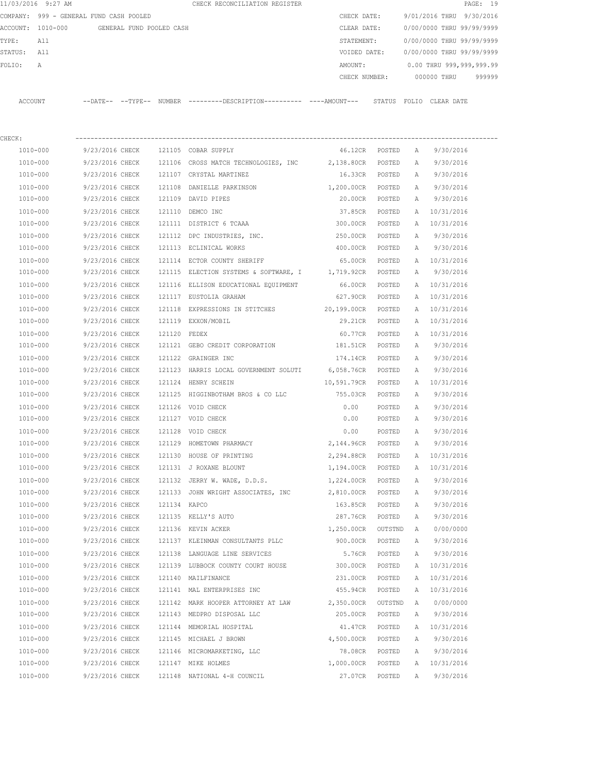|         | 11/03/2016 9:27 AM                      |                   |                          |        | CHECK RECONCILIATION REGISTER |              |               |       |                           | PAGE: 19 |        |
|---------|-----------------------------------------|-------------------|--------------------------|--------|-------------------------------|--------------|---------------|-------|---------------------------|----------|--------|
|         | COMPANY: 999 - GENERAL FUND CASH POOLED |                   |                          |        |                               | CHECK DATE:  |               |       | 9/01/2016 THRU 9/30/2016  |          |        |
|         | ACCOUNT: 1010-000                       |                   | GENERAL FUND POOLED CASH |        |                               | CLEAR DATE:  |               |       | 0/00/0000 THRU 99/99/9999 |          |        |
| TYPE:   | All                                     |                   |                          |        |                               | STATEMENT:   |               |       | 0/00/0000 THRU 99/99/9999 |          |        |
| STATUS: | All                                     |                   |                          |        |                               | VOIDED DATE: |               |       | 0/00/0000 THRU 99/99/9999 |          |        |
| FOLTO:  | A                                       |                   |                          |        |                               | AMOUNT:      |               |       | 0.00 THRU 999,999,999.99  |          |        |
|         |                                         |                   |                          |        |                               |              | CHECK NUMBER: |       | 000000 THRU               |          | 999999 |
|         |                                         |                   |                          |        |                               |              |               |       |                           |          |        |
| ACCOUNT |                                         | --DATE-- --TYPE-- |                          | NUMBER |                               |              | STATUS        | FOLTO | CLEAR DATE                |          |        |

| CHECK:       |                 |              |                                                         |                    |         |              |              |  |
|--------------|-----------------|--------------|---------------------------------------------------------|--------------------|---------|--------------|--------------|--|
| 1010-000     | 9/23/2016 CHECK |              | 121105 COBAR SUPPLY                                     | 46.12CR            | POSTED  | Α            | 9/30/2016    |  |
| 1010-000     | 9/23/2016 CHECK |              | 121106 CROSS MATCH TECHNOLOGIES, INC 2,138.80CR         |                    | POSTED  | Α            | 9/30/2016    |  |
| 1010-000     | 9/23/2016 CHECK |              | 121107 CRYSTAL MARTINEZ                                 | 16.33CR            | POSTED  | Α            | 9/30/2016    |  |
| 1010-000     | 9/23/2016 CHECK | 121108       | DANIELLE PARKINSON                                      | 1,200.00CR         | POSTED  | A            | 9/30/2016    |  |
| 1010-000     | 9/23/2016 CHECK |              | 121109 DAVID PIPES                                      | 20.00CR            | POSTED  | A            | 9/30/2016    |  |
| 1010-000     | 9/23/2016 CHECK |              | 121110 DEMCO INC                                        | 37.85CR            | POSTED  | A            | 10/31/2016   |  |
| 1010-000     | 9/23/2016 CHECK |              | 121111 DISTRICT 6 TCAAA                                 | 300.00CR           | POSTED  | Α            | 10/31/2016   |  |
| 1010-000     | 9/23/2016 CHECK |              | 121112 DPC INDUSTRIES, INC.                             | 250.00CR           | POSTED  | Α            | 9/30/2016    |  |
| 1010-000     | 9/23/2016 CHECK |              | 121113 ECLINICAL WORKS                                  | 400.00CR           | POSTED  | A            | 9/30/2016    |  |
| 1010-000     | 9/23/2016 CHECK |              | 121114 ECTOR COUNTY SHERIFF                             | 65.00CR            | POSTED  |              | A 10/31/2016 |  |
| 1010-000     | 9/23/2016 CHECK |              | 121115 ELECTION SYSTEMS & SOFTWARE, I 1,719.92CR POSTED |                    |         | A            | 9/30/2016    |  |
| 1010-000     | 9/23/2016 CHECK |              | 121116 ELLISON EDUCATIONAL EQUIPMENT                    | 66.00CR            | POSTED  |              | A 10/31/2016 |  |
| 1010-000     | 9/23/2016 CHECK |              | 121117 EUSTOLIA GRAHAM                                  | 627.90CR           | POSTED  | A            | 10/31/2016   |  |
| 1010-000     | 9/23/2016 CHECK | 121118       | EXPRESSIONS IN STITCHES 20,199.00CR                     |                    | POSTED  | Α            | 10/31/2016   |  |
| 1010-000     | 9/23/2016 CHECK |              | 121119 EXXON/MOBIL                                      | 29.21CR            | POSTED  | Α            | 10/31/2016   |  |
| 1010-000     | 9/23/2016 CHECK | 121120 FEDEX |                                                         | 60.77CR            | POSTED  | A            | 10/31/2016   |  |
| 1010-000     | 9/23/2016 CHECK |              | 121121 GEBO CREDIT CORPORATION                          | 181.51CR           | POSTED  | A            | 9/30/2016    |  |
| 1010-000     | 9/23/2016 CHECK |              | 121122 GRAINGER INC                                     | 174.14CR POSTED    |         | A            | 9/30/2016    |  |
| 1010-000     | 9/23/2016 CHECK |              | 121123 HARRIS LOCAL GOVERNMENT SOLUTI                   | 6,058.76CR POSTED  |         | Α            | 9/30/2016    |  |
| 1010-000     | 9/23/2016 CHECK |              | 121124 HENRY SCHEIN                                     | 10,591.79CR POSTED |         |              | A 10/31/2016 |  |
| 1010-000     | 9/23/2016 CHECK |              | 121125 HIGGINBOTHAM BROS & CO LLC                       | 755.03CR           | POSTED  | Α            | 9/30/2016    |  |
| 1010-000     | 9/23/2016 CHECK |              | 121126 VOID CHECK                                       | 0.00               | POSTED  | Α            | 9/30/2016    |  |
| 1010-000     | 9/23/2016 CHECK |              | 121127 VOID CHECK                                       | 0.00               | POSTED  | А            | 9/30/2016    |  |
| 1010-000     | 9/23/2016 CHECK | 121128       | VOID CHECK                                              | 0.00               | POSTED  | Α            | 9/30/2016    |  |
| 1010-000     | 9/23/2016 CHECK | 121129       | HOMETOWN PHARMACY                                       | 2,144.96CR         | POSTED  | Α            | 9/30/2016    |  |
| 1010-000     | 9/23/2016 CHECK | 121130       | HOUSE OF PRINTING                                       | 2,294.88CR         | POSTED  | Α            | 10/31/2016   |  |
| 1010-000     | 9/23/2016 CHECK |              | 121131 J ROXANE BLOUNT                                  | 1,194.00CR         | POSTED  | A            | 10/31/2016   |  |
| 1010-000     | 9/23/2016 CHECK | 121132       | JERRY W. WADE, D.D.S.                                   | 1,224.00CR         | POSTED  | Α            | 9/30/2016    |  |
| 1010-000     | 9/23/2016 CHECK |              | 121133 JOHN WRIGHT ASSOCIATES, INC                      | 2,810.00CR         | POSTED  | A            | 9/30/2016    |  |
| 1010-000     | 9/23/2016 CHECK | 121134 KAPCO |                                                         | 163.85CR           | POSTED  | Α            | 9/30/2016    |  |
| 1010-000     | 9/23/2016 CHECK |              | 121135 KELLY'S AUTO                                     | 287.76CR           | POSTED  | Α            | 9/30/2016    |  |
| 1010-000     | 9/23/2016 CHECK |              | 121136 KEVIN ACKER                                      | 1,250.00CR         | OUTSTND | A            | 0/00/0000    |  |
| 1010-000     | 9/23/2016 CHECK |              | 121137 KLEINMAN CONSULTANTS PLLC                        | 900.00CR POSTED    |         | Α            | 9/30/2016    |  |
| 1010-000     | 9/23/2016 CHECK | 121138       | LANGUAGE LINE SERVICES                                  | 5.76CR             | POSTED  | A            | 9/30/2016    |  |
| 1010-000     | 9/23/2016 CHECK |              | 121139 LUBBOCK COUNTY COURT HOUSE                       | 300.00CR           | POSTED  | $\mathbb{A}$ | 10/31/2016   |  |
| 1010-000     | 9/23/2016 CHECK |              | 121140 MAILFINANCE                                      | 231.00CR           | POSTED  | Α            | 10/31/2016   |  |
| 1010-000     | 9/23/2016 CHECK |              | 121141 MAL ENTERPRISES INC                              | 455.94CR           | POSTED  | Α            | 10/31/2016   |  |
| 1010-000     | 9/23/2016 CHECK |              | 121142 MARK HOOPER ATTORNEY AT LAW                      | 2,350.00CR         | OUTSTND | Α            | 0/00/0000    |  |
| 1010-000     | 9/23/2016 CHECK |              | 121143 MEDPRO DISPOSAL LLC                              | 205.00CR           | POSTED  | Α            | 9/30/2016    |  |
| $1010 - 000$ | 9/23/2016 CHECK |              | 121144 MEMORIAL HOSPITAL                                | 41.47CR            | POSTED  | Α            | 10/31/2016   |  |
| 1010-000     | 9/23/2016 CHECK |              | 121145 MICHAEL J BROWN                                  | 4,500.00CR         | POSTED  | Α            | 9/30/2016    |  |
| 1010-000     | 9/23/2016 CHECK |              | 121146 MICROMARKETING, LLC                              | 78.08CR            | POSTED  | Α            | 9/30/2016    |  |
| 1010-000     | 9/23/2016 CHECK |              | 121147 MIKE HOLMES                                      | 1,000.00CR         | POSTED  | Α            | 10/31/2016   |  |
| 1010-000     | 9/23/2016 CHECK |              | 121148 NATIONAL 4-H COUNCIL                             | 27.07CR            | POSTED  | Α            | 9/30/2016    |  |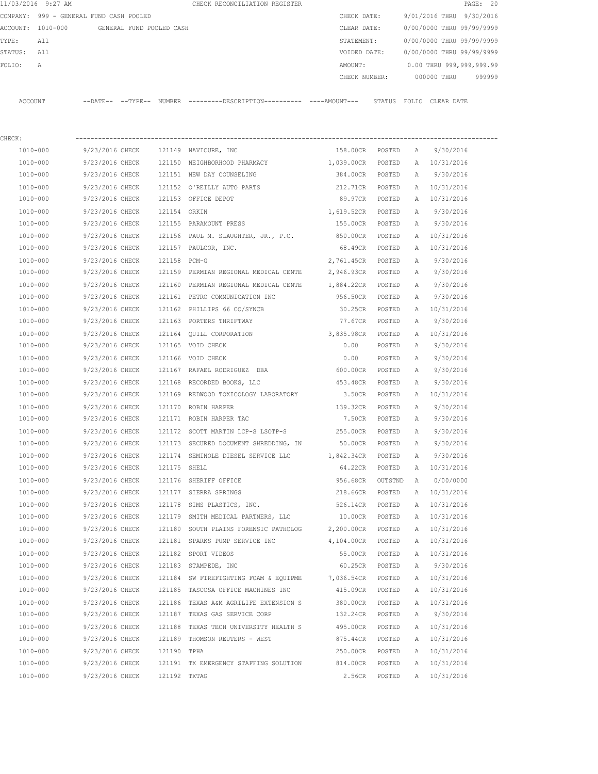|          | 11/03/2016 9:27 AM                      |                          |        | CHECK RECONCILIATION REGISTER                       |               |        |              |                           | PAGE: 20 |
|----------|-----------------------------------------|--------------------------|--------|-----------------------------------------------------|---------------|--------|--------------|---------------------------|----------|
|          | COMPANY: 999 - GENERAL FUND CASH POOLED |                          |        |                                                     | CHECK DATE:   |        |              | 9/01/2016 THRU 9/30/2016  |          |
| ACCOUNT: | 1010-000                                | GENERAL FUND POOLED CASH |        |                                                     | CLEAR DATE:   |        |              | 0/00/0000 THRU 99/99/9999 |          |
| TYPE:    | All                                     |                          |        |                                                     | STATEMENT:    |        |              | 0/00/0000 THRU 99/99/9999 |          |
| STATUS:  | All                                     |                          |        |                                                     | VOIDED DATE:  |        |              | 0/00/0000 THRU 99/99/9999 |          |
| FOLIO:   | Α                                       |                          |        |                                                     | AMOUNT:       |        |              | 0.00 THRU 999,999,999.99  |          |
|          |                                         |                          |        |                                                     | CHECK NUMBER: |        |              | 000000 THRU               | 999999   |
| ACCOUNT  |                                         | --DATE-- --TYPE--        | NUMBER | ---------DESCRIPTION---------- ----AMOUNT--- STATUS |               |        | FOLIO        | CLEAR DATE                |          |
| CHECK:   |                                         |                          |        |                                                     |               |        |              |                           |          |
|          | 1010-000                                | 9/23/2016 CHECK          |        | 121149 NAVICURE, INC                                | 158.00CR      | POSTED | $\mathbb A$  | 9/30/2016                 |          |
| 1010-000 |                                         | 9/23/2016 CHECK          | 121150 | NEIGHBORHOOD PHARMACY                               | 1,039.00CR    | POSTED | $\mathbb{A}$ | 10/31/2016                |          |
|          | 1010-000                                | 9/23/2016 CHECK          | 121151 | NEW DAY COUNSELING                                  | 384.00CR      | POSTED | $\mathbb A$  | 9/30/2016                 |          |
|          | 1010 000                                | 0/02/2016 CURCY          |        | 101150 OLDETTIV AUTO DADEC                          | 010 710 D     |        |              | DOCTED 3 10/21/2016       |          |

| 1010-000     | 9/23/2016 CHECK                        |              | 121152 O'REILLY AUTO PARTS                              | 212.71CR          | POSTED  | $\mathbb{A}$ | 10/31/2016 |
|--------------|----------------------------------------|--------------|---------------------------------------------------------|-------------------|---------|--------------|------------|
| 1010-000     | 9/23/2016 CHECK                        |              | 121153 OFFICE DEPOT                                     | 89.97CR           | POSTED  | A            | 10/31/2016 |
| 1010-000     | 9/23/2016 CHECK                        | 121154 ORKIN |                                                         | 1,619.52CR        | POSTED  | Α            | 9/30/2016  |
| 1010-000     | 9/23/2016 CHECK 121155 PARAMOUNT PRESS |              |                                                         | 155.00CR POSTED   |         | Α            | 9/30/2016  |
| 1010-000     | 9/23/2016 CHECK                        |              | 121156 PAUL M. SLAUGHTER, JR., P.C.                     | 850.00CR          | POSTED  | $\mathbb A$  | 10/31/2016 |
| 1010-000     | 9/23/2016 CHECK                        |              | 121157 PAULCOR, INC.                                    | 68.49CR POSTED    |         | Α            | 10/31/2016 |
| 1010-000     | 9/23/2016 CHECK                        | 121158 PCM-G |                                                         | 2,761.45CR        | POSTED  | Α            | 9/30/2016  |
| 1010-000     | 9/23/2016 CHECK                        |              | 121159 PERMIAN REGIONAL MEDICAL CENTE                   | 2,946.93CR        | POSTED  | Α            | 9/30/2016  |
| 1010-000     | 9/23/2016 CHECK                        |              | 121160 PERMIAN REGIONAL MEDICAL CENTE 1,884.22CR POSTED |                   |         | A            | 9/30/2016  |
| 1010-000     | 9/23/2016 CHECK                        |              | 121161 PETRO COMMUNICATION INC                          | 956.50CR          | POSTED  | Α            | 9/30/2016  |
| 1010-000     | 9/23/2016 CHECK                        |              | 121162 PHILLIPS 66 CO/SYNCB                             | 30.25CR           | POSTED  | $\mathbb{A}$ | 10/31/2016 |
| 1010-000     | 9/23/2016 CHECK                        |              | 121163 PORTERS THRIFTWAY                                | 77.67CR           | POSTED  | A            | 9/30/2016  |
| $1010 - 000$ | 9/23/2016 CHECK                        |              | 121164 QUILL CORPORATION                                | 3,835.98CR POSTED |         | Α            | 10/31/2016 |
| 1010-000     | 9/23/2016 CHECK                        |              | 121165 VOID CHECK                                       | 0.00              | POSTED  | A            | 9/30/2016  |
| 1010-000     | 9/23/2016 CHECK                        |              | 121166 VOID CHECK                                       | 0.00              | POSTED  | $\mathbb{A}$ | 9/30/2016  |
| 1010-000     | 9/23/2016 CHECK                        |              | 121167 RAFAEL RODRIGUEZ DBA                             | 600.00CR POSTED   |         | Α            | 9/30/2016  |
| 1010-000     | 9/23/2016 CHECK                        |              | 121168 RECORDED BOOKS, LLC                              | 453.48CR          | POSTED  | А            | 9/30/2016  |
| 1010-000     | 9/23/2016 CHECK                        |              | 121169 REDWOOD TOXICOLOGY LABORATORY                    | 3.50CR            | POSTED  | Α            | 10/31/2016 |
| 1010-000     | 9/23/2016 CHECK                        |              | 121170 ROBIN HARPER                                     | 139.32CR          | POSTED  | А            | 9/30/2016  |
| 1010-000     | 9/23/2016 CHECK                        |              | 121171 ROBIN HARPER TAC                                 | 7.50CR POSTED     |         | Α            | 9/30/2016  |
| 1010-000     | 9/23/2016 CHECK                        |              | 121172 SCOTT MARTIN LCP-S LSOTP-S                       | 255.00CR POSTED   |         | $\mathbb A$  | 9/30/2016  |
| 1010-000     | 9/23/2016 CHECK                        |              | 121173 SECURED DOCUMENT SHREDDING, IN                   | 50.00CR           | POSTED  | $\mathbb{A}$ | 9/30/2016  |
| 1010-000     | 9/23/2016 CHECK                        |              | 121174 SEMINOLE DIESEL SERVICE LLC                      | 1,842.34CR        | POSTED  | A            | 9/30/2016  |
| 1010-000     | 9/23/2016 CHECK                        | 121175 SHELL |                                                         | 64.22CR           | POSTED  | Α            | 10/31/2016 |
| 1010-000     | 9/23/2016 CHECK                        |              | 121176 SHERIFF OFFICE                                   | 956.68CR          | OUTSTND | A            | 0/00/0000  |
| 1010-000     | 9/23/2016 CHECK 121177 SIERRA SPRINGS  |              |                                                         | 218.66CR          | POSTED  | А            | 10/31/2016 |
| 1010-000     | 9/23/2016 CHECK                        |              | 121178 SIMS PLASTICS, INC.                              | 526.14CR POSTED   |         | А            | 10/31/2016 |
| 1010-000     | 9/23/2016 CHECK                        |              | 121179 SMITH MEDICAL PARTNERS, LLC                      | 10.00CR           | POSTED  | А            | 10/31/2016 |
| 1010-000     | 9/23/2016 CHECK                        |              | 121180 SOUTH PLAINS FORENSIC PATHOLOG                   | 2,200.00CR        | POSTED  | Α            | 10/31/2016 |
| 1010-000     | 9/23/2016 CHECK                        |              | 121181 SPARKS PUMP SERVICE INC                          | 4,104.00CR POSTED |         | A            | 10/31/2016 |
| 1010-000     | 9/23/2016 CHECK                        |              | 121182 SPORT VIDEOS                                     | 55.00CR           | POSTED  | A            | 10/31/2016 |
| 1010-000     | 9/23/2016 CHECK                        |              | 121183 STAMPEDE, INC                                    | 60.25CR POSTED    |         | A            | 9/30/2016  |
| 1010-000     | 9/23/2016 CHECK                        |              | 121184 SW FIREFIGHTING FOAM & EQUIPME 7,036.54CR        |                   | POSTED  | $\mathbb{A}$ | 10/31/2016 |
| 1010-000     | 9/23/2016 CHECK                        |              | 121185 TASCOSA OFFICE MACHINES INC                      | 415.09CR          | POSTED  | A            | 10/31/2016 |
| 1010-000     | 9/23/2016 CHECK                        |              | 121186 TEXAS A&M AGRILIFE EXTENSION S                   | 380.00CR POSTED   |         | Α            | 10/31/2016 |
| 1010-000     | 9/23/2016 CHECK                        |              | 121187 TEXAS GAS SERVICE CORP                           | 132.24CR          | POSTED  | A            | 9/30/2016  |
| 1010-000     | 9/23/2016 CHECK                        |              | 121188 TEXAS TECH UNIVERSITY HEALTH S                   | 495.00CR          | POSTED  | Α            | 10/31/2016 |
| 1010-000     |                                        |              | 9/23/2016 CHECK 121189 THOMSON REUTERS - WEST           | 875.44CR          | POSTED  | Α            | 10/31/2016 |
| 1010-000     | 9/23/2016 CHECK                        | 121190 TPHA  |                                                         | 250.00CR          | POSTED  | Α            | 10/31/2016 |
| 1010-000     | 9/23/2016 CHECK                        |              | 121191 TX EMERGENCY STAFFING SOLUTION                   | 814.00CR POSTED   |         | Α            | 10/31/2016 |
| $1010 - 000$ | 9/23/2016 CHECK                        | 121192 TXTAG |                                                         | 2.56CR            | POSTED  | Α            | 10/31/2016 |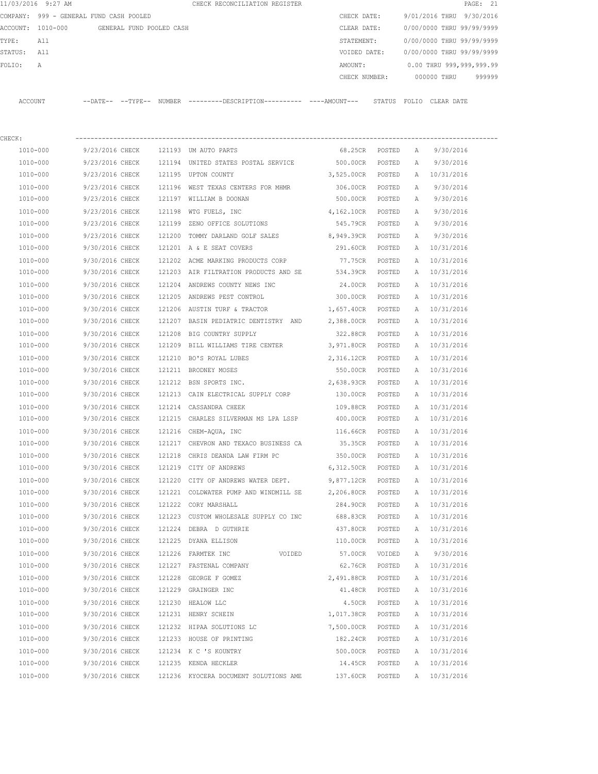|         | 11/03/2016 9:27 AM                      |                   |                          | CHECK RECONCILIATION REGISTER |  |               |        |                           |            | PAGE: 21 |        |  |
|---------|-----------------------------------------|-------------------|--------------------------|-------------------------------|--|---------------|--------|---------------------------|------------|----------|--------|--|
|         | COMPANY: 999 - GENERAL FUND CASH POOLED |                   |                          |                               |  | CHECK DATE:   |        | 9/01/2016 THRU 9/30/2016  |            |          |        |  |
|         | ACCOUNT: 1010-000                       |                   | GENERAL FUND POOLED CASH |                               |  | CLEAR DATE:   |        | 0/00/0000 THRU 99/99/9999 |            |          |        |  |
| TYPE:   | All                                     |                   |                          |                               |  | STATEMENT:    |        | 0/00/0000 THRU 99/99/9999 |            |          |        |  |
| STATUS: | All                                     |                   |                          |                               |  | VOIDED DATE:  |        | 0/00/0000 THRU 99/99/9999 |            |          |        |  |
| FOLTO:  | A                                       |                   |                          |                               |  | AMOUNT:       |        | 0.00 THRU 999,999,999.99  |            |          |        |  |
|         |                                         |                   |                          |                               |  | CHECK NUMBER: |        | 000000 THRU               |            |          | 999999 |  |
|         |                                         |                   |                          |                               |  |               |        |                           |            |          |        |  |
| ACCOUNT |                                         | --DATE-- --TYPE-- | NUMBER                   |                               |  |               | STATUS | FOLIO                     | CLEAR DATE |          |        |  |

| CHECK:       |                 |        |                                                    |                   |        |   |              |
|--------------|-----------------|--------|----------------------------------------------------|-------------------|--------|---|--------------|
| 1010-000     | 9/23/2016 CHECK |        | 121193 UM AUTO PARTS                               | 68.25CR           | POSTED | Α | 9/30/2016    |
| 1010-000     | 9/23/2016 CHECK |        | 121194 UNITED STATES POSTAL SERVICE 500.00CR       |                   | POSTED | Α | 9/30/2016    |
| 1010-000     | 9/23/2016 CHECK |        | 121195 UPTON COUNTY                                | 3,525.00CR        | POSTED | A | 10/31/2016   |
| 1010-000     | 9/23/2016 CHECK |        | 121196 WEST TEXAS CENTERS FOR MHMR                 | 306.00CR          | POSTED | A | 9/30/2016    |
| 1010-000     | 9/23/2016 CHECK |        | 121197 WILLIAM B DOONAN                            | 500.00CR          | POSTED | А | 9/30/2016    |
| 1010-000     | 9/23/2016 CHECK |        | 121198 WTG FUELS, INC                              | 4,162.10CR POSTED |        | Α | 9/30/2016    |
| 1010-000     | 9/23/2016 CHECK |        | 121199 ZENO OFFICE SOLUTIONS                       | 545.79CR POSTED   |        | Α | 9/30/2016    |
| 1010-000     | 9/23/2016 CHECK |        | 121200 TOMMY DARLAND GOLF SALES                    | 8,949.39CR POSTED |        | Α | 9/30/2016    |
| 1010-000     | 9/30/2016 CHECK |        | 121201 A & E SEAT COVERS                           | 291.60CR POSTED   |        |   | A 10/31/2016 |
| 1010-000     | 9/30/2016 CHECK |        | 121202 ACME MARKING PRODUCTS CORP                  | 77.75CR           | POSTED | A | 10/31/2016   |
| 1010-000     | 9/30/2016 CHECK |        | 121203 AIR FILTRATION PRODUCTS AND SE              | 534.39CR          | POSTED | A | 10/31/2016   |
| 1010-000     | 9/30/2016 CHECK |        | 121204 ANDREWS COUNTY NEWS INC                     | 24.00CR           | POSTED | A | 10/31/2016   |
| 1010-000     | 9/30/2016 CHECK |        | 121205 ANDREWS PEST CONTROL                        | 300.00CR          | POSTED | A | 10/31/2016   |
| 1010-000     | 9/30/2016 CHECK |        | 121206 AUSTIN TURF & TRACTOR                       | 1,657.40CR        | POSTED | Α | 10/31/2016   |
| 1010-000     | 9/30/2016 CHECK |        | 121207 BASIN PEDIATRIC DENTISTRY AND 2,388.00CR    |                   | POSTED | A | 10/31/2016   |
| 1010-000     | 9/30/2016 CHECK |        | 121208 BIG COUNTRY SUPPLY                          | 322.88CR POSTED   |        | A | 10/31/2016   |
| 1010-000     | 9/30/2016 CHECK |        | 121209 BILL WILLIAMS TIRE CENTER 3,971.80CR POSTED |                   |        | A | 10/31/2016   |
| 1010-000     | 9/30/2016 CHECK |        | 121210 BO'S ROYAL LUBES                            | 2,316.12CR POSTED |        | A | 10/31/2016   |
| 1010-000     | 9/30/2016 CHECK |        | 121211 BRODNEY MOSES                               | 550.00CR POSTED   |        | Α | 10/31/2016   |
| 1010-000     | 9/30/2016 CHECK |        | 121212 BSN SPORTS INC.                             | 2,638.93CR POSTED |        | Α | 10/31/2016   |
| 1010-000     | 9/30/2016 CHECK |        | 121213 CAIN ELECTRICAL SUPPLY CORP                 | 130.00CR          | POSTED | A | 10/31/2016   |
| 1010-000     | 9/30/2016 CHECK |        | 121214 CASSANDRA CHEEK                             | 109.88CR          | POSTED | A | 10/31/2016   |
| 1010-000     | 9/30/2016 CHECK | 121215 | CHARLES SILVERMAN MS LPA LSSP                      | 400.00CR          | POSTED | A | 10/31/2016   |
| 1010-000     | 9/30/2016 CHECK | 121216 | CHEM-AQUA, INC                                     | 116.66CR          | POSTED | Α | 10/31/2016   |
| 1010-000     | 9/30/2016 CHECK | 121217 | CHEVRON AND TEXACO BUSINESS CA                     | 35.35CR           | POSTED | Α | 10/31/2016   |
| 1010-000     | 9/30/2016 CHECK | 121218 | CHRIS DEANDA LAW FIRM PC                           | 350.00CR          | POSTED | Α | 10/31/2016   |
| 1010-000     | 9/30/2016 CHECK |        | 121219 CITY OF ANDREWS                             | 6,312.50CR        | POSTED | A | 10/31/2016   |
| 1010-000     | 9/30/2016 CHECK | 121220 | CITY OF ANDREWS WATER DEPT.                        | 9,877.12CR        | POSTED | A | 10/31/2016   |
| 1010-000     | 9/30/2016 CHECK | 121221 | COLDWATER PUMP AND WINDMILL SE                     | 2,206.80CR        | POSTED | A | 10/31/2016   |
| 1010-000     | 9/30/2016 CHECK |        | 121222 CORY MARSHALL                               | 284.90CR          | POSTED | Α | 10/31/2016   |
| 1010-000     | 9/30/2016 CHECK |        | 121223 CUSTOM WHOLESALE SUPPLY CO INC              | 688.83CR POSTED   |        | A | 10/31/2016   |
| 1010-000     | 9/30/2016 CHECK |        | 121224 DEBRA D GUTHRIE                             | 437.80CR          | POSTED | Α | 10/31/2016   |
| 1010-000     | 9/30/2016 CHECK |        | 121225 DYANA ELLISON                               | 110.00CR POSTED   |        |   | A 10/31/2016 |
| $1010 - 000$ | 9/30/2016 CHECK |        | 121226 FARMTEK INC<br>VOIDED                       | 57.00CR           | VOIDED | A | 9/30/2016    |
| 1010-000     | 9/30/2016 CHECK |        | 121227 FASTENAL COMPANY                            | 62.76CR           | POSTED |   | A 10/31/2016 |
| 1010-000     | 9/30/2016 CHECK |        | 121228 GEORGE F GOMEZ                              | 2,491.88CR        | POSTED | Α | 10/31/2016   |
| 1010-000     | 9/30/2016 CHECK |        | 121229 GRAINGER INC                                | 41.48CR           | POSTED | Α | 10/31/2016   |
| 1010-000     | 9/30/2016 CHECK | 121230 | HEALOW LLC                                         | 4.50CR            | POSTED | Α | 10/31/2016   |
| 1010-000     | 9/30/2016 CHECK |        | 121231 HENRY SCHEIN                                | 1,017.38CR        | POSTED | Α | 10/31/2016   |
| 1010-000     | 9/30/2016 CHECK |        | 121232 HIPAA SOLUTIONS LC                          | 7,500.00CR        | POSTED | А | 10/31/2016   |
| 1010-000     | 9/30/2016 CHECK |        | 121233 HOUSE OF PRINTING                           | 182.24CR          | POSTED | А | 10/31/2016   |
| 1010-000     | 9/30/2016 CHECK |        | 121234 K C 'S KOUNTRY                              | 500.00CR          | POSTED | А | 10/31/2016   |
| 1010-000     | 9/30/2016 CHECK |        | 121235 KENDA HECKLER                               | 14.45CR           | POSTED | Α | 10/31/2016   |
| 1010-000     | 9/30/2016 CHECK |        | 121236 KYOCERA DOCUMENT SOLUTIONS AME              | 137.60CR          | POSTED | Α | 10/31/2016   |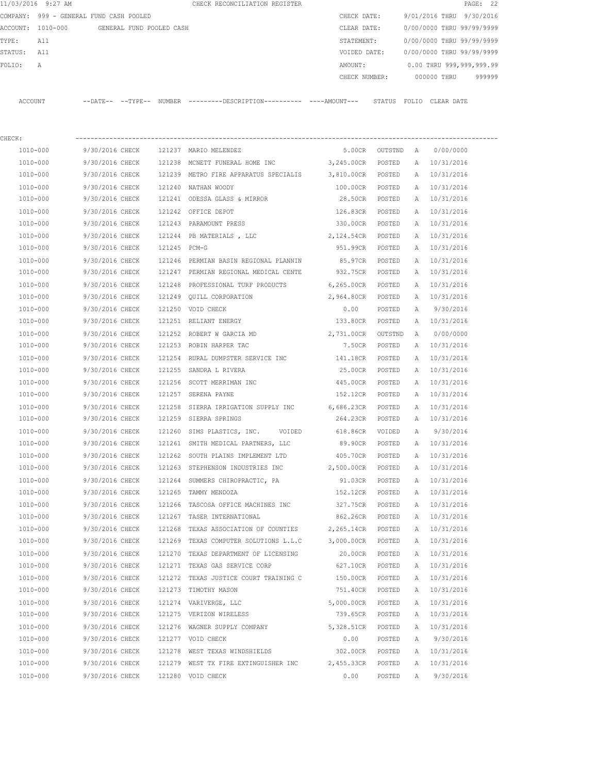|                   | 11/03/2016 9:27 AM             |                |                |                          | CHECK RECONCILIATION REGISTER |  |               |        |                           |             |            | PAGE: 22  |        |
|-------------------|--------------------------------|----------------|----------------|--------------------------|-------------------------------|--|---------------|--------|---------------------------|-------------|------------|-----------|--------|
| COMPANY:          | 999 - GENERAL FUND CASH POOLED |                |                |                          |                               |  | CHECK DATE:   |        | 9/01/2016 THRU            |             |            | 9/30/2016 |        |
| ACCOUNT: 1010-000 |                                |                |                | GENERAL FUND POOLED CASH |                               |  | CLEAR DATE:   |        | 0/00/0000 THRU 99/99/9999 |             |            |           |        |
| TYPE:             | All                            |                |                |                          |                               |  | STATEMENT:    |        | 0/00/0000 THRU 99/99/9999 |             |            |           |        |
| STATUS:           | All                            |                |                |                          |                               |  | VOIDED DATE:  |        | 0/00/0000 THRU 99/99/9999 |             |            |           |        |
| FOLTO:            | A                              |                |                |                          |                               |  | AMOUNT:       |        | 0.00 THRU 999,999,999.99  |             |            |           |        |
|                   |                                |                |                |                          |                               |  | CHECK NUMBER: |        |                           | 000000 THRU |            |           | 999999 |
|                   |                                |                |                |                          |                               |  |               |        |                           |             |            |           |        |
| ACCOUNT           |                                | $--$ DATE $--$ | $--$ TYPE $--$ | NUMBER                   | $------DESCRTPTION-$          |  |               | STATUS | FOLTO                     |             | CLEAR DATE |           |        |

| CHECK:       |                 |              |                                                  |            |                  |   |              |
|--------------|-----------------|--------------|--------------------------------------------------|------------|------------------|---|--------------|
| 1010-000     | 9/30/2016 CHECK |              | 121237 MARIO MELENDEZ                            |            | 5.00CR OUTSTND A |   | 0/00/0000    |
| 1010-000     | 9/30/2016 CHECK |              | 121238 MCNETT FUNERAL HOME INC 3,245.00CR        |            | POSTED           |   | A 10/31/2016 |
| 1010-000     | 9/30/2016 CHECK |              | 121239 METRO FIRE APPARATUS SPECIALIS 3,810.00CR |            | POSTED           | A | 10/31/2016   |
| 1010-000     | 9/30/2016 CHECK |              | 121240 NATHAN WOODY                              | 100.00CR   | POSTED           | Α | 10/31/2016   |
| 1010-000     | 9/30/2016 CHECK |              | 121241 ODESSA GLASS & MIRROR                     | 28.50CR    | POSTED           | А | 10/31/2016   |
| 1010-000     | 9/30/2016 CHECK |              | 121242 OFFICE DEPOT                              | 126.83CR   | POSTED           | А | 10/31/2016   |
| 1010-000     | 9/30/2016 CHECK |              | 121243 PARAMOUNT PRESS                           | 330.00CR   | POSTED           | А | 10/31/2016   |
| 1010-000     | 9/30/2016 CHECK |              | 121244 PB MATERIALS, LLC 2, 124.54CR             |            | POSTED           | А | 10/31/2016   |
| 1010-000     | 9/30/2016 CHECK | 121245 PCM-G |                                                  | 951.99CR   | POSTED           | Α | 10/31/2016   |
| 1010-000     | 9/30/2016 CHECK |              | 121246 PERMIAN BASIN REGIONAL PLANNIN 85.97CR    |            | POSTED           | А | 10/31/2016   |
| 1010-000     | 9/30/2016 CHECK |              | 121247 PERMIAN REGIONAL MEDICAL CENTE 932.75CR   |            | POSTED           | А | 10/31/2016   |
| 1010-000     | 9/30/2016 CHECK | 121248       | PROFESSIONAL TURF PRODUCTS 6,265.00CR            |            | POSTED           | Α | 10/31/2016   |
| 1010-000     | 9/30/2016 CHECK | 121249       | QUILL CORPORATION                                | 2,964.80CR | POSTED           | Α | 10/31/2016   |
| 1010-000     | 9/30/2016 CHECK | 121250       | VOID CHECK                                       | 0.00       | POSTED           | Α | 9/30/2016    |
| 1010-000     | 9/30/2016 CHECK |              | 121251 RELIANT ENERGY                            | 133.80CR   | POSTED           | A | 10/31/2016   |
| 1010-000     | 9/30/2016 CHECK |              | 121252 ROBERT W GARCIA MD                        | 2,731.00CR | OUTSTND          | Α | 0/00/0000    |
| 1010-000     | 9/30/2016 CHECK |              | 121253 ROBIN HARPER TAC                          | 7.50CR     | POSTED           | А | 10/31/2016   |
| 1010-000     | 9/30/2016 CHECK |              | 121254 RURAL DUMPSTER SERVICE INC                | 141.18CR   | POSTED           | Α | 10/31/2016   |
| 1010-000     | 9/30/2016 CHECK | 121255       | SANDRA L RIVERA                                  | 25.00CR    | POSTED           | А | 10/31/2016   |
| 1010-000     | 9/30/2016 CHECK |              | 121256 SCOTT MERRIMAN INC                        | 445.00CR   | POSTED           | Α | 10/31/2016   |
| 1010-000     | 9/30/2016 CHECK |              | 121257 SERENA PAYNE                              | 152.12CR   | POSTED           | А | 10/31/2016   |
| 1010-000     | 9/30/2016 CHECK | 121258       | SIERRA IRRIGATION SUPPLY INC 6,686.23CR          |            | POSTED           | Α | 10/31/2016   |
| 1010-000     | 9/30/2016 CHECK |              | 121259 SIERRA SPRINGS                            | 264.23CR   | POSTED           | Α | 10/31/2016   |
| 1010-000     | 9/30/2016 CHECK | 121260       | SIMS PLASTICS, INC. VOIDED 618.86CR              |            | VOIDED           | Α | 9/30/2016    |
| 1010-000     | 9/30/2016 CHECK | 121261       | SMITH MEDICAL PARTNERS, LLC                      | 89.90CR    | POSTED           | Α | 10/31/2016   |
| 1010-000     | 9/30/2016 CHECK | 121262       | SOUTH PLAINS IMPLEMENT LTD                       | 405.70CR   | POSTED           | А | 10/31/2016   |
| 1010-000     | 9/30/2016 CHECK |              | 121263 STEPHENSON INDUSTRIES INC                 | 2,500.00CR | POSTED           | A | 10/31/2016   |
| 1010-000     | 9/30/2016 CHECK | 121264       | SUMMERS CHIROPRACTIC, PA                         | 91.03CR    | POSTED           | Α | 10/31/2016   |
| 1010-000     | 9/30/2016 CHECK |              | 121265 TAMMY MENDOZA                             | 152.12CR   | POSTED           |   | A 10/31/2016 |
| 1010-000     | 9/30/2016 CHECK | 121266       | TASCOSA OFFICE MACHINES INC                      | 327.75CR   | POSTED           | А | 10/31/2016   |
| 1010-000     | 9/30/2016 CHECK |              | 121267 TASER INTERNATIONAL                       | 862.26CR   | POSTED           | А | 10/31/2016   |
| 1010-000     | 9/30/2016 CHECK | 121268       | TEXAS ASSOCIATION OF COUNTIES 2,265.14CR         |            | POSTED           | Α | 10/31/2016   |
| 1010-000     | 9/30/2016 CHECK |              | 121269 TEXAS COMPUTER SOLUTIONS L.L.C 3,000.00CR |            | POSTED           | A | 10/31/2016   |
| 1010-000     | 9/30/2016 CHECK | 121270       | TEXAS DEPARTMENT OF LICENSING                    | 20.00CR    | POSTED           | Α | 10/31/2016   |
| 1010-000     | 9/30/2016 CHECK |              | 121271 TEXAS GAS SERVICE CORP                    | 627.10CR   | POSTED           | A | 10/31/2016   |
| $1010 - 000$ | 9/30/2016 CHECK |              | 121272 TEXAS JUSTICE COURT TRAINING C            | 150.00CR   | POSTED           | Α | 10/31/2016   |
| 1010-000     | 9/30/2016 CHECK | 121273       | TIMOTHY MASON                                    | 751.40CR   | POSTED           | Α | 10/31/2016   |
| 1010-000     | 9/30/2016 CHECK |              | 121274 VARIVERGE, LLC                            | 5,000.00CR | POSTED           | Α | 10/31/2016   |
| 1010-000     | 9/30/2016 CHECK | 121275       | VERIZON WIRELESS                                 | 739.65CR   | POSTED           | Α | 10/31/2016   |
| 1010-000     | 9/30/2016 CHECK | 121276       | WAGNER SUPPLY COMPANY                            | 5,328.51CR | POSTED           | Α | 10/31/2016   |
| 1010-000     | 9/30/2016 CHECK |              | 121277 VOID CHECK                                | 0.00       | POSTED           | А | 9/30/2016    |
| 1010-000     | 9/30/2016 CHECK |              | 121278 WEST TEXAS WINDSHIELDS                    | 302.00CR   | POSTED           | Α | 10/31/2016   |
| 1010-000     | 9/30/2016 CHECK |              | 121279 WEST TX FIRE EXTINGUISHER INC             | 2,455.33CR | POSTED           | Α | 10/31/2016   |
| 1010-000     | 9/30/2016 CHECK |              | 121280 VOID CHECK                                | 0.00       | POSTED           | Α | 9/30/2016    |
|              |                 |              |                                                  |            |                  |   |              |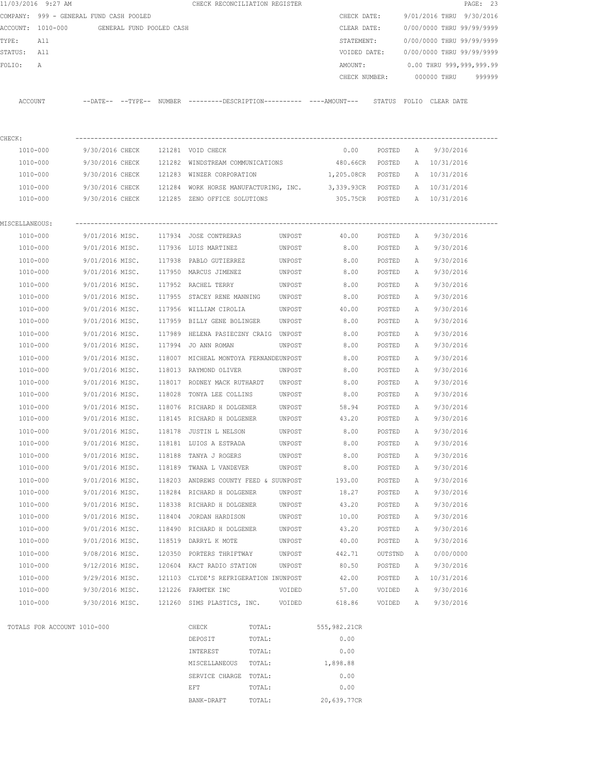|                | 11/03/2016 9:27 AM          |                                                                                             | CHECK RECONCILIATION REGISTER         |                  |                                |                  |        |                              | PAGE: 23 |
|----------------|-----------------------------|---------------------------------------------------------------------------------------------|---------------------------------------|------------------|--------------------------------|------------------|--------|------------------------------|----------|
|                |                             | COMPANY: 999 - GENERAL FUND CASH POOLED                                                     |                                       |                  |                                | CHECK DATE:      |        | 9/01/2016 THRU 9/30/2016     |          |
|                |                             | ACCOUNT: 1010-000 GENERAL FUND POOLED CASH                                                  |                                       |                  | CLEAR DATE:                    |                  |        | 0/00/0000 THRU 99/99/9999    |          |
| TYPE:          | All                         |                                                                                             |                                       |                  | STATEMENT:                     |                  |        | 0/00/0000 THRU 99/99/9999    |          |
| STATUS: All    |                             |                                                                                             |                                       |                  | VOIDED DATE:                   |                  |        | 0/00/0000 THRU 99/99/9999    |          |
| FOLIO:         | $\mathbb{A}$                |                                                                                             |                                       |                  | AMOUNT:                        |                  |        | 0.00 THRU 999,999,999.99     |          |
|                |                             |                                                                                             |                                       |                  |                                | CHECK NUMBER:    |        | 000000 THRU                  | 999999   |
|                | ACCOUNT                     | --DATE-- --TYPE-- NUMBER ---------DESCRIPTION--------- ----AMOUNT--- STATUS FOLIO CLEARDATE |                                       |                  |                                |                  |        |                              |          |
| CHECK:         |                             |                                                                                             |                                       |                  |                                |                  |        |                              |          |
|                | 1010-000                    | 9/30/2016 CHECK 121281 VOID CHECK                                                           |                                       |                  | 0.00                           |                  |        | POSTED A 9/30/2016           |          |
|                | 1010-000                    | 9/30/2016 CHECK 121282 WINDSTREAM COMMUNICATIONS 480.66CR POSTED                            |                                       |                  |                                |                  |        | A 10/31/2016                 |          |
|                | 1010-000                    | 9/30/2016 CHECK 121283 WINZER CORPORATION                                                   |                                       |                  | 1,205.08CR POSTED              |                  |        | A 10/31/2016                 |          |
|                | 1010-000                    | 9/30/2016 CHECK 121284 WORK HORSE MANUFACTURING, INC.                                       |                                       |                  | 3,339.93CR POSTED A 10/31/2016 |                  |        |                              |          |
|                | 1010-000                    | 9/30/2016 CHECK 121285 ZENO OFFICE SOLUTIONS                                                |                                       |                  |                                |                  |        | 305.75CR POSTED A 10/31/2016 |          |
| MISCELLANEOUS: |                             |                                                                                             |                                       |                  |                                |                  |        |                              |          |
|                | 1010-000                    | 9/01/2016 MISC. 117934 JOSE CONTRERAS                                                       |                                       | UNPOST           | 40.00                          | POSTED A         |        | 9/30/2016                    |          |
|                | 1010-000                    | 9/01/2016 MISC. 117936 LUIS MARTINEZ                                                        |                                       | UNPOST           | 8.00                           |                  |        | POSTED A 9/30/2016           |          |
|                | 1010-000                    | 9/01/2016 MISC. 117938 PABLO GUTIERREZ                                                      |                                       | UNPOST           | 8.00                           | POSTED           | A      | 9/30/2016                    |          |
|                | 1010-000                    | 9/01/2016 MISC. 117950 MARCUS JIMENEZ                                                       |                                       | UNPOST           | 8.00                           | POSTED           | A      | 9/30/2016                    |          |
|                | 1010-000                    | 9/01/2016 MISC. 117952 RACHEL TERRY                                                         |                                       | UNPOST           | 8.00                           | POSTED           | A      | 9/30/2016                    |          |
|                | 1010-000                    | 9/01/2016 MISC. 117955 STACEY RENE MANNING                                                  |                                       | UNPOST           | 8.00                           | POSTED           | A      | 9/30/2016                    |          |
|                | 1010-000                    | 9/01/2016 MISC. 117956 WILLIAM CIROLIA                                                      |                                       | UNPOST           | 40.00                          | POSTED           | A      | 9/30/2016                    |          |
|                | 1010-000                    | 9/01/2016 MISC. 117959 BILLY GENE BOLINGER                                                  |                                       | UNPOST           | 8.00                           | POSTED           | A      | 9/30/2016                    |          |
|                | 1010-000                    | 9/01/2016 MISC. 117989 HELENA PASIECZNY CRAIG UNPOST                                        |                                       |                  | 8.00                           | POSTED           | A      | 9/30/2016                    |          |
|                | 1010-000                    | 9/01/2016 MISC.                                                                             | 117994 JO ANN ROMAN                   | UNPOST           | 8.00                           | POSTED           | A      | 9/30/2016                    |          |
|                | 1010-000                    | 9/01/2016 MISC.                                                                             | 118007 MICHEAL MONTOYA FERNANDEUNPOST |                  | 8.00                           | POSTED           | A      | 9/30/2016                    |          |
|                | 1010-000                    | 9/01/2016 MISC.                                                                             | 118013 RAYMOND OLIVER                 | UNPOST           | 8.00                           | POSTED           | A      | 9/30/2016                    |          |
|                | 1010-000                    | 9/01/2016 MISC.                                                                             | 118017 RODNEY MACK RUTHARDT           | UNPOST           | 8.00                           | POSTED           | A      | 9/30/2016                    |          |
|                | 1010-000                    | 9/01/2016 MISC. 118028 TONYA LEE COLLINS                                                    |                                       | UNPOST           | 8.00                           | POSTED           | A      | 9/30/2016                    |          |
|                | 1010-000                    | 9/01/2016 MISC. 118076 RICHARD H DOLGENER                                                   |                                       | UNPOST           | 58.94                          | POSTED           | A      | 9/30/2016                    |          |
|                | 1010-000                    | 9/01/2016 MISC. 118145 RICHARD H DOLGENER                                                   |                                       | UNPOST           | 43.20                          | POSTED           | A      | 9/30/2016                    |          |
|                | 1010-000<br>1010-000        | 9/01/2016 MISC. 118178 JUSTIN L NELSON UNPOST                                               | 118181 LUIOS A ESTRADA                |                  | 8.00                           | POSTED           | A      | 9/30/2016                    |          |
|                | 1010-000                    | 9/01/2016 MISC.<br>9/01/2016 MISC.                                                          | 118188 TANYA J ROGERS                 | UNPOST<br>UNPOST | 8.00<br>8.00                   | POSTED<br>POSTED | Α<br>Α | 9/30/2016<br>9/30/2016       |          |
|                | 1010-000                    | 9/01/2016 MISC.                                                                             | 118189 TWANA L VANDEVER               | UNPOST           | 8.00                           | POSTED           | Α      | 9/30/2016                    |          |
|                | 1010-000                    | 9/01/2016 MISC.                                                                             | 118203 ANDREWS COUNTY FEED & SUUNPOST |                  | 193.00                         | POSTED           | Α      | 9/30/2016                    |          |
|                | 1010-000                    | 9/01/2016 MISC.                                                                             | 118284 RICHARD H DOLGENER             | UNPOST           | 18.27                          | POSTED           | Α      | 9/30/2016                    |          |
|                | 1010-000                    | 9/01/2016 MISC.                                                                             | 118338 RICHARD H DOLGENER             | UNPOST           | 43.20                          | POSTED           | Α      | 9/30/2016                    |          |
|                | 1010-000                    | 9/01/2016 MISC.                                                                             | 118404 JORDAN HARDISON                | UNPOST           | 10.00                          | POSTED           | Α      | 9/30/2016                    |          |
|                | 1010-000                    | 9/01/2016 MISC.                                                                             | 118490 RICHARD H DOLGENER             | UNPOST           | 43.20                          | POSTED           | Α      | 9/30/2016                    |          |
|                | 1010-000                    | 9/01/2016 MISC.                                                                             | 118519 DARRYL K MOTE                  | UNPOST           | 40.00                          | POSTED           | Α      | 9/30/2016                    |          |
|                | $1010 - 000$                | 9/08/2016 MISC.                                                                             | 120350 PORTERS THRIFTWAY              | UNPOST           | 442.71                         | OUTSTND          | Α      | 0/00/0000                    |          |
|                | 1010-000                    | 9/12/2016 MISC.                                                                             | 120604 KACT RADIO STATION             | UNPOST           | 80.50                          | POSTED           | Α      | 9/30/2016                    |          |
|                | 1010-000                    | 9/29/2016 MISC.                                                                             | 121103 CLYDE'S REFRIGERATION INUNPOST |                  | 42.00                          | POSTED           | Α      | 10/31/2016                   |          |
|                | 1010-000                    | 9/30/2016 MISC.                                                                             | 121226 FARMTEK INC                    | VOIDED           | 57.00                          | VOIDED           | Α      | 9/30/2016                    |          |
|                | 1010-000                    | 9/30/2016 MISC.                                                                             | 121260 SIMS PLASTICS, INC.            | VOIDED           | 618.86                         | VOIDED           | Α      | 9/30/2016                    |          |
|                | TOTALS FOR ACCOUNT 1010-000 |                                                                                             | CHECK                                 | TOTAL:           | 555,982.21CR                   |                  |        |                              |          |
|                |                             |                                                                                             | DEPOSIT                               | TOTAL:           | 0.00                           |                  |        |                              |          |
|                |                             |                                                                                             | INTEREST                              | TOTAL:           | 0.00                           |                  |        |                              |          |
|                |                             |                                                                                             | MISCELLANEOUS                         | TOTAL:           | 1,898.88                       |                  |        |                              |          |
|                |                             |                                                                                             | SERVICE CHARGE TOTAL:                 |                  | 0.00                           |                  |        |                              |          |
|                |                             |                                                                                             | EFT                                   | TOTAL:           | 0.00                           |                  |        |                              |          |
|                |                             |                                                                                             | BANK-DRAFT                            | TOTAL:           | 20,639.77CR                    |                  |        |                              |          |